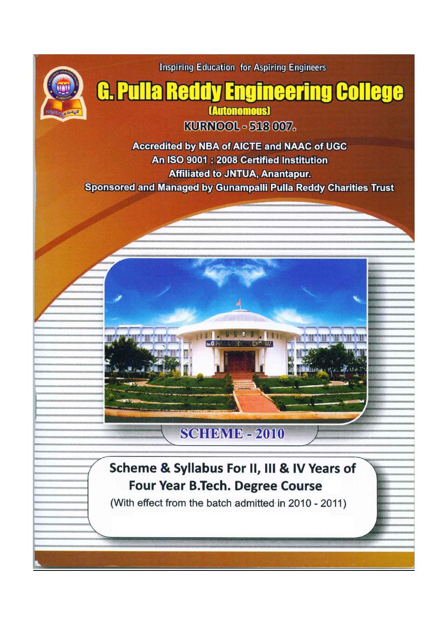

**Inspiring Education for Aspiring Engineers** 

# **G. Pulla Reddy Engineering College**

(Autonomous) KURNOOL - 518 007.

Accredited by NBA of AICTE and NAAC of UGC An ISO 9001: 2008 Certified Institution **Affiliated to JNTUA, Anantapur. Sponsored and Managed by Gunampalli Pulla Reddy Charities Trust** 



# **SCHEME - 2010**

# Scheme & Syllabus For II, III & IV Years of **Four Year B.Tech. Degree Course**

(With effect from the batch admitted in 2010 - 2011)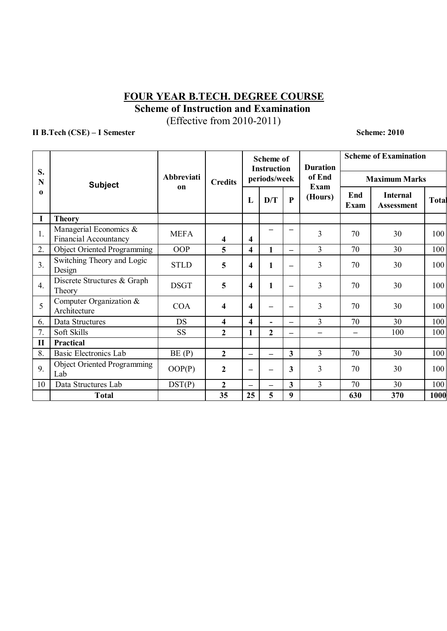## **FOUR YEAR B.TECH. DEGREE COURSE Scheme of Instruction and Examination**

(Effective from 2010-2011)

**II B.Tech (CSE) – I Semester Scheme: 2010** 

| S.<br>N<br>$\mathbf 0$ | <b>Subject</b>                                         | <b>Abbreviati</b><br>on | <b>Credits</b>          |                          | <b>Scheme of</b><br><b>Instruction</b> |                          | <b>Duration</b>          | <b>Scheme of Examination</b> |                                      |       |
|------------------------|--------------------------------------------------------|-------------------------|-------------------------|--------------------------|----------------------------------------|--------------------------|--------------------------|------------------------------|--------------------------------------|-------|
|                        |                                                        |                         |                         |                          | periods/week                           |                          | of End                   | <b>Maximum Marks</b>         |                                      |       |
|                        |                                                        |                         |                         | L                        | D/T                                    | $\mathbf{P}$             | Exam<br>(Hours)          | End<br><b>Exam</b>           | <b>Internal</b><br><b>Assessment</b> | Total |
| I                      | <b>Theory</b>                                          |                         |                         |                          |                                        |                          |                          |                              |                                      |       |
| 1.                     | Managerial Economics &<br><b>Financial Accountancy</b> | <b>MEFA</b>             | 4                       | 4                        |                                        |                          | $\overline{3}$           | 70                           | 30                                   | 100   |
| 2.                     | <b>Object Oriented Programming</b>                     | OOP                     | 5                       | 4                        | 1                                      | $\overline{\phantom{0}}$ | $\overline{3}$           | 70                           | 30                                   | 100   |
| 3 <sub>1</sub>         | Switching Theory and Logic<br>Design                   | <b>STLD</b>             | 5                       | 4                        | 1                                      | $\overline{\phantom{0}}$ | $\overline{3}$           | 70                           | 30                                   | 100   |
| $\overline{4}$ .       | Discrete Structures & Graph<br>Theory                  | <b>DSGT</b>             | 5                       | 4                        | 1                                      | $\overline{\phantom{0}}$ | 3                        | 70                           | 30                                   | 100   |
| 5                      | Computer Organization &<br>Architecture                | <b>COA</b>              | $\overline{\mathbf{4}}$ | 4                        |                                        | $\overline{\phantom{0}}$ | $\overline{3}$           | 70                           | 30                                   | 100   |
| 6.                     | Data Structures                                        | DS                      | 4                       | 4                        |                                        | $\overline{\phantom{0}}$ | 3                        | 70                           | 30                                   | 100   |
| 7.                     | Soft Skills                                            | <b>SS</b>               | $\overline{2}$          | 1                        | $\overline{2}$                         | $\overline{\phantom{0}}$ | $\overline{\phantom{0}}$ | $\overline{\phantom{0}}$     | 100                                  | 100   |
| $\mathbf{I}$           | <b>Practical</b>                                       |                         |                         |                          |                                        |                          |                          |                              |                                      |       |
| 8.                     | <b>Basic Electronics Lab</b>                           | BE(P)                   | $\overline{2}$          | $\overline{\phantom{0}}$ | $\equiv$                               | 3                        | $\overline{3}$           | 70                           | 30                                   | 100   |
| 9.                     | <b>Object Oriented Programming</b><br>Lab              | OOP(P)                  | $\boldsymbol{2}$        | $\overline{\phantom{m}}$ |                                        | 3                        | $\overline{3}$           | 70                           | 30                                   | 100   |
| 10                     | Data Structures Lab                                    | DST(P)                  | $\mathbf{2}$            | $\equiv$                 |                                        | 3                        | 3                        | 70                           | 30                                   | 100   |
|                        | <b>Total</b>                                           |                         | 35                      | 25                       | 5                                      | 9                        |                          | 630                          | 370                                  | 1000  |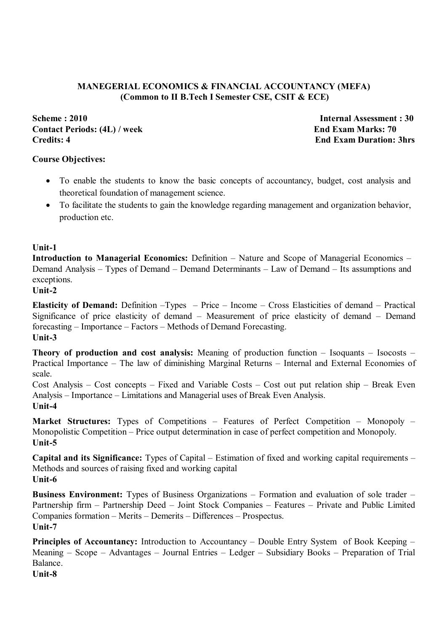#### **MANEGERIAL ECONOMICS & FINANCIAL ACCOUNTANCY (MEFA) (Common to II B.Tech I Semester CSE, CSIT & ECE)**

**Scheme : 2010 Internal Assessment : 30 Contact Periods: (4L) / week End Exam Marks: 70 Credits: 4 End Exam Duration: 3hrs**

#### **Course Objectives:**

- To enable the students to know the basic concepts of accountancy, budget, cost analysis and theoretical foundation of management science.
- To facilitate the students to gain the knowledge regarding management and organization behavior, production etc.

#### **Unit-1**

**Introduction to Managerial Economics:** Definition – Nature and Scope of Managerial Economics – Demand Analysis – Types of Demand – Demand Determinants – Law of Demand – Its assumptions and exceptions.

#### **Unit-2**

**Elasticity of Demand:** Definition –Types – Price – Income – Cross Elasticities of demand – Practical Significance of price elasticity of demand – Measurement of price elasticity of demand – Demand forecasting – Importance – Factors – Methods of Demand Forecasting. **Unit-3**

**Theory of production and cost analysis:** Meaning of production function – Isoquants – Isocosts – Practical Importance – The law of diminishing Marginal Returns – Internal and External Economies of scale.

Cost Analysis – Cost concepts – Fixed and Variable Costs – Cost out put relation ship – Break Even Analysis – Importance – Limitations and Managerial uses of Break Even Analysis. **Unit-4**

**Market Structures:** Types of Competitions – Features of Perfect Competition – Monopoly – Monopolistic Competition – Price output determination in case of perfect competition and Monopoly. **Unit-5**

**Capital and its Significance:** Types of Capital – Estimation of fixed and working capital requirements – Methods and sources of raising fixed and working capital **Unit-6**

**Business Environment:** Types of Business Organizations – Formation and evaluation of sole trader – Partnership firm – Partnership Deed – Joint Stock Companies – Features – Private and Public Limited Companies formation – Merits – Demerits – Differences – Prospectus. **Unit-7**

**Principles of Accountancy:** Introduction to Accountancy – Double Entry System of Book Keeping – Meaning – Scope – Advantages – Journal Entries – Ledger – Subsidiary Books – Preparation of Trial Balance.

**Unit-8**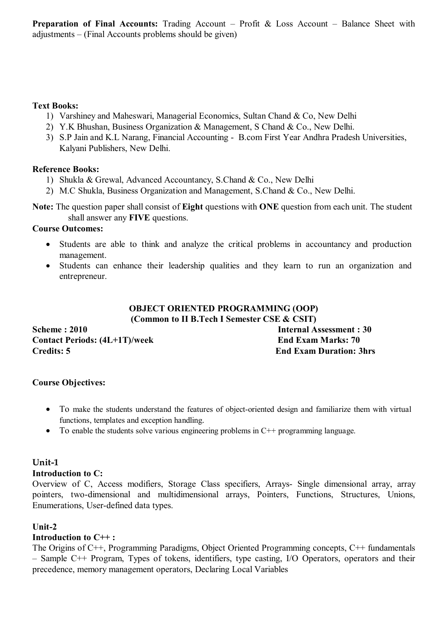**Preparation of Final Accounts:** Trading Account – Profit & Loss Account – Balance Sheet with adjustments – (Final Accounts problems should be given)

#### **Text Books:**

- 1) Varshiney and Maheswari, Managerial Economics, Sultan Chand & Co, New Delhi
- 2) Y.K Bhushan, Business Organization & Management, S Chand & Co., New Delhi.
- 3) S.P Jain and K.L Narang, Financial Accounting B.com First Year Andhra Pradesh Universities, Kalyani Publishers, New Delhi.

#### **Reference Books:**

- 1) Shukla & Grewal, Advanced Accountancy, S.Chand & Co., New Delhi
- 2) M.C Shukla, Business Organization and Management, S.Chand & Co., New Delhi.

**Note:** The question paper shall consist of **Eight** questions with **ONE** question from each unit. The student shall answer any **FIVE** questions.

#### **Course Outcomes:**

- Students are able to think and analyze the critical problems in accountancy and production management.
- Students can enhance their leadership qualities and they learn to run an organization and entrepreneur.

#### **OBJECT ORIENTED PROGRAMMING (OOP) (Common to II B.Tech I Semester CSE & CSIT)**

**Scheme : 2010 Internal Assessment : 30** Contact Periods:  $(4L+1T)$ /week End Exam Marks: 70 **Credits: 5 End Exam Duration: 3hrs**

#### **Course Objectives:**

- To make the students understand the features of object-oriented design and familiarize them with virtual functions, templates and exception handling.
- To enable the students solve various engineering problems in C++ programming language.

#### **Unit-1**

#### **Introduction to C:**

Overview of C, Access modifiers, Storage Class specifiers, Arrays- Single dimensional array, array pointers, two-dimensional and multidimensional arrays, Pointers, Functions, Structures, Unions, Enumerations, User-defined data types.

#### **Unit-2**

#### **Introduction to C++ :**

The Origins of C++, Programming Paradigms, Object Oriented Programming concepts, C++ fundamentals – Sample C++ Program, Types of tokens, identifiers, type casting, I/O Operators, operators and their precedence, memory management operators, Declaring Local Variables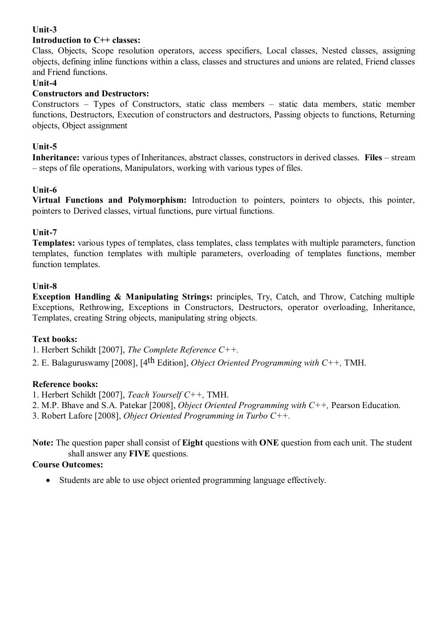#### **Unit-3**

#### **Introduction to C++ classes:**

Class, Objects, Scope resolution operators, access specifiers, Local classes, Nested classes, assigning objects, defining inline functions within a class, classes and structures and unions are related, Friend classes and Friend functions.

#### **Unit-4**

#### **Constructors and Destructors:**

Constructors – Types of Constructors, static class members – static data members, static member functions, Destructors, Execution of constructors and destructors, Passing objects to functions, Returning objects, Object assignment

#### **Unit-5**

**Inheritance:** various types of Inheritances, abstract classes, constructors in derived classes. **Files** – stream – steps of file operations, Manipulators, working with various types of files.

#### **Unit-6**

**Virtual Functions and Polymorphism:** Introduction to pointers, pointers to objects, this pointer, pointers to Derived classes, virtual functions, pure virtual functions.

#### **Unit-7**

**Templates:** various types of templates, class templates, class templates with multiple parameters, function templates, function templates with multiple parameters, overloading of templates functions, member function templates.

#### **Unit-8**

**Exception Handling & Manipulating Strings:** principles, Try, Catch, and Throw, Catching multiple Exceptions, Rethrowing, Exceptions in Constructors, Destructors, operator overloading, Inheritance, Templates, creating String objects, manipulating string objects.

#### **Text books:**

1. Herbert Schildt [2007], *The Complete Reference C++.*

2. E. Balaguruswamy [2008], [4th Edition], *Object Oriented Programming with C++,* TMH.

#### **Reference books:**

1. Herbert Schildt [2007], *Teach Yourself C++,* TMH.

2. M.P. Bhave and S.A. Patekar [2008], *Object Oriented Programming with C++,* Pearson Education.

3. Robert Lafore [2008], *Object Oriented Programming in Turbo C++.*

**Note:** The question paper shall consist of **Eight** questions with **ONE** question from each unit. The student shall answer any **FIVE** questions.

#### **Course Outcomes:**

Students are able to use object oriented programming language effectively.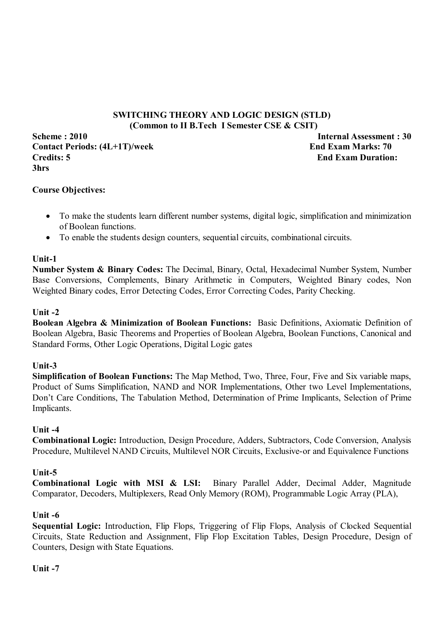#### **SWITCHING THEORY AND LOGIC DESIGN (STLD) (Common to II B.Tech I Semester CSE & CSIT)**

**Scheme : 2010 Internal Assessment : 30** Contact Periods:  $(4L+1T)$ /week End Exam Marks: 70 **Credits: 5 End Exam Duration: 3hrs**

#### **Course Objectives:**

- To make the students learn different number systems, digital logic, simplification and minimization of Boolean functions.
- To enable the students design counters, sequential circuits, combinational circuits.

#### **Unit-1**

**Number System & Binary Codes:** The Decimal, Binary, Octal, Hexadecimal Number System, Number Base Conversions, Complements, Binary Arithmetic in Computers, Weighted Binary codes, Non Weighted Binary codes, Error Detecting Codes, Error Correcting Codes, Parity Checking.

#### **Unit -2**

**Boolean Algebra & Minimization of Boolean Functions:** Basic Definitions, Axiomatic Definition of Boolean Algebra, Basic Theorems and Properties of Boolean Algebra, Boolean Functions, Canonical and Standard Forms, Other Logic Operations, Digital Logic gates

#### **Unit-3**

**Simplification of Boolean Functions:** The Map Method, Two, Three, Four, Five and Six variable maps, Product of Sums Simplification, NAND and NOR Implementations, Other two Level Implementations, Don't Care Conditions, The Tabulation Method, Determination of Prime Implicants, Selection of Prime Implicants.

#### **Unit -4**

**Combinational Logic:** Introduction, Design Procedure, Adders, Subtractors, Code Conversion, Analysis Procedure, Multilevel NAND Circuits, Multilevel NOR Circuits, Exclusive-or and Equivalence Functions

#### **Unit-5**

**Combinational Logic with MSI & LSI:** Binary Parallel Adder, Decimal Adder, Magnitude Comparator, Decoders, Multiplexers, Read Only Memory (ROM), Programmable Logic Array (PLA),

#### **Unit -6**

Sequential Logic: Introduction, Flip Flops, Triggering of Flip Flops, Analysis of Clocked Sequential Circuits, State Reduction and Assignment, Flip Flop Excitation Tables, Design Procedure, Design of Counters, Design with State Equations.

#### **Unit -7**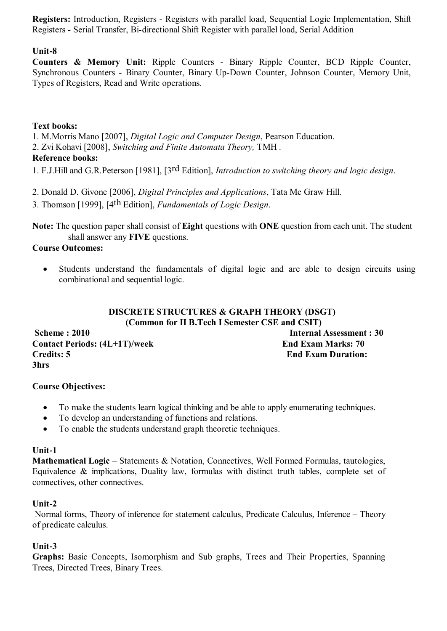**Registers:** Introduction, Registers - Registers with parallel load, Sequential Logic Implementation, Shift Registers - Serial Transfer, Bi-directional Shift Register with parallel load, Serial Addition

#### **Unit-8**

**Counters & Memory Unit:** Ripple Counters - Binary Ripple Counter, BCD Ripple Counter, Synchronous Counters - Binary Counter, Binary Up-Down Counter, Johnson Counter, Memory Unit, Types of Registers, Read and Write operations.

#### **Text books:**

1. M.Morris Mano [2007], *Digital Logic and Computer Design*, Pearson Education.

2. Zvi Kohavi [2008], *Switching and Finite Automata Theory,* TMH *.*

#### **Reference books:**

1. F.J.Hill and G.R.Peterson [1981], [3rd Edition], *Introduction to switching theory and logic design*.

- 2. Donald D. Givone [2006], *Digital Principles and Applications*, Tata Mc Graw Hill.
- 3. Thomson [1999], [4th Edition], *Fundamentals of Logic Design*.

**Note:** The question paper shall consist of **Eight** questions with **ONE** question from each unit. The student shall answer any **FIVE** questions.

#### **Course Outcomes:**

 Students understand the fundamentals of digital logic and are able to design circuits using combinational and sequential logic.

#### **DISCRETE STRUCTURES & GRAPH THEORY (DSGT) (Common for II B.Tech I Semester CSE and CSIT)**

**Scheme : 2010 Internal Assessment : 30** Contact Periods:  $(4L+1T)$ /week End Exam Marks: 70 **Credits: 5 End Exam Duration: 3hrs** 

#### **Course Objectives:**

- To make the students learn logical thinking and be able to apply enumerating techniques.
- To develop an understanding of functions and relations.
- To enable the students understand graph theoretic techniques.

#### **Unit-1**

**Mathematical Logic** – Statements & Notation, Connectives, Well Formed Formulas, tautologies, Equivalence  $\&$  implications, Duality law, formulas with distinct truth tables, complete set of connectives, other connectives.

#### **Unit-2**

 Normal forms, Theory of inference for statement calculus, Predicate Calculus, Inference – Theory of predicate calculus.

#### **Unit-3**

**Graphs:** Basic Concepts, Isomorphism and Sub graphs, Trees and Their Properties, Spanning Trees, Directed Trees, Binary Trees.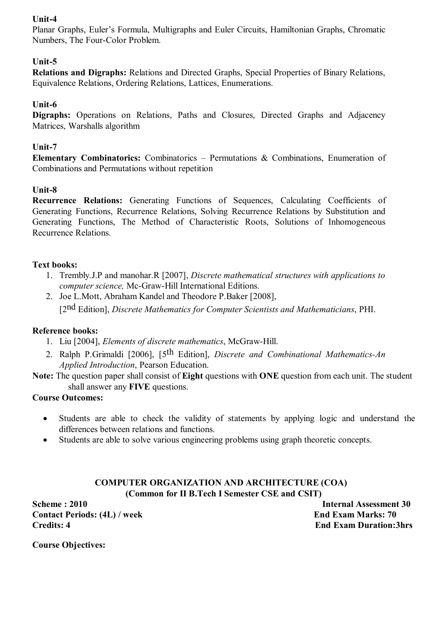#### **Unit-4**

Planar Graphs, Euler's Formula, Multigraphs and Euler Circuits, Hamiltonian Graphs, Chromatic Numbers, The Four-Color Problem.

#### **Unit-5**

**Relations and Digraphs:** Relations and Directed Graphs, Special Properties of Binary Relations, Equivalence Relations, Ordering Relations, Lattices, Enumerations.

#### **Unit-6**

**Digraphs:** Operations on Relations, Paths and Closures, Directed Graphs and Adjacency Matrices, Warshalls algorithm

#### **Unit-7**

**Elementary Combinatorics:** Combinatorics – Permutations & Combinations, Enumeration of Combinations and Permutations without repetition

#### **Unit-8**

**Recurrence Relations:** Generating Functions of Sequences, Calculating Coefficients of Generating Functions, Recurrence Relations, Solving Recurrence Relations by Substitution and Generating Functions, The Method of Characteristic Roots, Solutions of Inhomogeneous Recurrence Relations.

#### **Text books:**

- 1. Trembly.J.P and manohar.R [2007], *Discrete mathematical structures with applications to computer science,* Mc-Graw-Hill International Editions.
- 2. Joe L.Mott, Abraham Kandel and Theodore P.Baker [2008], [2nd Edition], *Discrete Mathematics for Computer Scientists and Mathematicians*, PHI.

#### **Reference books:**

- 1. Liu [2004], *Elements of discrete mathematics*, McGraw-Hill.
- 2. Ralph P.Grimaldi [2006], [5th Edition], *Discrete and Combinational Mathematics-An Applied Introduction*, Pearson Education.
- **Note:** The question paper shall consist of **Eight** questions with **ONE** question from each unit. The student shall answer any **FIVE** questions.

#### **Course Outcomes:**

- Students are able to check the validity of statements by applying logic and understand the differences between relations and functions.
- Students are able to solve various engineering problems using graph theoretic concepts.

#### **COMPUTER ORGANIZATION AND ARCHITECTURE (COA) (Common for II B.Tech I Semester CSE and CSIT)**

**Scheme : 2010** Internal Assessment 30 **Contact Periods: (4L) / week End Exam Marks: 70 Credits: 4 End Exam Duration:3hrs**

**Course Objectives:**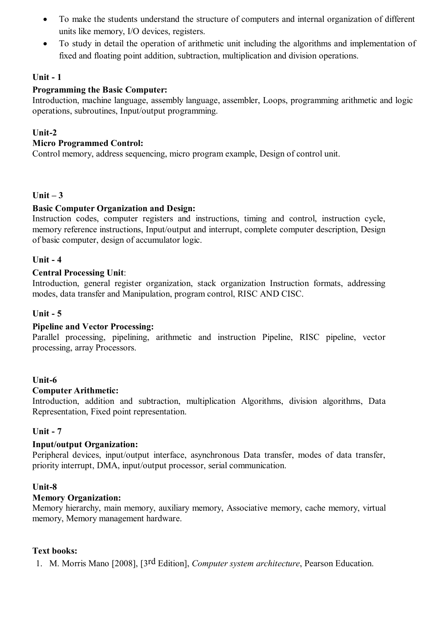- To make the students understand the structure of computers and internal organization of different units like memory, I/O devices, registers.
- To study in detail the operation of arithmetic unit including the algorithms and implementation of fixed and floating point addition, subtraction, multiplication and division operations.

#### **Unit - 1**

#### **Programming the Basic Computer:**

Introduction, machine language, assembly language, assembler, Loops, programming arithmetic and logic operations, subroutines, Input/output programming.

#### **Unit-2**

#### **Micro Programmed Control:**

Control memory, address sequencing, micro program example, Design of control unit.

#### **Unit – 3**

#### **Basic Computer Organization and Design:**

Instruction codes, computer registers and instructions, timing and control, instruction cycle, memory reference instructions, Input/output and interrupt, complete computer description, Design of basic computer, design of accumulator logic.

#### **Unit - 4**

#### **Central Processing Unit**:

Introduction, general register organization, stack organization Instruction formats, addressing modes, data transfer and Manipulation, program control, RISC AND CISC.

#### **Unit - 5**

#### **Pipeline and Vector Processing:**

Parallel processing, pipelining, arithmetic and instruction Pipeline, RISC pipeline, vector processing, array Processors.

#### **Unit-6**

#### **Computer Arithmetic:**

Introduction, addition and subtraction, multiplication Algorithms, division algorithms, Data Representation, Fixed point representation.

#### **Unit - 7**

#### **Input/output Organization:**

Peripheral devices, input/output interface, asynchronous Data transfer, modes of data transfer, priority interrupt, DMA, input/output processor, serial communication.

#### **Unit-8**

#### **Memory Organization:**

Memory hierarchy, main memory, auxiliary memory, Associative memory, cache memory, virtual memory, Memory management hardware.

#### **Text books:**

1. M. Morris Mano [2008], [3rd Edition], *Computer system architecture*, Pearson Education.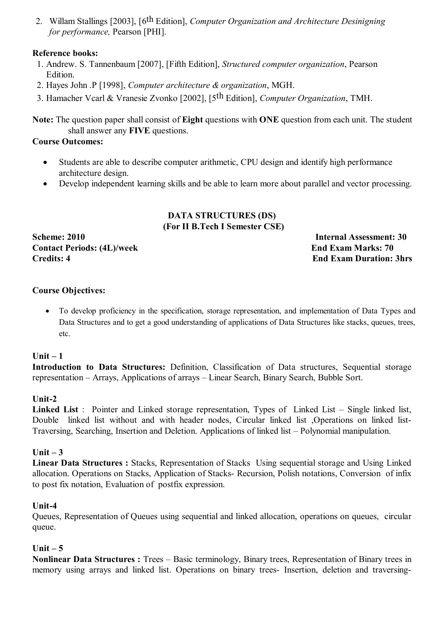2. Willam Stallings [2003], [6th Edition], *Computer Organization and Architecture Desinigning for performance,* Pearson [PHI].

#### **Reference books:**

- 1. Andrew. S. Tannenbaum [2007], [Fifth Edition], *Structured computer organization*, Pearson Edition.
- 2. Hayes John .P [1998], *Computer architecture & organization*, MGH.
- 3. Hamacher Vcarl & Vranesie Zvonko [2002], [5th Edition], *Computer Organization*, TMH.

**Note:** The question paper shall consist of **Eight** questions with **ONE** question from each unit. The student shall answer any **FIVE** questions.

#### **Course Outcomes:**

- Students are able to describe computer arithmetic, CPU design and identify high performance architecture design.
- Develop independent learning skills and be able to learn more about parallel and vector processing.

#### **DATA STRUCTURES (DS) (For II B.Tech I Semester CSE)**

**Contact Periods: (4L)/week End Exam Marks: 70 Credits: 4 End Exam Duration: 3hrs**

**Scheme: 2010 Internal Assessment: 30**

#### **Course Objectives:**

 To develop proficiency in the specification, storage representation, and implementation of Data Types and Data Structures and to get a good understanding of applications of Data Structures like stacks, queues, trees, etc.

#### **Unit – 1**

**Introduction to Data Structures:** Definition, Classification of Data structures, Sequential storage representation – Arrays, Applications of arrays – Linear Search, Binary Search, Bubble Sort.

#### **Unit-2**

**Linked List** : Pointer and Linked storage representation, Types of Linked List – Single linked list, Double linked list without and with header nodes, Circular linked list ,Operations on linked list-Traversing, Searching, Insertion and Deletion. Applications of linked list – Polynomial manipulation.

#### **Unit – 3**

**Linear Data Structures :** Stacks, Representation of Stacks Using sequential storage and Using Linked allocation. Operations on Stacks, Application of Stacks- Recursion, Polish notations, Conversion of infix to post fix notation, Evaluation of postfix expression.

#### **Unit-4**

Queues, Representation of Queues using sequential and linked allocation, operations on queues, circular queue.

#### **Unit – 5**

**Nonlinear Data Structures :** Trees – Basic terminology, Binary trees, Representation of Binary trees in memory using arrays and linked list. Operations on binary trees- Insertion, deletion and traversing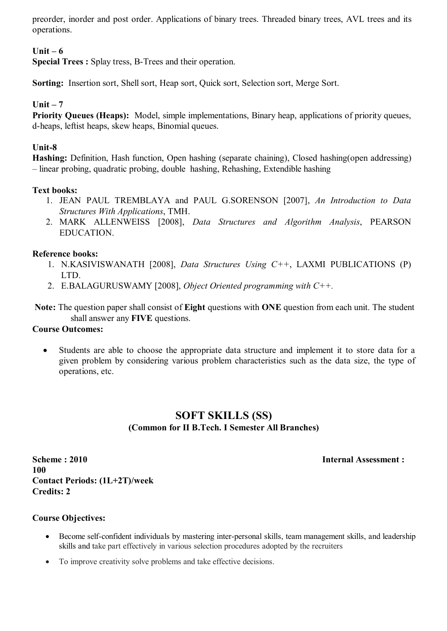preorder, inorder and post order. Applications of binary trees. Threaded binary trees, AVL trees and its operations.

#### **Unit – 6**

**Special Trees :** Splay tress, B-Trees and their operation.

**Sorting:** Insertion sort, Shell sort, Heap sort, Quick sort, Selection sort, Merge Sort.

#### **Unit – 7**

**Priority Queues (Heaps):** Model, simple implementations, Binary heap, applications of priority queues, d-heaps, leftist heaps, skew heaps, Binomial queues.

#### **Unit-8**

**Hashing:** Definition, Hash function, Open hashing (separate chaining), Closed hashing(open addressing) – linear probing, quadratic probing, double hashing, Rehashing, Extendible hashing

#### **Text books:**

- 1. JEAN PAUL TREMBLAYA and PAUL G.SORENSON [2007], *An Introduction to Data Structures With Applications*, TMH.
- 2. MARK ALLENWEISS [2008], *Data Structures and Algorithm Analysis*, PEARSON EDUCATION.

#### **Reference books:**

- 1. N.KASIVISWANATH [2008], *Data Structures Using C++*, LAXMI PUBLICATIONS (P) LTD.
- 2. E.BALAGURUSWAMY [2008], *Object Oriented programming with C++.*

**Note:** The question paper shall consist of **Eight** questions with **ONE** question from each unit. The student shall answer any **FIVE** questions.

#### **Course Outcomes:**

 Students are able to choose the appropriate data structure and implement it to store data for a given problem by considering various problem characteristics such as the data size, the type of operations, etc.

#### **SOFT SKILLS (SS) (Common for II B.Tech. I Semester All Branches)**

**Scheme : 2010 Internal Assessment : 100 Contact Periods: (1L+2T)/week Credits: 2** 

#### **Course Objectives:**

- Become self-confident individuals by mastering inter-personal skills, team management skills, and leadership skills and take part effectively in various selection procedures adopted by the recruiters
- To improve creativity solve problems and take effective decisions.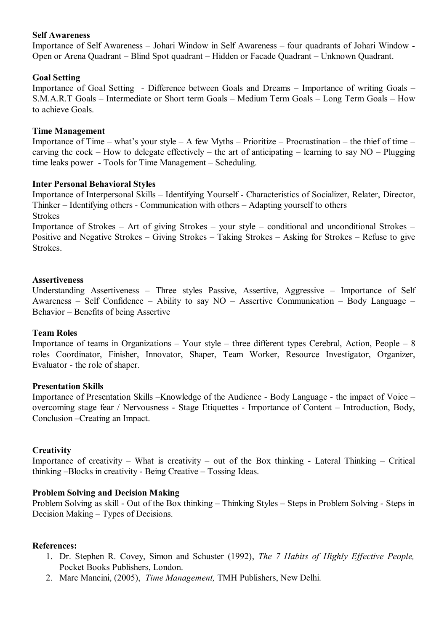#### **Self Awareness**

Importance of Self Awareness – Johari Window in Self Awareness – four quadrants of Johari Window - Open or Arena Quadrant – Blind Spot quadrant – Hidden or Facade Quadrant – Unknown Quadrant.

#### **Goal Setting**

Importance of Goal Setting - Difference between Goals and Dreams – Importance of writing Goals – S.M.A.R.T Goals – Intermediate or Short term Goals – Medium Term Goals – Long Term Goals – How to achieve Goals.

#### **Time Management**

Importance of Time – what's your style – A few Myths – Prioritize – Procrastination – the thief of time – carving the cock – How to delegate effectively – the art of anticipating – learning to say  $NO - Plugging$ time leaks power - Tools for Time Management – Scheduling.

#### **Inter Personal Behavioral Styles**

Importance of Interpersonal Skills – Identifying Yourself - Characteristics of Socializer, Relater, Director, Thinker – Identifying others - Communication with others – Adapting yourself to others Strokes

Importance of Strokes – Art of giving Strokes – your style – conditional and unconditional Strokes – Positive and Negative Strokes – Giving Strokes – Taking Strokes – Asking for Strokes – Refuse to give Strokes.

#### **Assertiveness**

Understanding Assertiveness – Three styles Passive, Assertive, Aggressive – Importance of Self Awareness – Self Confidence – Ability to say NO – Assertive Communication – Body Language – Behavior – Benefits of being Assertive

#### **Team Roles**

Importance of teams in Organizations – Your style – three different types Cerebral, Action, People – 8 roles Coordinator, Finisher, Innovator, Shaper, Team Worker, Resource Investigator, Organizer, Evaluator - the role of shaper.

#### **Presentation Skills**

Importance of Presentation Skills –Knowledge of the Audience - Body Language - the impact of Voice – overcoming stage fear / Nervousness - Stage Etiquettes - Importance of Content – Introduction, Body, Conclusion –Creating an Impact.

#### **Creativity**

Importance of creativity – What is creativity – out of the Box thinking - Lateral Thinking – Critical thinking –Blocks in creativity - Being Creative – Tossing Ideas.

#### **Problem Solving and Decision Making**

Problem Solving as skill - Out of the Box thinking – Thinking Styles – Steps in Problem Solving - Steps in Decision Making – Types of Decisions.

#### **References:**

- 1. Dr. Stephen R. Covey, Simon and Schuster (1992), *The 7 Habits of Highly Effective People,* Pocket Books Publishers, London.
- 2. Marc Mancini, (2005), *Time Management,* TMH Publishers, New Delhi.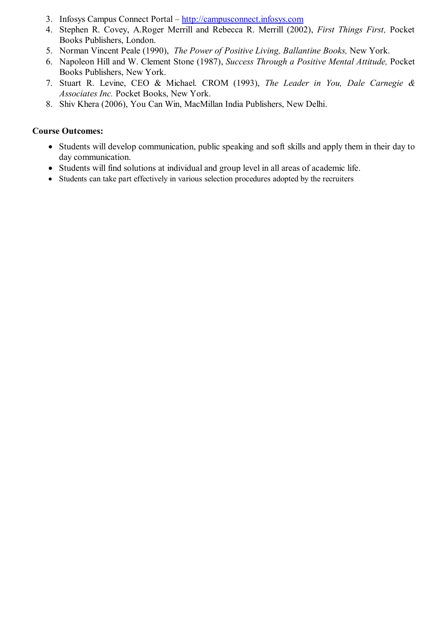- 3. Infosys Campus Connect Portal http://campusconnect.infosys.com
- 4. Stephen R. Covey, A.Roger Merrill and Rebecca R. Merrill (2002), *First Things First,* Pocket Books Publishers, London.
- 5. Norman Vincent Peale (1990), *The Power of Positive Living, Ballantine Books,* New York.
- 6. Napoleon Hill and W. Clement Stone (1987), *Success Through a Positive Mental Attitude,* Pocket Books Publishers, New York.
- 7. Stuart R. Levine, CEO & Michael. CROM (1993), *The Leader in You, Dale Carnegie & Associates Inc.* Pocket Books, New York.
- 8. Shiv Khera (2006), You Can Win, MacMillan India Publishers, New Delhi.

#### **Course Outcomes:**

- Students will develop communication, public speaking and soft skills and apply them in their day to day communication.
- Students will find solutions at individual and group level in all areas of academic life.
- Students can take part effectively in various selection procedures adopted by the recruiters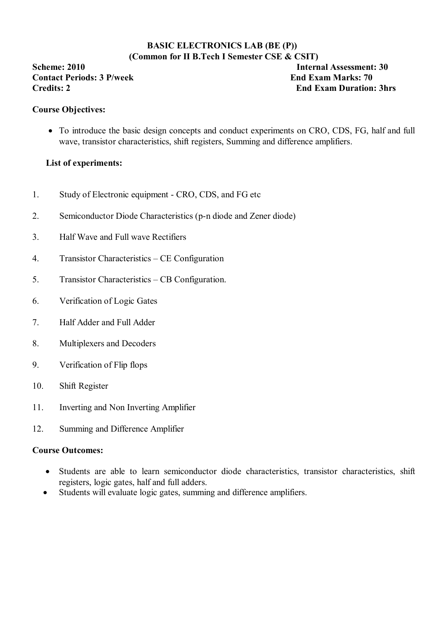#### **BASIC ELECTRONICS LAB (BE (P)) (Common for II B.Tech I Semester CSE & CSIT)**

**Contact Periods: 3 P/week End Exam Marks: 70** 

**Scheme: 2010 Internal Assessment: 30 Credits: 2 End Exam Duration: 3hrs** 

#### **Course Objectives:**

• To introduce the basic design concepts and conduct experiments on CRO, CDS, FG, half and full wave, transistor characteristics, shift registers, Summing and difference amplifiers.

#### **List of experiments:**

- 1. Study of Electronic equipment CRO, CDS, and FG etc
- 2. Semiconductor Diode Characteristics (p-n diode and Zener diode)
- 3. Half Wave and Full wave Rectifiers
- 4. Transistor Characteristics CE Configuration
- 5. Transistor Characteristics CB Configuration.
- 6. Verification of Logic Gates
- 7. Half Adder and Full Adder
- 8. Multiplexers and Decoders
- 9. Verification of Flip flops
- 10. Shift Register
- 11. Inverting and Non Inverting Amplifier
- 12. Summing and Difference Amplifier

#### **Course Outcomes:**

- Students are able to learn semiconductor diode characteristics, transistor characteristics, shift registers, logic gates, half and full adders.
- Students will evaluate logic gates, summing and difference amplifiers.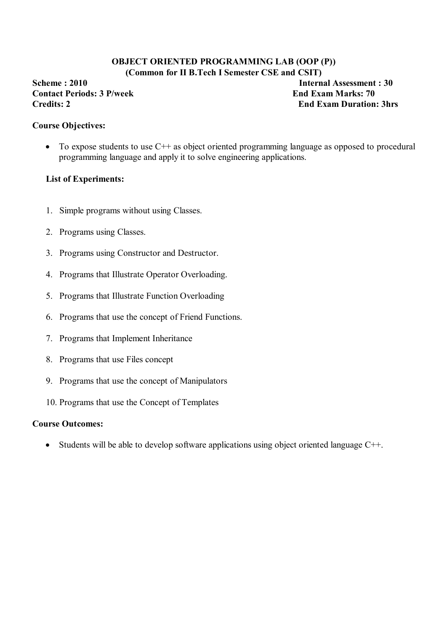#### **OBJECT ORIENTED PROGRAMMING LAB (OOP (P)) (Common for II B.Tech I Semester CSE and CSIT)**

**Scheme : 2010 Internal Assessment : 30 Contact Periods: 3 P/week End Exam Marks: 70** 

**Credits: 2 End Exam Duration: 3hrs** 

#### **Course Objectives:**

 $\bullet$  To expose students to use C++ as object oriented programming language as opposed to procedural programming language and apply it to solve engineering applications.

#### **List of Experiments:**

- 1. Simple programs without using Classes.
- 2. Programs using Classes.
- 3. Programs using Constructor and Destructor.
- 4. Programs that Illustrate Operator Overloading.
- 5. Programs that Illustrate Function Overloading
- 6. Programs that use the concept of Friend Functions.
- 7. Programs that Implement Inheritance
- 8. Programs that use Files concept
- 9. Programs that use the concept of Manipulators
- 10. Programs that use the Concept of Templates

#### **Course Outcomes:**

• Students will be able to develop software applications using object oriented language  $C++$ .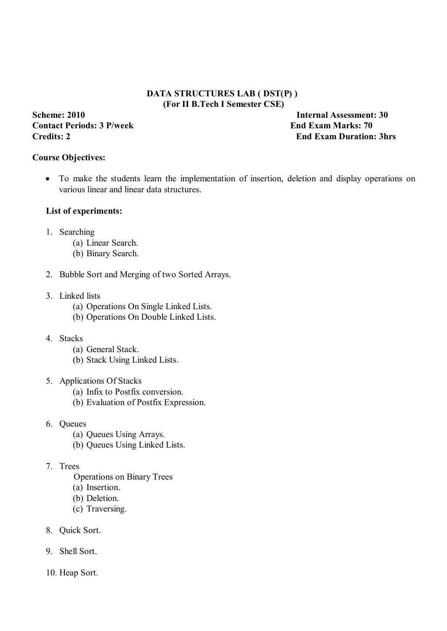#### **DATA STRUCTURES LAB ( DST(P) ) (For II B.Tech I Semester CSE)**

# **Contact Periods: 3 P/week End Exam Marks: 70**

**Scheme: 2010 Internal Assessment: 30 Credits: 2 End Exam Duration: 3hrs** 

#### **Course Objectives:**

 To make the students learn the implementation of insertion, deletion and display operations on various linear and linear data structures.

#### **List of experiments:**

- 1. Searching
	- (a) Linear Search.
	- (b) Binary Search.
- 2. Bubble Sort and Merging of two Sorted Arrays.
- 3. Linked lists
	- (a) Operations On Single Linked Lists.
	- (b) Operations On Double Linked Lists.
- 4. Stacks
	- (a) General Stack.
	- (b) Stack Using Linked Lists.
- 5. Applications Of Stacks
	- (a) Infix to Postfix conversion.
	- (b) Evaluation of Postfix Expression.
- 6. Queues
	- (a) Queues Using Arrays.
	- (b) Queues Using Linked Lists.

#### 7. Trees

- Operations on Binary Trees
- (a) Insertion.
- (b) Deletion.
- (c) Traversing.
- 8. Quick Sort.
- 9. Shell Sort.
- 10. Heap Sort.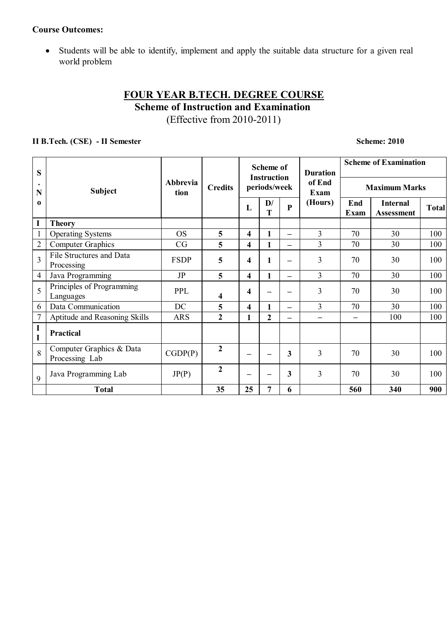#### **Course Outcomes:**

 Students will be able to identify, implement and apply the suitable data structure for a given real world problem

### **FOUR YEAR B.TECH. DEGREE COURSE Scheme of Instruction and Examination** (Effective from 2010-2011)

#### **II B.Tech. (CSE)** - II Semester Scheme: 2010

| S              | <b>Subject</b>                             | <b>Abbrevia</b><br>tion | <b>Credits</b> |                         | <b>Scheme of</b><br><b>Instruction</b> |                 | <b>Duration</b><br>of End<br><b>Exam</b><br>(Hours) | <b>Scheme of Examination</b> |                                      |       |
|----------------|--------------------------------------------|-------------------------|----------------|-------------------------|----------------------------------------|-----------------|-----------------------------------------------------|------------------------------|--------------------------------------|-------|
| $\bullet$<br>N |                                            |                         |                |                         | periods/week                           |                 |                                                     | <b>Maximum Marks</b>         |                                      |       |
| $\bf{0}$       |                                            |                         |                | L                       | $\mathbf{D}/$<br>T                     | ${\bf P}$       |                                                     | End<br>Exam                  | <b>Internal</b><br><b>Assessment</b> | Total |
| I              | <b>Theory</b>                              |                         |                |                         |                                        |                 |                                                     |                              |                                      |       |
| $\mathbf{1}$   | <b>Operating Systems</b>                   | <b>OS</b>               | 5              | $\overline{\mathbf{4}}$ | 1                                      |                 | 3                                                   | 70                           | 30                                   | 100   |
| $\overline{2}$ | <b>Computer Graphics</b>                   | CG                      | 5              | $\overline{\mathbf{4}}$ | 1                                      | —               | $\overline{3}$                                      | 70                           | 30                                   | 100   |
| $\overline{3}$ | File Structures and Data<br>Processing     | <b>FSDP</b>             | 5              | 4                       |                                        | —               | 3                                                   | 70                           | 30                                   | 100   |
| $\overline{4}$ | Java Programming                           | JP                      | 5              | $\overline{\mathbf{4}}$ |                                        | —               | 3                                                   | 70                           | 30                                   | 100   |
| 5              | Principles of Programming<br>Languages     | <b>PPL</b>              | 4              | 4                       |                                        | -               | 3                                                   | 70                           | 30                                   | 100   |
| 6              | Data Communication                         | DC                      | 5              | $\overline{\mathbf{4}}$ |                                        | $\qquad \qquad$ | 3                                                   | 70                           | 30                                   | 100   |
| $\tau$         | Aptitude and Reasoning Skills              | <b>ARS</b>              | $\overline{2}$ | 1                       | $\overline{2}$                         | —               | —                                                   | $\overline{\phantom{0}}$     | 100                                  | 100   |
| I<br>I         | <b>Practical</b>                           |                         |                |                         |                                        |                 |                                                     |                              |                                      |       |
| 8              | Computer Graphics & Data<br>Processing Lab | CGDP(P)                 | $\overline{2}$ |                         |                                        | 3               | 3                                                   | 70                           | 30                                   | 100   |
| 9              | Java Programming Lab                       | JP(P)                   | 2              |                         |                                        | 3               | 3                                                   | 70                           | 30                                   | 100   |
|                | <b>Total</b>                               |                         | 35             | 25                      | 7                                      | 6               |                                                     | 560                          | 340                                  | 900   |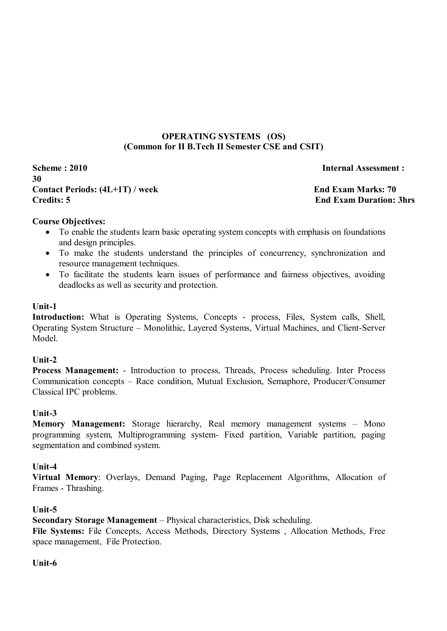#### **OPERATING SYSTEMS (OS) (Common for II B.Tech II Semester CSE and CSIT)**

**Scheme : 2010 Internal Assessment : 30** Contact Periods:  $(4L+1T)$  / week End Exam Marks: 70 **Credits: 5 End Exam Duration: 3hrs**

#### **Course Objectives:**

- To enable the students learn basic operating system concepts with emphasis on foundations and design principles.
- To make the students understand the principles of concurrency, synchronization and resource management techniques.
- To facilitate the students learn issues of performance and fairness objectives, avoiding deadlocks as well as security and protection.

#### **Unit-1**

Introduction: What is Operating Systems, Concepts - process, Files, System calls, Shell, Operating System Structure – Monolithic, Layered Systems, Virtual Machines, and Client-Server Model.

#### **Unit-2**

**Process Management:** - Introduction to process, Threads, Process scheduling. Inter Process Communication concepts – Race condition, Mutual Exclusion, Semaphore, Producer/Consumer Classical IPC problems.

#### **Unit-3**

**Memory Management:** Storage hierarchy, Real memory management systems – Mono programming system, Multiprogramming system- Fixed partition, Variable partition, paging segmentation and combined system.

#### **Unit-4**

**Virtual Memory**: Overlays, Demand Paging, Page Replacement Algorithms, Allocation of Frames - Thrashing.

#### **Unit-5**

**Secondary Storage Management** – Physical characteristics, Disk scheduling.

**File Systems:** File Concepts, Access Methods, Directory Systems , Allocation Methods, Free space management, File Protection.

#### **Unit-6**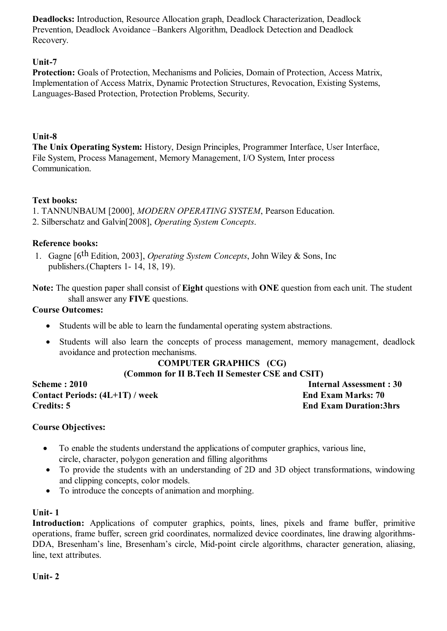**Deadlocks:** Introduction, Resource Allocation graph, Deadlock Characterization, Deadlock Prevention, Deadlock Avoidance –Bankers Algorithm, Deadlock Detection and Deadlock Recovery.

#### **Unit-7**

**Protection:** Goals of Protection, Mechanisms and Policies, Domain of Protection, Access Matrix, Implementation of Access Matrix, Dynamic Protection Structures, Revocation, Existing Systems, Languages-Based Protection, Protection Problems, Security.

#### **Unit-8**

**The Unix Operating System:** History, Design Principles, Programmer Interface, User Interface, File System, Process Management, Memory Management, I/O System, Inter process Communication.

#### **Text books:**

1. TANNUNBAUM [2000], *MODERN OPERATING SYSTEM*, Pearson Education.

2. Silberschatz and Galvin[2008], *Operating System Concepts*.

#### **Reference books:**

1. Gagne [6th Edition, 2003], *Operating System Concepts*, John Wiley & Sons, Inc publishers.(Chapters 1- 14, 18, 19).

**Note:** The question paper shall consist of **Eight** questions with **ONE** question from each unit. The student shall answer any **FIVE** questions.

#### **Course Outcomes:**

- Students will be able to learn the fundamental operating system abstractions.
- Students will also learn the concepts of process management, memory management, deadlock avoidance and protection mechanisms.

#### **COMPUTER GRAPHICS (CG)**

#### **(Common for II B.Tech II Semester CSE and CSIT)**

Contact Periods:  $(4L+1T)$  / week End Exam Marks: 70 **Credits: 5 End Exam Duration:3hrs**

**Scheme : 2010** Internal Assessment : 30

#### **Course Objectives:**

- To enable the students understand the applications of computer graphics, various line, circle, character, polygon generation and filling algorithms
- To provide the students with an understanding of 2D and 3D object transformations, windowing and clipping concepts, color models.
- To introduce the concepts of animation and morphing.

#### **Unit- 1**

**Introduction:** Applications of computer graphics, points, lines, pixels and frame buffer, primitive operations, frame buffer, screen grid coordinates, normalized device coordinates, line drawing algorithms-DDA, Bresenham's line, Bresenham's circle, Mid-point circle algorithms, character generation, aliasing, line, text attributes.

**Unit- 2**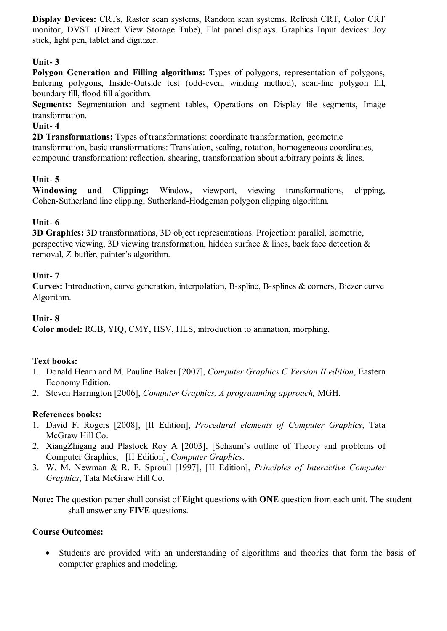**Display Devices:** CRTs, Raster scan systems, Random scan systems, Refresh CRT, Color CRT monitor, DVST (Direct View Storage Tube), Flat panel displays. Graphics Input devices: Joy stick, light pen, tablet and digitizer.

#### **Unit- 3**

**Polygon Generation and Filling algorithms:** Types of polygons, representation of polygons, Entering polygons, Inside-Outside test (odd-even, winding method), scan-line polygon fill, boundary fill, flood fill algorithm.

**Segments:** Segmentation and segment tables, Operations on Display file segments, Image transformation.

#### **Unit- 4**

**2D Transformations:** Types of transformations: coordinate transformation, geometric transformation, basic transformations: Translation, scaling, rotation, homogeneous coordinates, compound transformation: reflection, shearing, transformation about arbitrary points & lines.

#### **Unit- 5**

**Windowing and Clipping:** Window, viewport, viewing transformations, clipping, Cohen-Sutherland line clipping, Sutherland-Hodgeman polygon clipping algorithm.

#### **Unit- 6**

**3D Graphics:** 3D transformations, 3D object representations. Projection: parallel, isometric, perspective viewing, 3D viewing transformation, hidden surface & lines, back face detection & removal, Z-buffer, painter's algorithm.

#### **Unit- 7**

**Curves:** Introduction, curve generation, interpolation, B-spline, B-splines & corners, Biezer curve Algorithm.

#### **Unit- 8**

**Color model:** RGB, YIQ, CMY, HSV, HLS, introduction to animation, morphing.

#### **Text books:**

- 1. Donald Hearn and M. Pauline Baker [2007], *Computer Graphics C Version II edition*, Eastern Economy Edition.
- 2. Steven Harrington [2006], *Computer Graphics, A programming approach,* MGH.

#### **References books:**

- 1. David F. Rogers [2008], [II Edition], *Procedural elements of Computer Graphics*, Tata McGraw Hill Co.
- 2. XiangZhigang and Plastock Roy A [2003], [Schaum's outline of Theory and problems of Computer Graphics, [II Edition], *Computer Graphics*.
- 3. W. M. Newman & R. F. Sproull [1997], [II Edition], *Principles of Interactive Computer Graphics*, Tata McGraw Hill Co.

**Note:** The question paper shall consist of **Eight** questions with **ONE** question from each unit. The student shall answer any **FIVE** questions.

#### **Course Outcomes:**

 Students are provided with an understanding of algorithms and theories that form the basis of computer graphics and modeling.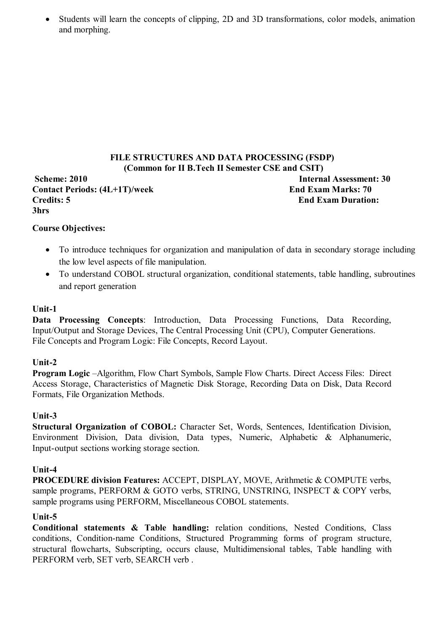Students will learn the concepts of clipping, 2D and 3D transformations, color models, animation and morphing.

#### **FILE STRUCTURES AND DATA PROCESSING (FSDP) (Common for II B.Tech II Semester CSE and CSIT) Scheme: 2010 Internal Assessment: 30** Contact Periods:  $(4L+1T)$ /week End Exam Marks: 70 **Credits: 5 End Exam Duration:**

**Course Objectives:**

- To introduce techniques for organization and manipulation of data in secondary storage including the low level aspects of file manipulation.
- To understand COBOL structural organization, conditional statements, table handling, subroutines and report generation

#### **Unit-1**

**3hrs** 

**Data Processing Concepts**: Introduction, Data Processing Functions, Data Recording, Input/Output and Storage Devices, The Central Processing Unit (CPU), Computer Generations. File Concepts and Program Logic: File Concepts, Record Layout.

#### **Unit-2**

**Program Logic** –Algorithm, Flow Chart Symbols, Sample Flow Charts. Direct Access Files: Direct Access Storage, Characteristics of Magnetic Disk Storage, Recording Data on Disk, Data Record Formats, File Organization Methods.

#### **Unit-3**

**Structural Organization of COBOL:** Character Set, Words, Sentences, Identification Division, Environment Division, Data division, Data types, Numeric, Alphabetic & Alphanumeric, Input-output sections working storage section.

#### **Unit-4**

**PROCEDURE division Features:** ACCEPT, DISPLAY, MOVE, Arithmetic & COMPUTE verbs, sample programs, PERFORM & GOTO verbs, STRING, UNSTRING, INSPECT & COPY verbs, sample programs using PERFORM, Miscellaneous COBOL statements.

#### **Unit-5**

**Conditional statements & Table handling:** relation conditions, Nested Conditions, Class conditions, Condition-name Conditions, Structured Programming forms of program structure, structural flowcharts, Subscripting, occurs clause, Multidimensional tables, Table handling with PERFORM verb, SET verb, SEARCH verb .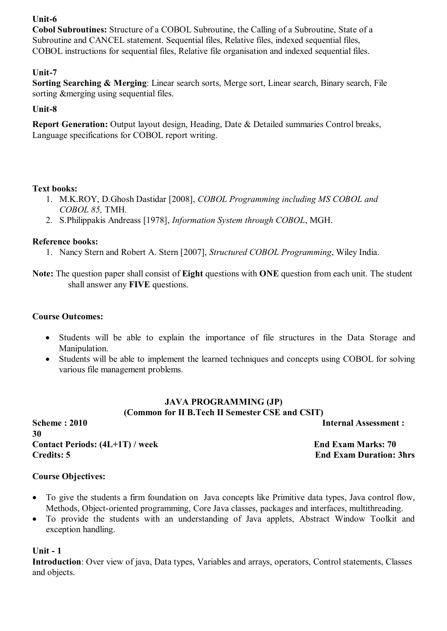#### **Unit-6**

**Cobol Subroutines:** Structure of a COBOL Subroutine, the Calling of a Subroutine, State of a Subroutine and CANCEL statement. Sequential files, Relative files, indexed sequential files, COBOL instructions for sequential files, Relative file organisation and indexed sequential files.

#### **Unit-7**

**Sorting Searching & Merging**: Linear search sorts, Merge sort, Linear search, Binary search, File sorting &merging using sequential files.

#### **Unit-8**

**Report Generation:** Output layout design, Heading, Date & Detailed summaries Control breaks, Language specifications for COBOL report writing.

#### **Text books:**

- 1. M.K.ROY, D.Ghosh Dastidar [2008], *COBOL Programming including MS COBOL and COBOL 85,* TMH*.*
- 2. S.Philippakis Andreass [1978], *Information System through COBOL*, MGH.

#### **Reference books:**

1. Nancy Stern and Robert A. Stern [2007], *Structured COBOL Programming*, Wiley India.

**Note:** The question paper shall consist of **Eight** questions with **ONE** question from each unit. The student shall answer any **FIVE** questions.

#### **Course Outcomes:**

- Students will be able to explain the importance of file structures in the Data Storage and Manipulation.
- Students will be able to implement the learned techniques and concepts using COBOL for solving various file management problems.

#### **JAVA PROGRAMMING (JP) (Common for II B.Tech II Semester CSE and CSIT)**

**Scheme : 2010 Internal Assessment : 30** Contact Periods:  $(4L+1T)$  / week End Exam Marks: 70 **Credits: 5 End Exam Duration: 3hrs**

#### **Course Objectives:**

- To give the students a firm foundation on Java concepts like Primitive data types, Java control flow, Methods, Object-oriented programming, Core Java classes, packages and interfaces, multithreading.
- To provide the students with an understanding of Java applets, Abstract Window Toolkit and exception handling.

#### **Unit - 1**

**Introduction**: Over view of java, Data types, Variables and arrays, operators, Control statements, Classes and objects.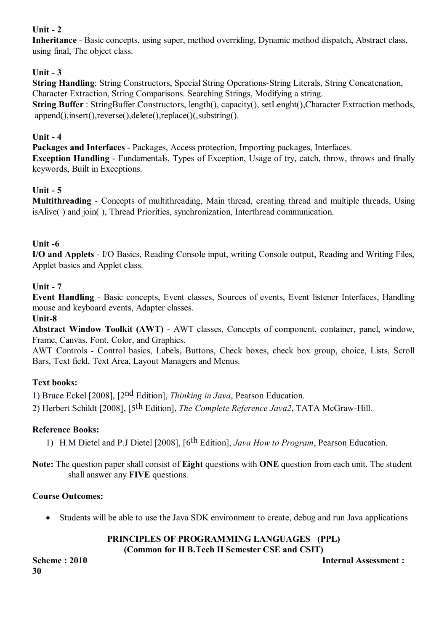#### **Unit - 2**

**Inheritance** - Basic concepts, using super, method overriding, Dynamic method dispatch, Abstract class, using final, The object class.

#### **Unit - 3**

**String Handling:** String Constructors, Special String Operations-String Literals, String Concatenation, Character Extraction, String Comparisons. Searching Strings, Modifying a string. **String Buffer**: StringBuffer Constructors, length(), capacity(), setLenght(), Character Extraction methods, append(),insert(),reverse(),delete(),replace()(,substring().

#### **Unit - 4**

**Packages and Interfaces** - Packages, Access protection, Importing packages, Interfaces. **Exception Handling** - Fundamentals, Types of Exception, Usage of try, catch, throw, throws and finally keywords, Built in Exceptions.

#### **Unit - 5**

**Multithreading** - Concepts of multithreading, Main thread, creating thread and multiple threads, Using isAlive( ) and join( ), Thread Priorities, synchronization, Interthread communication.

#### **Unit -6**

**I/O and Applets** - I/O Basics, Reading Console input, writing Console output, Reading and Writing Files, Applet basics and Applet class.

#### **Unit - 7**

**Event Handling** - Basic concepts, Event classes, Sources of events, Event listener Interfaces, Handling mouse and keyboard events, Adapter classes.

#### **Unit-8**

**Abstract Window Toolkit (AWT)** - AWT classes, Concepts of component, container, panel, window, Frame, Canvas, Font, Color, and Graphics.

AWT Controls - Control basics, Labels, Buttons, Check boxes, check box group, choice, Lists, Scroll Bars, Text field, Text Area, Layout Managers and Menus.

#### **Text books:**

1) Bruce Eckel [2008], [2nd Edition], *Thinking in Java*, Pearson Education.

2) Herbert Schildt [2008], [5th Edition], *The Complete Reference Java2*, TATA McGraw-Hill.

#### **Reference Books:**

1) H.M Dietel and P.J Dietel [2008], [6th Edition], *Java How to Program*, Pearson Education.

**Note:** The question paper shall consist of **Eight** questions with **ONE** question from each unit. The student shall answer any **FIVE** questions.

#### **Course Outcomes:**

Students will be able to use the Java SDK environment to create, debug and run Java applications

# **PRINCIPLES OF PROGRAMMING LANGUAGES (PPL)**

**(Common for II B.Tech II Semester CSE and CSIT)**

**30**

#### **Scheme : 2010** Internal Assessment :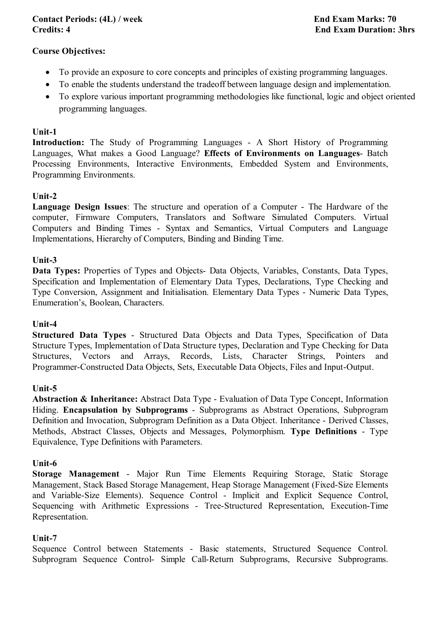#### **Contact Periods: (4L) / week End Exam Marks: 70 Credits: 4 End Exam Duration: 3hrs**

#### **Course Objectives:**

- To provide an exposure to core concepts and principles of existing programming languages.
- To enable the students understand the tradeoff between language design and implementation.
- To explore various important programming methodologies like functional, logic and object oriented programming languages.

#### **Unit-1**

**Introduction:** The Study of Programming Languages - A Short History of Programming Languages, What makes a Good Language? **Effects of Environments on Languages**- Batch Processing Environments, Interactive Environments, Embedded System and Environments, Programming Environments.

#### **Unit-2**

**Language Design Issues**: The structure and operation of a Computer - The Hardware of the computer, Firmware Computers, Translators and Software Simulated Computers. Virtual Computers and Binding Times - Syntax and Semantics, Virtual Computers and Language Implementations, Hierarchy of Computers, Binding and Binding Time.

#### **Unit-3**

**Data Types:** Properties of Types and Objects- Data Objects, Variables, Constants, Data Types, Specification and Implementation of Elementary Data Types, Declarations, Type Checking and Type Conversion, Assignment and Initialisation. Elementary Data Types - Numeric Data Types, Enumeration's, Boolean, Characters.

#### **Unit-4**

**Structured Data Types** - Structured Data Objects and Data Types, Specification of Data Structure Types, Implementation of Data Structure types, Declaration and Type Checking for Data Structures, Vectors and Arrays, Records, Lists, Character Strings, Pointers and Programmer-Constructed Data Objects, Sets, Executable Data Objects, Files and Input-Output.

#### **Unit-5**

**Abstraction & Inheritance:** Abstract Data Type - Evaluation of Data Type Concept, Information Hiding. **Encapsulation by Subprograms** - Subprograms as Abstract Operations, Subprogram Definition and Invocation, Subprogram Definition as a Data Object. Inheritance - Derived Classes, Methods, Abstract Classes, Objects and Messages, Polymorphism. **Type Definitions** - Type Equivalence, Type Definitions with Parameters.

#### **Unit-6**

**Storage Management** - Major Run Time Elements Requiring Storage, Static Storage Management, Stack Based Storage Management, Heap Storage Management (Fixed-Size Elements and Variable-Size Elements). Sequence Control - Implicit and Explicit Sequence Control, Sequencing with Arithmetic Expressions - Tree-Structured Representation, Execution-Time Representation.

#### **Unit-7**

Sequence Control between Statements - Basic statements, Structured Sequence Control. Subprogram Sequence Control- Simple Call-Return Subprograms, Recursive Subprograms.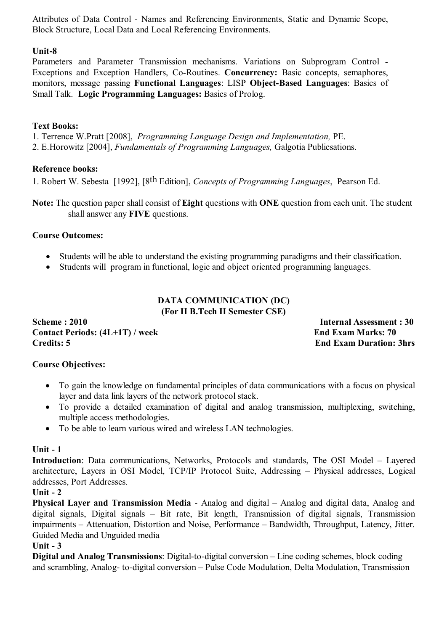Attributes of Data Control - Names and Referencing Environments, Static and Dynamic Scope, Block Structure, Local Data and Local Referencing Environments.

#### **Unit-8**

Parameters and Parameter Transmission mechanisms. Variations on Subprogram Control - Exceptions and Exception Handlers, Co-Routines. **Concurrency:** Basic concepts, semaphores, monitors, message passing **Functional Languages**: LISP **Object-Based Languages**: Basics of Small Talk. **Logic Programming Languages:** Basics of Prolog.

#### **Text Books:**

1. Terrence W.Pratt [2008], *Programming Language Design and Implementation,* PE. 2. E.Horowitz [2004], *Fundamentals of Programming Languages,* Galgotia Publicsations.

#### **Reference books:**

1. Robert W. Sebesta [1992], [8th Edition], *Concepts of Programming Languages*, Pearson Ed.

**Note:** The question paper shall consist of **Eight** questions with **ONE** question from each unit. The student shall answer any **FIVE** questions.

#### **Course Outcomes:**

- Students will be able to understand the existing programming paradigms and their classification.
- Students will program in functional, logic and object oriented programming languages.

#### **DATA COMMUNICATION (DC) (For II B.Tech II Semester CSE)**

**Scheme : 2010 Internal Assessment : 30** Contact Periods:  $(4L+1T)$  / week End Exam Marks: 70 **Credits: 5 End Exam Duration: 3hrs**

#### **Course Objectives:**

- To gain the knowledge on fundamental principles of data communications with a focus on physical layer and data link layers of the network protocol stack.
- To provide a detailed examination of digital and analog transmission, multiplexing, switching, multiple access methodologies.
- To be able to learn various wired and wireless LAN technologies.

#### **Unit - 1**

**Introduction**: Data communications, Networks, Protocols and standards, The OSI Model – Layered architecture, Layers in OSI Model, TCP/IP Protocol Suite, Addressing – Physical addresses, Logical addresses, Port Addresses.

#### **Unit - 2**

**Physical Layer and Transmission Media** - Analog and digital – Analog and digital data, Analog and digital signals, Digital signals – Bit rate, Bit length, Transmission of digital signals, Transmission impairments – Attenuation, Distortion and Noise, Performance – Bandwidth, Throughput, Latency, Jitter. Guided Media and Unguided media

#### **Unit - 3**

**Digital and Analog Transmissions**: Digital-to-digital conversion – Line coding schemes, block coding and scrambling, Analog- to-digital conversion – Pulse Code Modulation, Delta Modulation, Transmission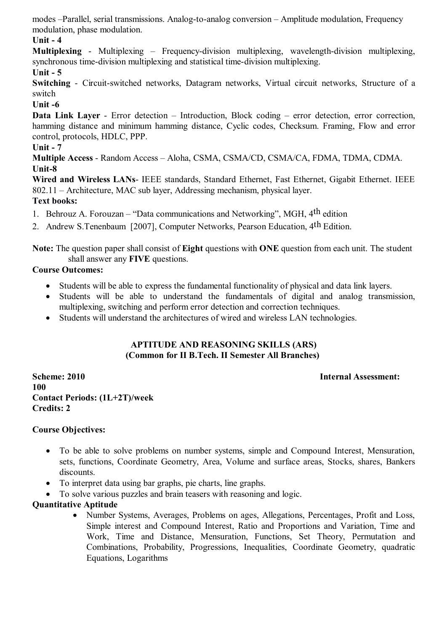modes –Parallel, serial transmissions. Analog-to-analog conversion – Amplitude modulation, Frequency modulation, phase modulation.

#### **Unit - 4**

**Multiplexing** - Multiplexing – Frequency-division multiplexing, wavelength-division multiplexing, synchronous time-division multiplexing and statistical time-division multiplexing.

#### **Unit - 5**

**Switching** - Circuit-switched networks, Datagram networks, Virtual circuit networks, Structure of a switch

#### **Unit -6**

**Data Link Layer** - Error detection – Introduction, Block coding – error detection, error correction, hamming distance and minimum hamming distance, Cyclic codes, Checksum, Framing, Flow and error control, protocols, HDLC, PPP.

#### **Unit - 7**

**Multiple Access** - Random Access – Aloha, CSMA, CSMA/CD, CSMA/CA, FDMA, TDMA, CDMA. **Unit-8**

**Wired and Wireless LANs**- IEEE standards, Standard Ethernet, Fast Ethernet, Gigabit Ethernet. IEEE 802.11 – Architecture, MAC sub layer, Addressing mechanism, physical layer. **Text books:**

1. Behrouz A. Forouzan – "Data communications and Networking", MGH, 4th edition

2. Andrew S. Tenenbaum [2007], Computer Networks, Pearson Education, 4<sup>th</sup> Edition.

**Note:** The question paper shall consist of **Eight** questions with **ONE** question from each unit. The student shall answer any **FIVE** questions.

#### **Course Outcomes:**

- Students will be able to express the fundamental functionality of physical and data link layers.
- Students will be able to understand the fundamentals of digital and analog transmission, multiplexing, switching and perform error detection and correction techniques.
- Students will understand the architectures of wired and wireless LAN technologies.

#### **APTITUDE AND REASONING SKILLS (ARS) (Common for II B.Tech. II Semester All Branches)**

**Scheme: 2010 Internal Assessment: 100 Contact Periods: (1L+2T)/week Credits: 2** 

#### **Course Objectives:**

- To be able to solve problems on number systems, simple and Compound Interest, Mensuration, sets, functions, Coordinate Geometry, Area, Volume and surface areas, Stocks, shares, Bankers discounts.
- To interpret data using bar graphs, pie charts, line graphs.
- To solve various puzzles and brain teasers with reasoning and logic.

#### **Quantitative Aptitude**

• Number Systems, Averages, Problems on ages, Allegations, Percentages, Profit and Loss, Simple interest and Compound Interest, Ratio and Proportions and Variation, Time and Work, Time and Distance, Mensuration, Functions, Set Theory, Permutation and Combinations, Probability, Progressions, Inequalities, Coordinate Geometry, quadratic Equations, Logarithms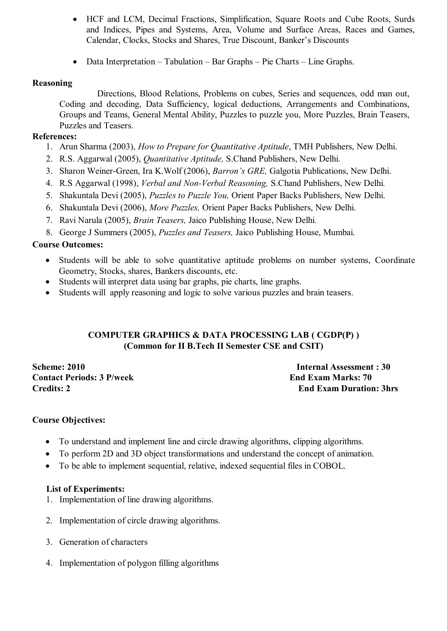- HCF and LCM, Decimal Fractions, Simplification, Square Roots and Cube Roots, Surds and Indices, Pipes and Systems, Area, Volume and Surface Areas, Races and Games, Calendar, Clocks, Stocks and Shares, True Discount, Banker's Discounts
- Data Interpretation Tabulation Bar Graphs Pie Charts Line Graphs.

#### **Reasoning**

Directions, Blood Relations, Problems on cubes, Series and sequences, odd man out, Coding and decoding, Data Sufficiency, logical deductions, Arrangements and Combinations, Groups and Teams, General Mental Ability, Puzzles to puzzle you, More Puzzles, Brain Teasers, Puzzles and Teasers.

#### **References:**

- 1. Arun Sharma (2003), *How to Prepare for Quantitative Aptitude*, TMH Publishers, New Delhi.
- 2. R.S. Aggarwal (2005), *Quantitative Aptitude,* S.Chand Publishers, New Delhi.
- 3. Sharon Weiner-Green, Ira K.Wolf (2006), *Barron's GRE,* Galgotia Publications, New Delhi.
- 4. R.S Aggarwal (1998), *Verbal and Non-Verbal Reasoning,* S.Chand Publishers, New Delhi.
- 5. Shakuntala Devi (2005), *Puzzles to Puzzle You,* Orient Paper Backs Publishers, New Delhi.
- 6. Shakuntala Devi (2006), *More Puzzles,* Orient Paper Backs Publishers, New Delhi.
- 7. Ravi Narula (2005), *Brain Teasers,* Jaico Publishing House, New Delhi.
- 8. George J Summers (2005), *Puzzles and Teasers,* Jaico Publishing House, Mumbai.

#### **Course Outcomes:**

- Students will be able to solve quantitative aptitude problems on number systems, Coordinate Geometry, Stocks, shares, Bankers discounts, etc.
- Students will interpret data using bar graphs, pie charts, line graphs.
- Students will apply reasoning and logic to solve various puzzles and brain teasers.

#### **COMPUTER GRAPHICS & DATA PROCESSING LAB ( CGDP(P) ) (Common for II B.Tech II Semester CSE and CSIT)**

**Scheme: 2010 Internal Assessment : 30 Contact Periods: 3 P/week End Exam Marks: 70** 

**Credits: 2 End Exam Duration: 3hrs** 

#### **Course Objectives:**

- To understand and implement line and circle drawing algorithms, clipping algorithms.
- To perform 2D and 3D object transformations and understand the concept of animation.
- To be able to implement sequential, relative, indexed sequential files in COBOL.

#### **List of Experiments:**

- 1. Implementation of line drawing algorithms.
- 2. Implementation of circle drawing algorithms.
- 3. Generation of characters
- 4. Implementation of polygon filling algorithms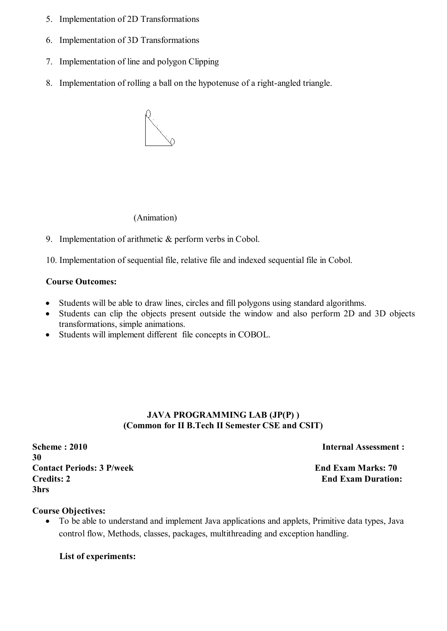- 5. Implementation of 2D Transformations
- 6. Implementation of 3D Transformations
- 7. Implementation of line and polygon Clipping
- 8. Implementation of rolling a ball on the hypotenuse of a right-angled triangle.



(Animation)

9. Implementation of arithmetic & perform verbs in Cobol.

10. Implementation of sequential file, relative file and indexed sequential file in Cobol.

#### **Course Outcomes:**

- Students will be able to draw lines, circles and fill polygons using standard algorithms.
- Students can clip the objects present outside the window and also perform 2D and 3D objects transformations, simple animations.
- Students will implement different file concepts in COBOL.

#### **JAVA PROGRAMMING LAB (JP(P) ) (Common for II B.Tech II Semester CSE and CSIT)**

**Scheme : 2010** Internal Assessment : **30 Contact Periods: 3 P/week End Exam Marks: 70 Credits: 2 End Exam Duration: 3hrs** 

#### **Course Objectives:**

 To be able to understand and implement Java applications and applets, Primitive data types, Java control flow, Methods, classes, packages, multithreading and exception handling.

**List of experiments:**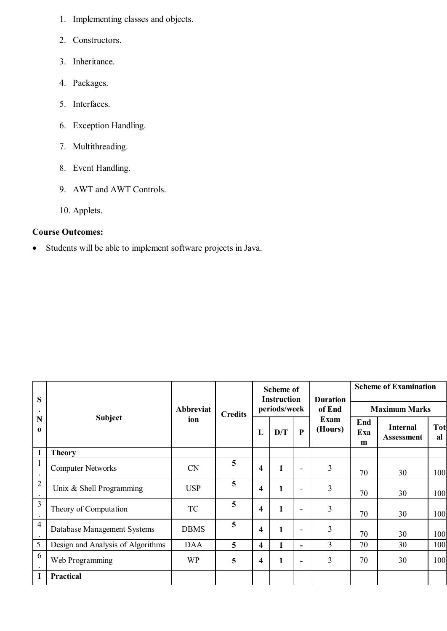- 1. Implementing classes and objects.
- 2. Constructors.
- 3. Inheritance.
- 4. Packages.
- 5. Interfaces.
- 6. Exception Handling.
- 7. Multithreading.
- 8. Event Handling.
- 9. AWT and AWT Controls.
- 10. Applets.

#### **Course Outcomes:**

Students will be able to implement software projects in Java.

| S                           |                                   | Abbreviat<br>ion | <b>Credits</b> |                         | <b>Scheme of</b><br><b>Instruction</b> |                          | <b>Duration</b><br>of End<br><b>Exam</b><br>(Hours) | <b>Scheme of Examination</b> |                                      |                  |
|-----------------------------|-----------------------------------|------------------|----------------|-------------------------|----------------------------------------|--------------------------|-----------------------------------------------------|------------------------------|--------------------------------------|------------------|
|                             |                                   |                  |                |                         | periods/week                           |                          |                                                     | <b>Maximum Marks</b>         |                                      |                  |
| N<br>$\mathbf 0$            | Subject                           |                  |                | L                       | D/T                                    | $\mathbf{P}$             |                                                     | End<br>Exa<br>m              | <b>Internal</b><br><b>Assessment</b> | <b>Tot</b><br>al |
| $\mathbf I$                 | <b>Theory</b>                     |                  |                |                         |                                        |                          |                                                     |                              |                                      |                  |
| $\mathbf{1}$                | <b>Computer Networks</b>          | <b>CN</b>        | 5              | $\overline{\mathbf{4}}$ | 1                                      | $\overline{\phantom{0}}$ | 3                                                   | 70                           | 30                                   | 100              |
| $\overline{2}$<br>$\bullet$ | Unix $&$ Shell Programming        | <b>USP</b>       | 5              | $\overline{\mathbf{4}}$ | 1                                      | ۰                        | 3                                                   | 70                           | 30                                   | 100              |
| 3                           | Theory of Computation             | TC               | 5              | $\overline{\mathbf{4}}$ |                                        | $\overline{\phantom{0}}$ | 3                                                   | 70                           | 30                                   | 100              |
| $\overline{4}$              | Database Management Systems       | <b>DBMS</b>      | 5              | 4                       |                                        | $\overline{\phantom{0}}$ | 3                                                   | 70                           | 30                                   | 100              |
| 5                           | Design and Analysis of Algorithms | <b>DAA</b>       | 5              | $\overline{\mathbf{4}}$ |                                        | $\blacksquare$           | 3                                                   | 70                           | 30                                   | 100              |
| 6                           | Web Programming                   | <b>WP</b>        | 5              | 4                       | 1                                      | -                        | 3                                                   | 70                           | 30                                   | 100              |
| I                           | <b>Practical</b>                  |                  |                |                         |                                        |                          |                                                     |                              |                                      |                  |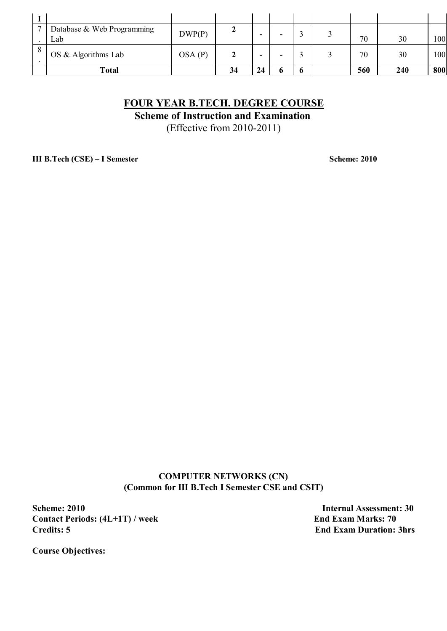| $\overline{\phantom{0}}$ | Database & Web Programming | DWP(P) | ∼  |                          |   |  |     |     |     |
|--------------------------|----------------------------|--------|----|--------------------------|---|--|-----|-----|-----|
|                          | Lab                        |        |    | -                        | - |  | 70  | 30  | 100 |
|                          | OS & Algorithms Lab        | OSA(P) |    | $\overline{\phantom{a}}$ | ۰ |  | 70  | 30  | 100 |
|                          | <b>Total</b>               |        | 34 | 24                       |   |  | 560 | 240 | 800 |

### **FOUR YEAR B.TECH. DEGREE COURSE**

**Scheme of Instruction and Examination**

(Effective from 2010-2011)

**III B.Tech (CSE) – I Semester Scheme: 2010** 

**COMPUTER NETWORKS (CN) (Common for III B.Tech I Semester CSE and CSIT)**

**Scheme: 2010** Internal Assessment: 30 **Contact Periods: (4L+1T) / week End Exam Marks: 70**<br>Credits: 5 End Exam Duration:

**End Exam Duration: 3hrs** 

**Course Objectives:**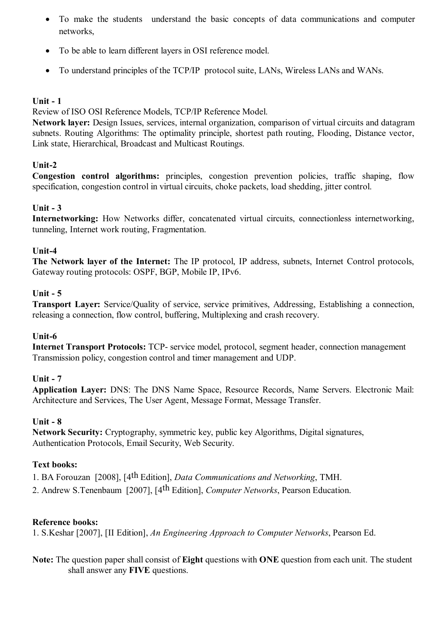- To make the students understand the basic concepts of data communications and computer networks,
- To be able to learn different layers in OSI reference model.
- To understand principles of the TCP/IP protocol suite, LANs, Wireless LANs and WANs.

#### **Unit - 1**

Review of ISO OSI Reference Models, TCP/IP Reference Model.

**Network layer:** Design Issues, services, internal organization, comparison of virtual circuits and datagram subnets. Routing Algorithms: The optimality principle, shortest path routing, Flooding, Distance vector, Link state, Hierarchical, Broadcast and Multicast Routings.

#### **Unit-2**

**Congestion control algorithms:** principles, congestion prevention policies, traffic shaping, flow specification, congestion control in virtual circuits, choke packets, load shedding, jitter control.

#### **Unit - 3**

**Internetworking:** How Networks differ, concatenated virtual circuits, connectionless internetworking, tunneling, Internet work routing, Fragmentation.

#### **Unit-4**

**The Network layer of the Internet:** The IP protocol, IP address, subnets, Internet Control protocols, Gateway routing protocols: OSPF, BGP, Mobile IP, IPv6.

#### **Unit - 5**

**Transport Layer:** Service/Quality of service, service primitives, Addressing, Establishing a connection, releasing a connection, flow control, buffering, Multiplexing and crash recovery.

#### **Unit-6**

**Internet Transport Protocols:** TCP- service model, protocol, segment header, connection management Transmission policy, congestion control and timer management and UDP.

#### **Unit - 7**

**Application Layer:** DNS: The DNS Name Space, Resource Records, Name Servers. Electronic Mail: Architecture and Services, The User Agent, Message Format, Message Transfer.

#### **Unit - 8**

**Network Security:** Cryptography, symmetric key, public key Algorithms, Digital signatures, Authentication Protocols, Email Security, Web Security.

#### **Text books:**

1. BA Forouzan [2008], [4th Edition], *Data Communications and Networking*, TMH.

2. Andrew S.Tenenbaum [2007], [4th Edition], *Computer Networks*, Pearson Education.

#### **Reference books:**

1. S.Keshar [2007], [II Edition], *An Engineering Approach to Computer Networks*, Pearson Ed.

**Note:** The question paper shall consist of **Eight** questions with **ONE** question from each unit. The student shall answer any **FIVE** questions.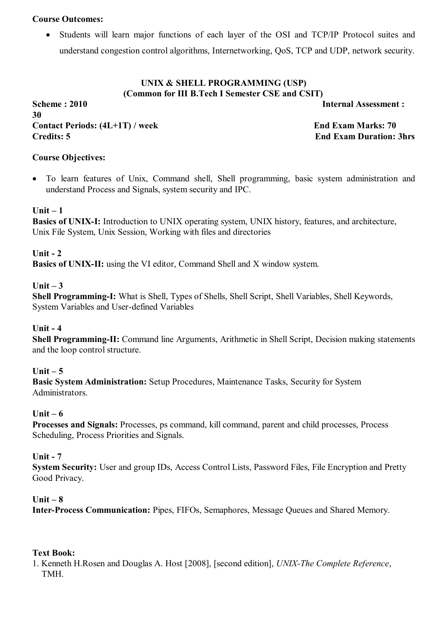#### **Course Outcomes:**

 Students will learn major functions of each layer of the OSI and TCP/IP Protocol suites and understand congestion control algorithms, Internetworking, QoS, TCP and UDP, network security.

#### **UNIX & SHELL PROGRAMMING (USP) (Common for III B.Tech I Semester CSE and CSIT)**

**Scheme : 2010 Internal Assessment : 30** Contact Periods:  $(4L+1T)$  / week End Exam Marks: 70 **Credits: 5 End Exam Duration: 3hrs**

#### **Course Objectives:**

 To learn features of Unix, Command shell, Shell programming, basic system administration and understand Process and Signals, system security and IPC.

#### **Unit – 1**

**Basics of UNIX-I:** Introduction to UNIX operating system, UNIX history, features, and architecture, Unix File System, Unix Session, Working with files and directories

#### **Unit - 2**

**Basics of UNIX-II:** using the VI editor, Command Shell and X window system.

#### **Unit – 3**

**Shell Programming-I:** What is Shell, Types of Shells, Shell Script, Shell Variables, Shell Keywords, System Variables and User-defined Variables

#### **Unit - 4**

**Shell Programming-II:** Command line Arguments, Arithmetic in Shell Script, Decision making statements and the loop control structure.

#### **Unit – 5**

**Basic System Administration:** Setup Procedures, Maintenance Tasks, Security for System Administrators.

#### **Unit – 6**

**Processes and Signals:** Processes, ps command, kill command, parent and child processes, Process Scheduling, Process Priorities and Signals.

#### **Unit - 7**

**System Security:** User and group IDs, Access Control Lists, Password Files, File Encryption and Pretty Good Privacy.

#### **Unit – 8**

**Inter-Process Communication:** Pipes, FIFOs, Semaphores, Message Queues and Shared Memory.

#### **Text Book:**

1. Kenneth H.Rosen and Douglas A. Host [2008], [second edition], *UNIX-The Complete Reference*, TMH.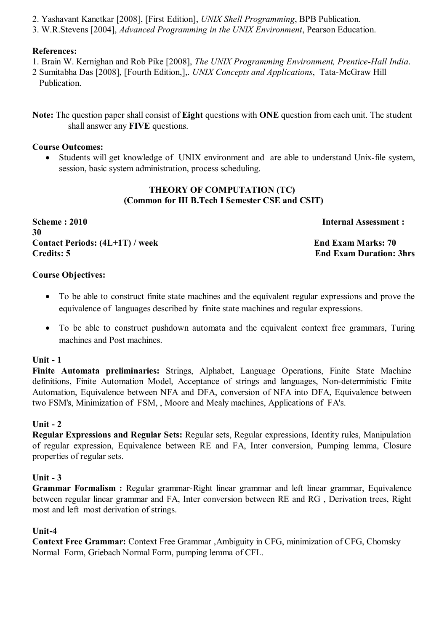- 2. Yashavant Kanetkar [2008], [First Edition], *UNIX Shell Programming*, BPB Publication.
- 3. W.R.Stevens [2004], *Advanced Programming in the UNIX Environment*, Pearson Education.

#### **References:**

- 1. Brain W. Kernighan and Rob Pike [2008], *The UNIX Programming Environment, Prentice-Hall India*.
- 2 Sumitabha Das [2008], [Fourth Edition,],. *UNIX Concepts and Applications*, Tata-McGraw Hill Publication.
- **Note:** The question paper shall consist of **Eight** questions with **ONE** question from each unit. The student shall answer any **FIVE** questions.

#### **Course Outcomes:**

 Students will get knowledge of UNIX environment and are able to understand Unix-file system, session, basic system administration, process scheduling.

#### **THEORY OF COMPUTATION (TC) (Common for III B.Tech I Semester CSE and CSIT)**

**Scheme : 2010 Internal Assessment : 30** Contact Periods:  $(4L+1T)$  / week End Exam Marks: 70 **Credits: 5 End Exam Duration: 3hrs**

#### **Course Objectives:**

- To be able to construct finite state machines and the equivalent regular expressions and prove the equivalence of languages described by finite state machines and regular expressions.
- To be able to construct pushdown automata and the equivalent context free grammars, Turing machines and Post machines.

#### **Unit - 1**

**Finite Automata preliminaries:** Strings, Alphabet, Language Operations, Finite State Machine definitions, Finite Automation Model, Acceptance of strings and languages, Non-deterministic Finite Automation, Equivalence between NFA and DFA, conversion of NFA into DFA, Equivalence between two FSM's, Minimization of FSM, , Moore and Mealy machines, Applications of FA's.

#### **Unit - 2**

**Regular Expressions and Regular Sets:** Regular sets, Regular expressions, Identity rules, Manipulation of regular expression, Equivalence between RE and FA, Inter conversion, Pumping lemma, Closure properties of regular sets.

#### **Unit - 3**

**Grammar Formalism :** Regular grammar-Right linear grammar and left linear grammar, Equivalence between regular linear grammar and FA, Inter conversion between RE and RG , Derivation trees, Right most and left most derivation of strings.

#### **Unit-4**

**Context Free Grammar:** Context Free Grammar ,Ambiguity in CFG, minimization of CFG, Chomsky Normal Form, Griebach Normal Form, pumping lemma of CFL.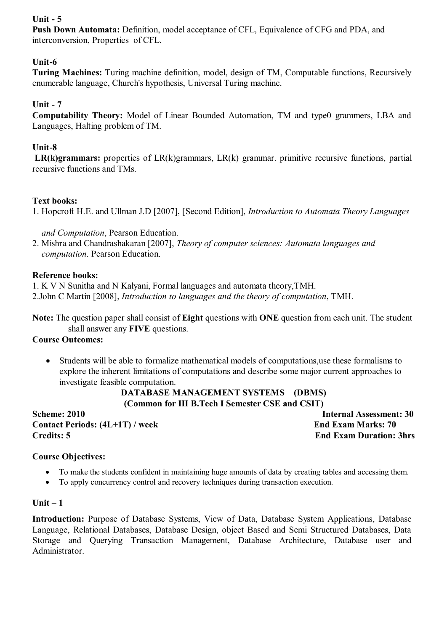#### **Unit - 5**

**Push Down Automata:** Definition, model acceptance of CFL, Equivalence of CFG and PDA, and interconversion, Properties of CFL.

#### **Unit-6**

**Turing Machines:** Turing machine definition, model, design of TM, Computable functions, Recursively enumerable language, Church's hypothesis, Universal Turing machine.

#### **Unit - 7**

**Computability Theory:** Model of Linear Bounded Automation, TM and type0 grammers, LBA and Languages, Halting problem of TM.

#### **Unit-8**

 **LR(k)grammars:** properties of LR(k)grammars, LR(k) grammar. primitive recursive functions, partial recursive functions and TMs.

#### **Text books:**

1. Hopcroft H.E. and Ullman J.D [2007], [Second Edition], *Introduction to Automata Theory Languages*

#### *and Computation*, Pearson Education.

2. Mishra and Chandrashakaran [2007], *Theory of computer sciences: Automata languages and computation*. Pearson Education.

#### **Reference books:**

1. K V N Sunitha and N Kalyani, Formal languages and automata theory,TMH.

2.John C Martin [2008], *Introduction to languages and the theory of computation*, TMH.

**Note:** The question paper shall consist of **Eight** questions with **ONE** question from each unit. The student shall answer any **FIVE** questions.

#### **Course Outcomes:**

 Students will be able to formalize mathematical models of computations,use these formalisms to explore the inherent limitations of computations and describe some major current approaches to investigate feasible computation.

#### **DATABASE MANAGEMENT SYSTEMS (DBMS) (Common for III B.Tech I Semester CSE and CSIT)**

**Scheme: 2010** Internal Assessment: 30 Contact Periods:  $(4L+1T)$  / week End Exam Marks: 70 **Credits: 5 End Exam Duration: 3hrs**

#### **Course Objectives:**

- To make the students confident in maintaining huge amounts of data by creating tables and accessing them.
- To apply concurrency control and recovery techniques during transaction execution.

#### **Unit – 1**

**Introduction:** Purpose of Database Systems, View of Data, Database System Applications, Database Language, Relational Databases, Database Design, object Based and Semi Structured Databases, Data Storage and Querying Transaction Management, Database Architecture, Database user and Administrator.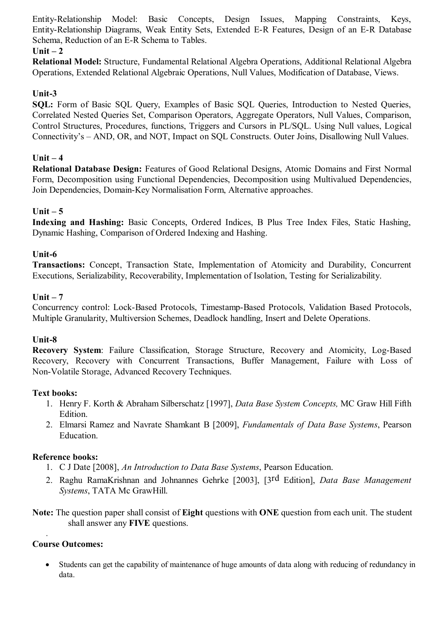Entity-Relationship Model: Basic Concepts, Design Issues, Mapping Constraints, Keys, Entity-Relationship Diagrams, Weak Entity Sets, Extended E-R Features, Design of an E-R Database Schema, Reduction of an E-R Schema to Tables.

#### **Unit – 2**

**Relational Model:** Structure, Fundamental Relational Algebra Operations, Additional Relational Algebra Operations, Extended Relational Algebraic Operations, Null Values, Modification of Database, Views.

#### **Unit-3**

**SQL:** Form of Basic SQL Query, Examples of Basic SQL Queries, Introduction to Nested Queries, Correlated Nested Queries Set, Comparison Operators, Aggregate Operators, Null Values, Comparison, Control Structures, Procedures, functions, Triggers and Cursors in PL/SQL. Using Null values, Logical Connectivity's – AND, OR, and NOT, Impact on SQL Constructs. Outer Joins, Disallowing Null Values.

#### **Unit – 4**

**Relational Database Design:** Features of Good Relational Designs, Atomic Domains and First Normal Form, Decomposition using Functional Dependencies, Decomposition using Multivalued Dependencies, Join Dependencies, Domain-Key Normalisation Form, Alternative approaches.

#### **Unit – 5**

**Indexing and Hashing:** Basic Concepts, Ordered Indices, B Plus Tree Index Files, Static Hashing, Dynamic Hashing, Comparison of Ordered Indexing and Hashing.

#### **Unit-6**

**Transactions:** Concept, Transaction State, Implementation of Atomicity and Durability, Concurrent Executions, Serializability, Recoverability, Implementation of Isolation, Testing for Serializability.

#### **Unit – 7**

Concurrency control: Lock-Based Protocols, Timestamp-Based Protocols, Validation Based Protocols, Multiple Granularity, Multiversion Schemes, Deadlock handling, Insert and Delete Operations.

#### **Unit-8**

**Recovery System**: Failure Classification, Storage Structure, Recovery and Atomicity, Log-Based Recovery, Recovery with Concurrent Transactions, Buffer Management, Failure with Loss of Non-Volatile Storage, Advanced Recovery Techniques.

#### **Text books:**

- 1. Henry F. Korth & Abraham Silberschatz [1997], *Data Base System Concepts,* MC Graw Hill Fifth Edition.
- 2. Elmarsi Ramez and Navrate Shamkant B [2009], *Fundamentals of Data Base Systems*, Pearson Education.

#### **Reference books:**

- 1. C J Date [2008], *An Introduction to Data Base Systems*, Pearson Education.
- 2. Raghu RamaKrishnan and Johnannes Gehrke [2003], [3rd Edition], *Data Base Management Systems*, TATA Mc GrawHill.

**Note:** The question paper shall consist of **Eight** questions with **ONE** question from each unit. The student shall answer any **FIVE** questions.

#### **Course Outcomes:**

.

 Students can get the capability of maintenance of huge amounts of data along with reducing of redundancy in data.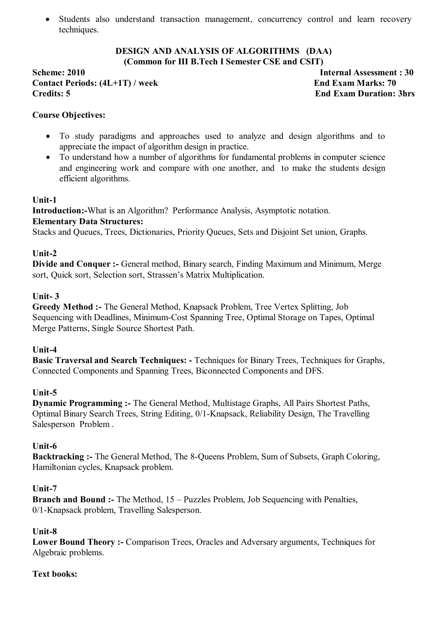Students also understand transaction management, concurrency control and learn recovery techniques.

#### **DESIGN AND ANALYSIS OF ALGORITHMS (DAA) (Common for III B.Tech I Semester CSE and CSIT)**

**Scheme: 2010 Internal Assessment : 30** Contact Periods:  $(4L+1T)$  / week End Exam Marks: 70 **Credits: 5 End Exam Duration: 3hrs**

#### **Course Objectives:**

- To study paradigms and approaches used to analyze and design algorithms and to appreciate the impact of algorithm design in practice.
- To understand how a number of algorithms for fundamental problems in computer science and engineering work and compare with one another, and to make the students design efficient algorithms.

#### **Unit-1**

**Introduction:-**What is an Algorithm? Performance Analysis, Asymptotic notation.

#### **Elementary Data Structures:**

Stacks and Queues, Trees, Dictionaries, Priority Queues, Sets and Disjoint Set union, Graphs.

#### **Unit-2**

**Divide and Conquer :-** General method, Binary search, Finding Maximum and Minimum, Merge sort, Quick sort, Selection sort, Strassen's Matrix Multiplication.

#### **Unit- 3**

**Greedy Method :-** The General Method, Knapsack Problem, Tree Vertex Splitting, Job Sequencing with Deadlines, Minimum-Cost Spanning Tree, Optimal Storage on Tapes, Optimal Merge Patterns, Single Source Shortest Path.

#### **Unit-4**

**Basic Traversal and Search Techniques: -** Techniques for Binary Trees, Techniques for Graphs, Connected Components and Spanning Trees, Biconnected Components and DFS.

#### **Unit-5**

**Dynamic Programming :-** The General Method, Multistage Graphs, All Pairs Shortest Paths, Optimal Binary Search Trees, String Editing, 0/1-Knapsack, Reliability Design, The Travelling Salesperson Problem .

#### **Unit-6**

**Backtracking :-** The General Method, The 8-Queens Problem, Sum of Subsets, Graph Coloring, Hamiltonian cycles, Knapsack problem.

#### **Unit-7**

**Branch and Bound :-** The Method, 15 – Puzzles Problem, Job Sequencing with Penalties, 0/1-Knapsack problem, Travelling Salesperson.

#### **Unit-8**

**Lower Bound Theory :-** Comparison Trees, Oracles and Adversary arguments, Techniques for Algebraic problems.

#### **Text books:**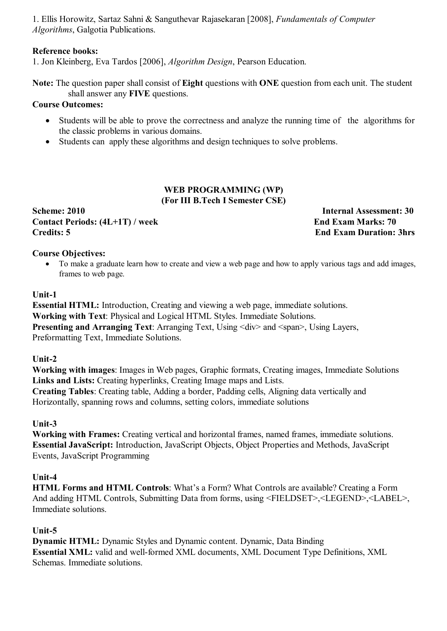1. Ellis Horowitz, Sartaz Sahni & Sanguthevar Rajasekaran [2008], *Fundamentals of Computer Algorithms*, Galgotia Publications.

## **Reference books:**

1. Jon Kleinberg, Eva Tardos [2006], *Algorithm Design*, Pearson Education.

**Note:** The question paper shall consist of **Eight** questions with **ONE** question from each unit. The student shall answer any **FIVE** questions.

## **Course Outcomes:**

- Students will be able to prove the correctness and analyze the running time of the algorithms for the classic problems in various domains.
- Students can apply these algorithms and design techniques to solve problems.

#### **WEB PROGRAMMING (WP) (For III B.Tech I Semester CSE)**

**Scheme: 2010 Internal Assessment: 30** Contact Periods:  $(4L+1T)$  / week End Exam Marks: 70 **Credits: 5 End Exam Duration: 3hrs**

## **Course Objectives:**

• To make a graduate learn how to create and view a web page and how to apply various tags and add images, frames to web page.

## **Unit-1**

**Essential HTML:** Introduction, Creating and viewing a web page, immediate solutions. **Working with Text**: Physical and Logical HTML Styles. Immediate Solutions. **Presenting and Arranging Text**: Arranging Text, Using  $\langle \text{div} \rangle$  and  $\langle \text{span} \rangle$ , Using Layers, Preformatting Text, Immediate Solutions.

## **Unit-2**

**Working with images**: Images in Web pages, Graphic formats, Creating images, Immediate Solutions **Links and Lists:** Creating hyperlinks, Creating Image maps and Lists. **Creating Tables**: Creating table, Adding a border, Padding cells, Aligning data vertically and Horizontally, spanning rows and columns, setting colors, immediate solutions

## **Unit-3**

**Working with Frames:** Creating vertical and horizontal frames, named frames, immediate solutions. **Essential JavaScript:** Introduction, JavaScript Objects, Object Properties and Methods, JavaScript Events, JavaScript Programming

## **Unit-4**

**HTML Forms and HTML Controls**: What's a Form? What Controls are available? Creating a Form And adding HTML Controls, Submitting Data from forms, using <FIELDSET>,<LEGEND>,<LABEL>, Immediate solutions.

# **Unit-5**

**Dynamic HTML:** Dynamic Styles and Dynamic content. Dynamic, Data Binding **Essential XML:** valid and well-formed XML documents, XML Document Type Definitions, XML Schemas. Immediate solutions.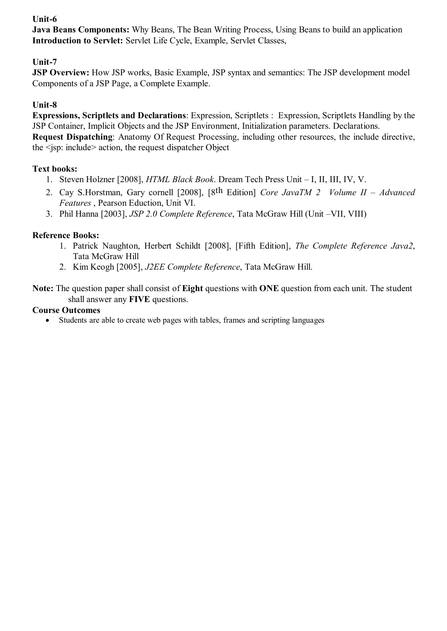# **Unit-6**

**Java Beans Components:** Why Beans, The Bean Writing Process, Using Beans to build an application **Introduction to Servlet:** Servlet Life Cycle, Example, Servlet Classes,

# **Unit-7**

**JSP Overview:** How JSP works, Basic Example, JSP syntax and semantics: The JSP development model Components of a JSP Page, a Complete Example.

# **Unit-8**

**Expressions, Scriptlets and Declarations**: Expression, Scriptlets : Expression, Scriptlets Handling by the JSP Container, Implicit Objects and the JSP Environment, Initialization parameters. Declarations.

**Request Dispatching**: Anatomy Of Request Processing, including other resources, the include directive, the <jsp: include> action, the request dispatcher Object

# **Text books:**

- 1. Steven Holzner [2008], *HTML Black Book*. Dream Tech Press Unit I, II, III, IV, V.
- 2. Cay S.Horstman, Gary cornell [2008], [8th Edition] *Core JavaTM 2 Volume II Advanced Features* , Pearson Eduction, Unit VI.
- 3. Phil Hanna [2003], *JSP 2.0 Complete Reference*, Tata McGraw Hill (Unit –VII, VIII)

# **Reference Books:**

- 1. Patrick Naughton, Herbert Schildt [2008], [Fifth Edition], *The Complete Reference Java2*, Tata McGraw Hill
- 2. Kim Keogh [2005], *J2EE Complete Reference*, Tata McGraw Hill.

**Note:** The question paper shall consist of **Eight** questions with **ONE** question from each unit. The student shall answer any **FIVE** questions.

# **Course Outcomes**

Students are able to create web pages with tables, frames and scripting languages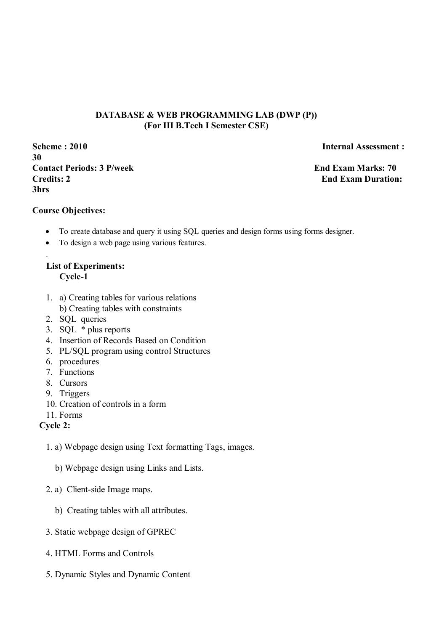## **DATABASE & WEB PROGRAMMING LAB (DWP (P)) (For III B.Tech I Semester CSE)**

**Scheme : 2010 Internal Assessment : 30 Contact Periods: 3 P/week End Exam Marks: 70 Credits: 2** End Exam Duration: **3hrs** 

#### **Course Objectives:**

.

- To create database and query it using SQL queries and design forms using forms designer.
- To design a web page using various features.

# **List of Experiments: Cycle-1**

- 1. a) Creating tables for various relations b) Creating tables with constraints
- 2. SQL queries
- 3. SQL \* plus reports
- 4. Insertion of Records Based on Condition
- 5. PL/SQL program using control Structures
- 6. procedures
- 7. Functions
- 8. Cursors
- 9. Triggers
- 10. Creation of controls in a form
- 11. Forms

# **Cycle 2:**

- 1. a) Webpage design using Text formatting Tags, images.
	- b) Webpage design using Links and Lists.
- 2. a) Client-side Image maps.
	- b) Creating tables with all attributes.
- 3. Static webpage design of GPREC
- 4. HTML Forms and Controls
- 5. Dynamic Styles and Dynamic Content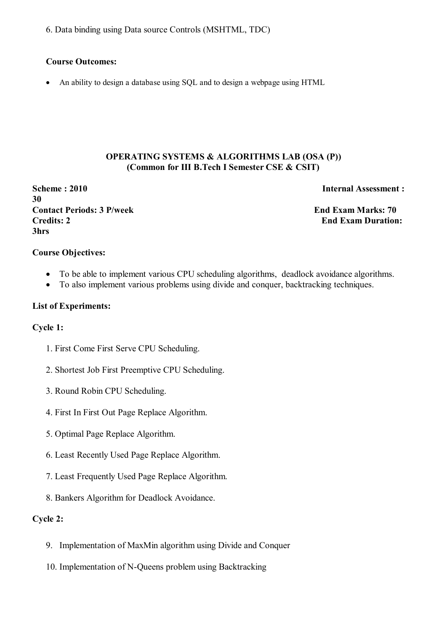6. Data binding using Data source Controls (MSHTML, TDC)

#### **Course Outcomes:**

An ability to design a database using SQL and to design a webpage using HTML

#### **OPERATING SYSTEMS & ALGORITHMS LAB (OSA (P)) (Common for III B.Tech I Semester CSE & CSIT)**

**Scheme : 2010** Internal Assessment : **30 Contact Periods: 3 P/week End Exam Marks: 70 Credits: 2 End Exam Duration: 3hrs** 

#### **Course Objectives:**

- To be able to implement various CPU scheduling algorithms, deadlock avoidance algorithms.
- To also implement various problems using divide and conquer, backtracking techniques.

#### **List of Experiments:**

#### **Cycle 1:**

- 1. First Come First Serve CPU Scheduling.
- 2. Shortest Job First Preemptive CPU Scheduling.
- 3. Round Robin CPU Scheduling.
- 4. First In First Out Page Replace Algorithm.
- 5. Optimal Page Replace Algorithm.
- 6. Least Recently Used Page Replace Algorithm.
- 7. Least Frequently Used Page Replace Algorithm.
- 8. Bankers Algorithm for Deadlock Avoidance.

#### **Cycle 2:**

- 9. Implementation of MaxMin algorithm using Divide and Conquer
- 10. Implementation of N-Queens problem using Backtracking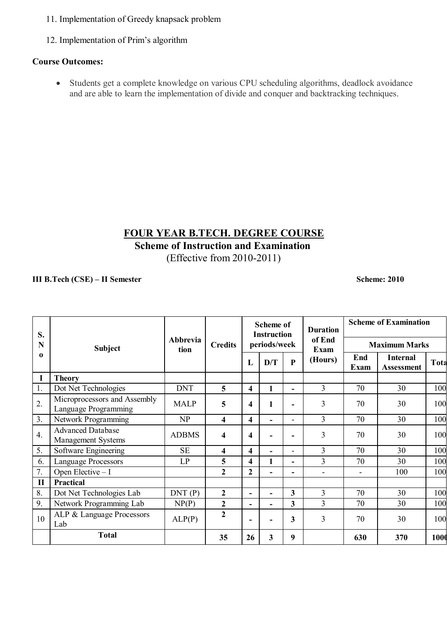- 11. Implementation of Greedy knapsack problem
- 12. Implementation of Prim's algorithm

## **Course Outcomes:**

 Students get a complete knowledge on various CPU scheduling algorithms, deadlock avoidance and are able to learn the implementation of divide and conquer and backtracking techniques.

# **FOUR YEAR B.TECH. DEGREE COURSE**

**Scheme of Instruction and Examination**

(Effective from 2010-2011)

#### **III B.Tech (CSE) – II Semester Scheme: 2010**

| S.<br>N          | <b>Subject</b>                                       |                         |                         | <b>Scheme of</b><br><b>Instruction</b><br>periods/week |              |                          | <b>Duration</b><br>of End<br>Exam | <b>Scheme of Examination</b> |                                      |      |
|------------------|------------------------------------------------------|-------------------------|-------------------------|--------------------------------------------------------|--------------|--------------------------|-----------------------------------|------------------------------|--------------------------------------|------|
|                  |                                                      | <b>Abbrevia</b><br>tion | <b>Credits</b>          |                                                        |              |                          |                                   | <b>Maximum Marks</b>         |                                      |      |
| 0                |                                                      |                         |                         | L                                                      | D/T          | $\mathbf{P}$             | (Hours)                           | End<br>Exam                  | <b>Internal</b><br><b>Assessment</b> | Tota |
| I                | <b>Theory</b>                                        |                         |                         |                                                        |              |                          |                                   |                              |                                      |      |
| 1.               | Dot Net Technologies                                 | <b>DNT</b>              | 5                       | 4                                                      | $\mathbf{1}$ |                          | 3                                 | 70                           | 30                                   | 100  |
| 2.               | Microprocessors and Assembly<br>Language Programming | <b>MALP</b>             | 5                       | 4                                                      | 1            |                          | $\overline{3}$                    | 70                           | 30                                   | 100  |
| 3.               | Network Programming                                  | NP                      | $\overline{\mathbf{4}}$ | 4                                                      |              | $\overline{\phantom{0}}$ | 3                                 | 70                           | 30                                   | 100  |
| $\overline{4}$ . | <b>Advanced Database</b><br>Management Systems       | <b>ADBMS</b>            | 4                       | 4                                                      |              |                          | 3                                 | 70                           | 30                                   | 100  |
| 5.               | Software Engineering                                 | <b>SE</b>               | $\overline{\mathbf{4}}$ | 4                                                      |              |                          | 3                                 | 70                           | 30                                   | 100  |
| 6.               | <b>Language Processors</b>                           | LP                      | 5                       | 4                                                      | 1            |                          | $\overline{3}$                    | 70                           | 30                                   | 100  |
| 7.               | Open Elective - I                                    |                         | $\mathbf{2}$            | $\overline{2}$                                         |              |                          | $\blacksquare$                    | $\blacksquare$               | 100                                  | 100  |
| $\mathbf{I}$     | <b>Practical</b>                                     |                         |                         |                                                        |              |                          |                                   |                              |                                      |      |
| 8.               | Dot Net Technologies Lab                             | DNT(P)                  | $\boldsymbol{2}$        | $\blacksquare$                                         |              | $\mathbf{3}$             | 3                                 | 70                           | 30                                   | 100  |
| 9.               | Network Programming Lab                              | NP(P)                   | $\overline{2}$          | $\blacksquare$                                         |              | $\overline{3}$           | $\overline{3}$                    | 70                           | 30                                   | 100  |
| 10               | ALP & Language Processors<br>Lab                     | ALP(P)                  | $\overline{2}$          | $\blacksquare$                                         |              | 3                        | 3                                 | 70                           | 30                                   | 100  |
|                  | <b>Total</b>                                         |                         | 35                      | 26                                                     | 3            | 9                        |                                   | 630                          | 370                                  | 1000 |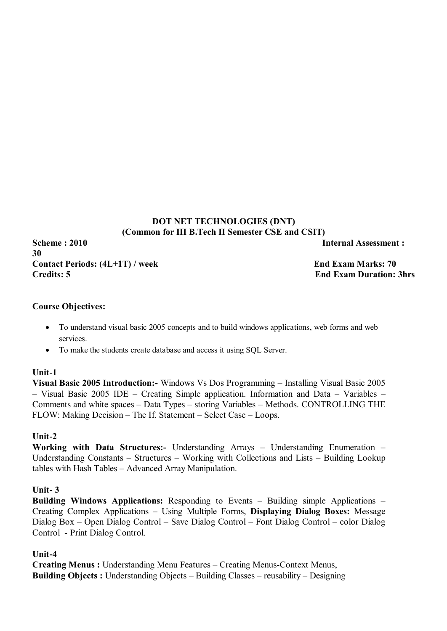# **DOT NET TECHNOLOGIES (DNT) (Common for III B.Tech II Semester CSE and CSIT)**

**Scheme : 2010 Internal Assessment : 30** Contact Periods:  $(4L+1T)$  / week End Exam Marks: 70 **Credits: 5 End Exam Duration: 3hrs**

## **Course Objectives:**

- To understand visual basic 2005 concepts and to build windows applications, web forms and web services.
- To make the students create database and access it using SQL Server.

## **Unit-1**

**Visual Basic 2005 Introduction:-** Windows Vs Dos Programming – Installing Visual Basic 2005 – Visual Basic 2005 IDE – Creating Simple application. Information and Data – Variables – Comments and white spaces – Data Types – storing Variables – Methods. CONTROLLING THE FLOW: Making Decision – The If. Statement – Select Case – Loops.

# **Unit-2**

**Working with Data Structures:-** Understanding Arrays – Understanding Enumeration – Understanding Constants – Structures – Working with Collections and Lists – Building Lookup tables with Hash Tables – Advanced Array Manipulation.

# **Unit- 3**

**Building Windows Applications:** Responding to Events – Building simple Applications – Creating Complex Applications – Using Multiple Forms, **Displaying Dialog Boxes:** Message Dialog Box – Open Dialog Control – Save Dialog Control – Font Dialog Control – color Dialog Control - Print Dialog Control.

# **Unit-4**

**Creating Menus :** Understanding Menu Features – Creating Menus-Context Menus, **Building Objects :** Understanding Objects – Building Classes – reusability – Designing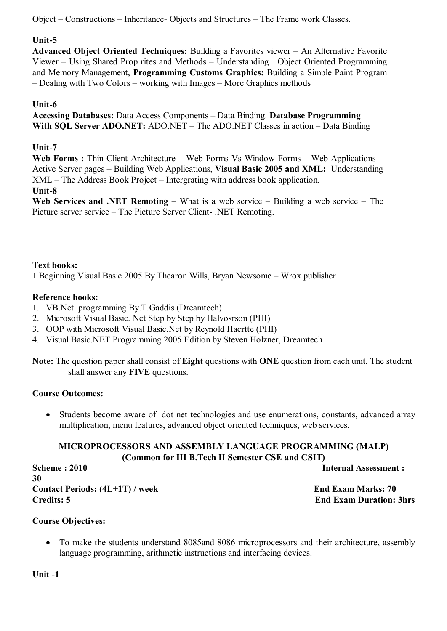Object – Constructions – Inheritance- Objects and Structures – The Frame work Classes.

# **Unit-5**

**Advanced Object Oriented Techniques:** Building a Favorites viewer – An Alternative Favorite Viewer – Using Shared Prop rites and Methods – Understanding Object Oriented Programming and Memory Management, **Programming Customs Graphics:** Building a Simple Paint Program – Dealing with Two Colors – working with Images – More Graphics methods

# **Unit-6**

**Accessing Databases:** Data Access Components – Data Binding. **Database Programming With SQL Server ADO.NET:** ADO.NET – The ADO.NET Classes in action – Data Binding

# **Unit-7**

Web Forms : Thin Client Architecture – Web Forms Vs Window Forms – Web Applications – Active Server pages – Building Web Applications, **Visual Basic 2005 and XML:** Understanding XML – The Address Book Project – Intergrating with address book application.

# **Unit-8**

**Web Services and .NET Remoting –** What is a web service – Building a web service – The Picture server service – The Picture Server Client- .NET Remoting.

# **Text books:**

1 Beginning Visual Basic 2005 By Thearon Wills, Bryan Newsome – Wrox publisher

# **Reference books:**

- 1. VB.Net programming By.T.Gaddis (Dreamtech)
- 2. Microsoft Visual Basic. Net Step by Step by Halvosrson (PHI)
- 3. OOP with Microsoft Visual Basic.Net by Reynold Hacrtte (PHI)
- 4. Visual Basic.NET Programming 2005 Edition by Steven Holzner, Dreamtech

**Note:** The question paper shall consist of **Eight** questions with **ONE** question from each unit. The student shall answer any **FIVE** questions.

# **Course Outcomes:**

 Students become aware of dot net technologies and use enumerations, constants, advanced array multiplication, menu features, advanced object oriented techniques, web services.

#### **MICROPROCESSORS AND ASSEMBLY LANGUAGE PROGRAMMING (MALP) (Common for III B.Tech II Semester CSE and CSIT)**

**Scheme : 2010** Internal Assessment : **30** Contact Periods:  $(4L+1T)$  / week End Exam Marks: 70 **Credits: 5 End Exam Duration: 3hrs**

# **Course Objectives:**

 To make the students understand 8085and 8086 microprocessors and their architecture, assembly language programming, arithmetic instructions and interfacing devices.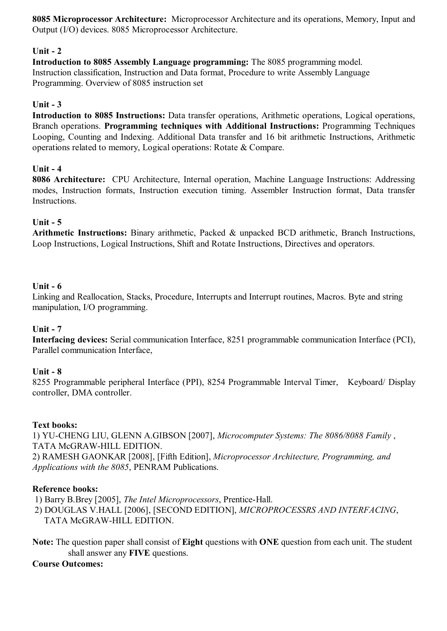**8085 Microprocessor Architecture:** Microprocessor Architecture and its operations, Memory, Input and Output (I/O) devices. 8085 Microprocessor Architecture.

# **Unit - 2**

**Introduction to 8085 Assembly Language programming:** The 8085 programming model. Instruction classification, Instruction and Data format, Procedure to write Assembly Language Programming. Overview of 8085 instruction set

## **Unit - 3**

**Introduction to 8085 Instructions:** Data transfer operations, Arithmetic operations, Logical operations, Branch operations. **Programming techniques with Additional Instructions:** Programming Techniques Looping, Counting and Indexing. Additional Data transfer and 16 bit arithmetic Instructions, Arithmetic operations related to memory, Logical operations: Rotate & Compare.

## **Unit - 4**

**8086 Architecture:** CPU Architecture, Internal operation, Machine Language Instructions: Addressing modes, Instruction formats, Instruction execution timing. Assembler Instruction format, Data transfer Instructions.

## **Unit - 5**

**Arithmetic Instructions:** Binary arithmetic, Packed & unpacked BCD arithmetic, Branch Instructions, Loop Instructions, Logical Instructions, Shift and Rotate Instructions, Directives and operators.

#### **Unit - 6**

Linking and Reallocation, Stacks, Procedure, Interrupts and Interrupt routines, Macros. Byte and string manipulation, I/O programming.

#### **Unit - 7**

**Interfacing devices:** Serial communication Interface, 8251 programmable communication Interface (PCI), Parallel communication Interface,

#### **Unit - 8**

8255 Programmable peripheral Interface (PPI), 8254 Programmable Interval Timer, Keyboard/ Display controller, DMA controller.

#### **Text books:**

1) YU-CHENG LIU, GLENN A.GIBSON [2007], *Microcomputer Systems: The 8086/8088 Family* , TATA McGRAW-HILL EDITION. 2) RAMESH GAONKAR [2008], [Fifth Edition], *Microprocessor Architecture, Programming, and Applications with the 8085*, PENRAM Publications.

#### **Reference books:**

- 1) Barry B.Brey [2005], *The Intel Microprocessors*, Prentice-Hall.
- 2) DOUGLAS V.HALL [2006], [SECOND EDITION], *MICROPROCESSRS AND INTERFACING*, TATA McGRAW-HILL EDITION.
- **Note:** The question paper shall consist of **Eight** questions with **ONE** question from each unit. The student shall answer any **FIVE** questions.

#### **Course Outcomes:**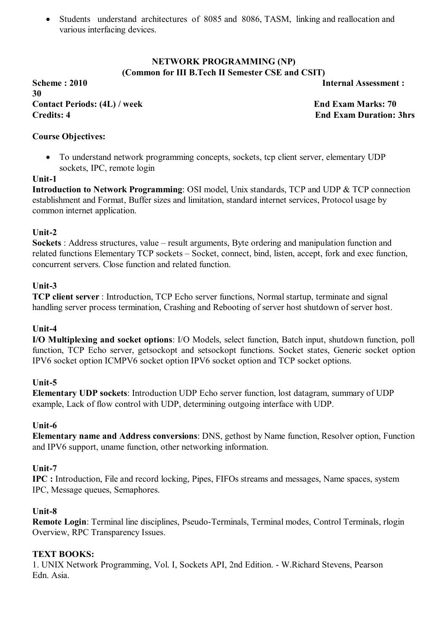Students understand architectures of 8085 and 8086, TASM, linking and reallocation and various interfacing devices.

## **NETWORK PROGRAMMING (NP) (Common for III B.Tech II Semester CSE and CSIT)**

**Scheme : 2010 Internal Assessment : 30 Contact Periods: (4L) / week End Exam Marks: 70 Credits: 4 End Exam Duration: 3hrs**

## **Course Objectives:**

• To understand network programming concepts, sockets, tcp client server, elementary UDP sockets, IPC, remote login

## **Unit-1**

**Introduction to Network Programming**: OSI model, Unix standards, TCP and UDP & TCP connection establishment and Format, Buffer sizes and limitation, standard internet services, Protocol usage by common internet application.

## **Unit-2**

**Sockets** : Address structures, value – result arguments, Byte ordering and manipulation function and related functions Elementary TCP sockets – Socket, connect, bind, listen, accept, fork and exec function, concurrent servers. Close function and related function.

## **Unit-3**

**TCP client server** : Introduction, TCP Echo server functions, Normal startup, terminate and signal handling server process termination, Crashing and Rebooting of server host shutdown of server host.

## **Unit-4**

**I/O Multiplexing and socket options**: I/O Models, select function, Batch input, shutdown function, poll function, TCP Echo server, getsockopt and setsockopt functions. Socket states, Generic socket option IPV6 socket option ICMPV6 socket option IPV6 socket option and TCP socket options.

## **Unit-5**

**Elementary UDP sockets**: Introduction UDP Echo server function, lost datagram, summary of UDP example, Lack of flow control with UDP, determining outgoing interface with UDP.

## **Unit-6**

**Elementary name and Address conversions**: DNS, gethost by Name function, Resolver option, Function and IPV6 support, uname function, other networking information.

## **Unit-7**

**IPC :** Introduction, File and record locking, Pipes, FIFOs streams and messages, Name spaces, system IPC, Message queues, Semaphores.

## **Unit-8**

**Remote Login**: Terminal line disciplines, Pseudo-Terminals, Terminal modes, Control Terminals, rlogin Overview, RPC Transparency Issues.

## **TEXT BOOKS:**

1. UNIX Network Programming, Vol. I, Sockets API, 2nd Edition. - W.Richard Stevens, Pearson Edn. Asia.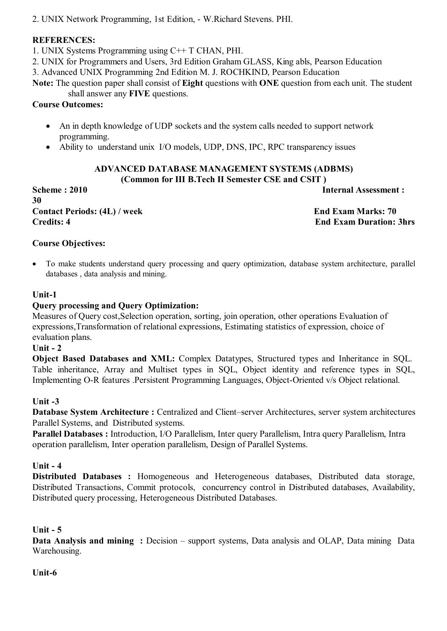2. UNIX Network Programming, 1st Edition, - W.Richard Stevens. PHI.

## **REFERENCES:**

1. UNIX Systems Programming using C++ T CHAN, PHI.

2. UNIX for Programmers and Users, 3rd Edition Graham GLASS, King abls, Pearson Education

3. Advanced UNIX Programming 2nd Edition M. J. ROCHKIND, Pearson Education

**Note:** The question paper shall consist of **Eight** questions with **ONE** question from each unit. The student shall answer any **FIVE** questions.

# **Course Outcomes:**

- An in depth knowledge of UDP sockets and the system calls needed to support network programming.
- Ability to understand unix I/O models, UDP, DNS, IPC, RPC transparency issues

#### **ADVANCED DATABASE MANAGEMENT SYSTEMS (ADBMS) (Common for III B.Tech II Semester CSE and CSIT )**

**Scheme : 2010 Internal Assessment :** 

**30 Contact Periods: (4L) / week End Exam Marks: 70 Credits: 4 End Exam Duration: 3hrs**

# **Course Objectives:**

 To make students understand query processing and query optimization, database system architecture, parallel databases , data analysis and mining.

# **Unit-1**

# **Query processing and Query Optimization:**

Measures of Query cost,Selection operation, sorting, join operation, other operations Evaluation of expressions,Transformation of relational expressions, Estimating statistics of expression, choice of evaluation plans.

## **Unit - 2**

**Object Based Databases and XML:** Complex Datatypes, Structured types and Inheritance in SQL. Table inheritance, Array and Multiset types in SQL, Object identity and reference types in SQL, Implementing O-R features .Persistent Programming Languages, Object-Oriented v/s Object relational.

# **Unit -3**

**Database System Architecture :** Centralized and Client–server Architectures, server system architectures Parallel Systems, and Distributed systems.

**Parallel Databases :** Introduction, I/O Parallelism, Inter query Parallelism, Intra query Parallelism, Intra operation parallelism, Inter operation parallelism, Design of Parallel Systems.

# **Unit - 4**

**Distributed Databases :** Homogeneous and Heterogeneous databases, Distributed data storage, Distributed Transactions, Commit protocols, concurrency control in Distributed databases, Availability, Distributed query processing, Heterogeneous Distributed Databases.

# **Unit - 5**

**Data Analysis and mining :** Decision – support systems, Data analysis and OLAP, Data mining Data Warehousing.

# **Unit-6**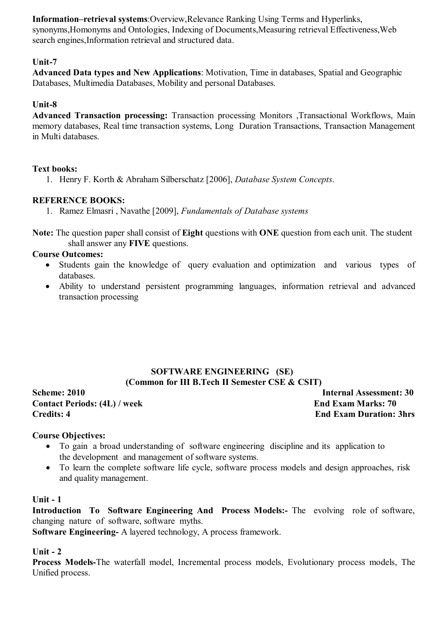**Information–retrieval systems**:Overview,Relevance Ranking Using Terms and Hyperlinks, synonyms,Homonyms and Ontologies, Indexing of Documents,Measuring retrieval Effectiveness,Web search engines,Information retrieval and structured data.

## **Unit-7**

**Advanced Data types and New Applications**: Motivation, Time in databases, Spatial and Geographic Databases, Multimedia Databases, Mobility and personal Databases.

## **Unit-8**

**Advanced Transaction processing:** Transaction processing Monitors ,Transactional Workflows, Main memory databases, Real time transaction systems, Long Duration Transactions, Transaction Management in Multi databases.

## **Text books:**

1. Henry F. Korth & Abraham Silberschatz [2006], *Database System Concepts*.

## **REFERENCE BOOKS:**

1. Ramez Elmasri , Navathe [2009], *Fundamentals of Database systems*

**Note:** The question paper shall consist of **Eight** questions with **ONE** question from each unit. The student shall answer any **FIVE** questions.

#### **Course Outcomes:**

- Students gain the knowledge of query evaluation and optimization and various types of databases.
- Ability to understand persistent programming languages, information retrieval and advanced transaction processing

## **SOFTWARE ENGINEERING (SE) (Common for III B.Tech II Semester CSE & CSIT)**

**Contact Periods: (4L) / week End Exam Marks: 70 Credits: 4 End Exam Duration: 3hrs**

**Scheme: 2010 Internal Assessment: 30** 

#### **Course Objectives:**

- To gain a broad understanding of software engineering discipline and its application to the development and management of software systems.
- To learn the complete software life cycle, software process models and design approaches, risk and quality management.

#### **Unit - 1**

**Introduction To Software Engineering And Process Models:-** The evolving role of software, changing nature of software, software myths.

**Software Engineering-** A layered technology, A process framework.

## **Unit - 2**

**Process Models-**The waterfall model, Incremental process models, Evolutionary process models, The Unified process.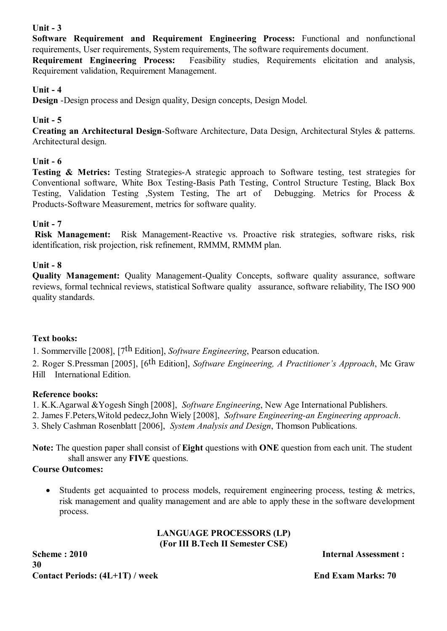# **Unit - 3**

**Software Requirement and Requirement Engineering Process:** Functional and nonfunctional requirements, User requirements, System requirements, The software requirements document.

**Requirement Engineering Process:** Feasibility studies, Requirements elicitation and analysis, Requirement validation, Requirement Management.

# **Unit - 4**

**Design** -Design process and Design quality, Design concepts, Design Model.

## **Unit - 5**

**Creating an Architectural Design**-Software Architecture, Data Design, Architectural Styles & patterns. Architectural design.

## **Unit - 6**

**Testing & Metrics:** Testing Strategies-A strategic approach to Software testing, test strategies for Conventional software, White Box Testing-Basis Path Testing, Control Structure Testing, Black Box Testing, Validation Testing ,System Testing, The art of Debugging. Metrics for Process & Products-Software Measurement, metrics for software quality.

## **Unit - 7**

**Risk Management:** Risk Management-Reactive vs. Proactive risk strategies, software risks, risk identification, risk projection, risk refinement, RMMM, RMMM plan.

## **Unit - 8**

**Quality Management:** Quality Management-Quality Concepts, software quality assurance, software reviews, formal technical reviews, statistical Software quality assurance, software reliability, The ISO 900 quality standards.

## **Text books:**

1. Sommerville [2008], [7th Edition], *Software Engineering*, Pearson education.

2. Roger S.Pressman [2005], [6th Edition], *Software Engineering, A Practitioner's Approach*, Mc Graw Hill International Edition.

## **Reference books:**

1. K.K.Agarwal &Yogesh Singh [2008], *Software Engineering*, New Age International Publishers.

2. James F.Peters,Witold pedecz,John Wiely [2008], *Software Engineering-an Engineering approach*.

3. Shely Cashman Rosenblatt [2006], *System Analysis and Design*, Thomson Publications.

**Note:** The question paper shall consist of **Eight** questions with **ONE** question from each unit. The student shall answer any **FIVE** questions.

## **Course Outcomes:**

• Students get acquainted to process models, requirement engineering process, testing & metrics, risk management and quality management and are able to apply these in the software development process.

## **LANGUAGE PROCESSORS (LP) (For III B.Tech II Semester CSE)**

**Scheme : 2010 Internal Assessment : 30** Contact Periods:  $(4L+1T)$  / week End Exam Marks: 70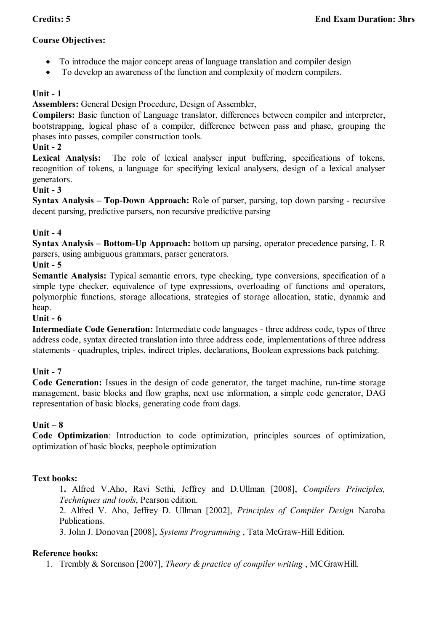# **Course Objectives:**

- To introduce the major concept areas of language translation and compiler design
- To develop an awareness of the function and complexity of modern compilers.

# **Unit - 1**

**Assemblers:** General Design Procedure, Design of Assembler,

**Compilers:** Basic function of Language translator, differences between compiler and interpreter, bootstrapping, logical phase of a compiler, difference between pass and phase, grouping the phases into passes, compiler construction tools.

## **Unit - 2**

**Lexical Analysis:** The role of lexical analyser input buffering, specifications of tokens, recognition of tokens, a language for specifying lexical analysers, design of a lexical analyser generators.

## **Unit - 3**

**Syntax Analysis – Top-Down Approach:** Role of parser, parsing, top down parsing - recursive decent parsing, predictive parsers, non recursive predictive parsing

## **Unit - 4**

**Syntax Analysis – Bottom-Up Approach:** bottom up parsing, operator precedence parsing, L R parsers, using ambiguous grammars, parser generators.

## **Unit - 5**

**Semantic Analysis:** Typical semantic errors, type checking, type conversions, specification of a simple type checker, equivalence of type expressions, overloading of functions and operators, polymorphic functions, storage allocations, strategies of storage allocation, static, dynamic and heap.

## **Unit - 6**

**Intermediate Code Generation:** Intermediate code languages - three address code, types of three address code, syntax directed translation into three address code, implementations of three address statements - quadruples, triples, indirect triples, declarations, Boolean expressions back patching.

## **Unit - 7**

**Code Generation:** Issues in the design of code generator, the target machine, run-time storage management, basic blocks and flow graphs, next use information, a simple code generator, DAG representation of basic blocks, generating code from dags.

## **Unit – 8**

**Code Optimization**: Introduction to code optimization, principles sources of optimization, optimization of basic blocks, peephole optimization

## **Text books:**

1**.** Alfred V.Aho, Ravi Sethi, Jeffrey and D.Ullman [2008], *Compilers Principles, Techniques and tools*, Pearson edition.

2. Alfred V. Aho, Jeffrey D. Ullman [2002], *Principles of Compiler Design* Naroba Publications.

3. John J. Donovan [2008], *Systems Programming* , Tata McGraw-Hill Edition.

## **Reference books:**

1. Trembly & Sorenson [2007], *Theory & practice of compiler writing* , MCGrawHill.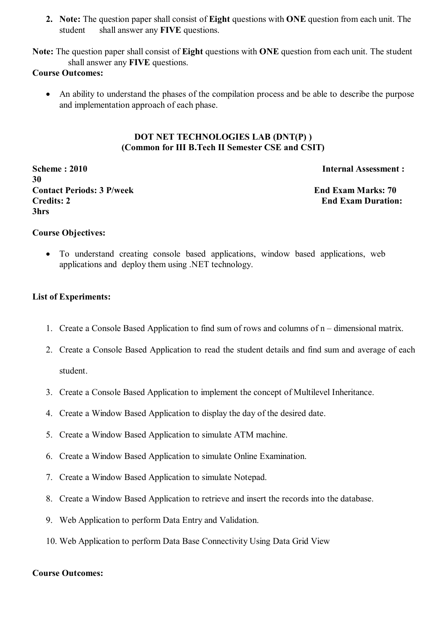**2. Note:** The question paper shall consist of **Eight** questions with **ONE** question from each unit. The student shall answer any **FIVE** questions.

**Note:** The question paper shall consist of **Eight** questions with **ONE** question from each unit. The student shall answer any **FIVE** questions.

#### **Course Outcomes:**

 An ability to understand the phases of the compilation process and be able to describe the purpose and implementation approach of each phase.

## **DOT NET TECHNOLOGIES LAB (DNT(P) ) (Common for III B.Tech II Semester CSE and CSIT)**

**Scheme : 2010 Internal Assessment : 30 Contact Periods: 3 P/week End Exam Marks: 70 Credits: 2 End Exam Duration: 3hrs** 

#### **Course Objectives:**

 To understand creating console based applications, window based applications, web applications and deploy them using .NET technology.

#### **List of Experiments:**

- 1. Create a Console Based Application to find sum of rows and columns of n dimensional matrix.
- 2. Create a Console Based Application to read the student details and find sum and average of each student.
- 3. Create a Console Based Application to implement the concept of Multilevel Inheritance.
- 4. Create a Window Based Application to display the day of the desired date.
- 5. Create a Window Based Application to simulate ATM machine.
- 6. Create a Window Based Application to simulate Online Examination.
- 7. Create a Window Based Application to simulate Notepad.
- 8. Create a Window Based Application to retrieve and insert the records into the database.
- 9. Web Application to perform Data Entry and Validation.
- 10. Web Application to perform Data Base Connectivity Using Data Grid View

#### **Course Outcomes:**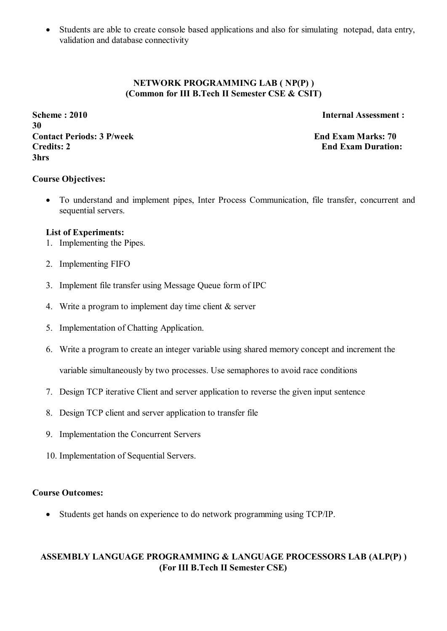Students are able to create console based applications and also for simulating notepad, data entry, validation and database connectivity

## **NETWORK PROGRAMMING LAB ( NP(P) ) (Common for III B.Tech II Semester CSE & CSIT)**

**Scheme : 2010** Internal Assessment : **30 Contact Periods: 3 P/week End Exam Marks: 70 Credits: 2 End Exam Duration: 3hrs** 

## **Course Objectives:**

 To understand and implement pipes, Inter Process Communication, file transfer, concurrent and sequential servers.

#### **List of Experiments:**

- 1. Implementing the Pipes.
- 2. Implementing FIFO
- 3. Implement file transfer using Message Queue form of IPC
- 4. Write a program to implement day time client & server
- 5. Implementation of Chatting Application.
- 6. Write a program to create an integer variable using shared memory concept and increment the variable simultaneously by two processes. Use semaphores to avoid race conditions
- 7. Design TCP iterative Client and server application to reverse the given input sentence
- 8. Design TCP client and server application to transfer file
- 9. Implementation the Concurrent Servers
- 10. Implementation of Sequential Servers.

#### **Course Outcomes:**

Students get hands on experience to do network programming using TCP/IP.

## **ASSEMBLY LANGUAGE PROGRAMMING & LANGUAGE PROCESSORS LAB (ALP(P) ) (For III B.Tech II Semester CSE)**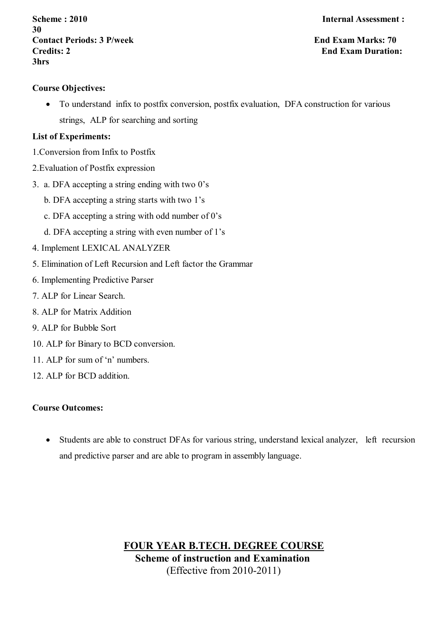**Scheme : 2010 Internal Assessment : 30 Contact Periods: 3 P/week End Exam Marks: 70 Credits: 2 End Exam Duration: 3hrs** 

## **Course Objectives:**

 To understand infix to postfix conversion, postfix evaluation, DFA construction for various strings, ALP for searching and sorting

## **List of Experiments:**

- 1.Conversion from Infix to Postfix
- 2.Evaluation of Postfix expression
- 3. a. DFA accepting a string ending with two 0's
	- b. DFA accepting a string starts with two 1's
	- c. DFA accepting a string with odd number of 0's
	- d. DFA accepting a string with even number of 1's
- 4. Implement LEXICAL ANALYZER
- 5. Elimination of Left Recursion and Left factor the Grammar
- 6. Implementing Predictive Parser
- 7. ALP for Linear Search.
- 8. ALP for Matrix Addition
- 9. ALP for Bubble Sort
- 10. ALP for Binary to BCD conversion.
- 11. ALP for sum of 'n' numbers.
- 12. ALP for BCD addition.

## **Course Outcomes:**

• Students are able to construct DFAs for various string, understand lexical analyzer, left recursion and predictive parser and are able to program in assembly language.

> **FOUR YEAR B.TECH. DEGREE COURSE Scheme of instruction and Examination** (Effective from 2010-2011)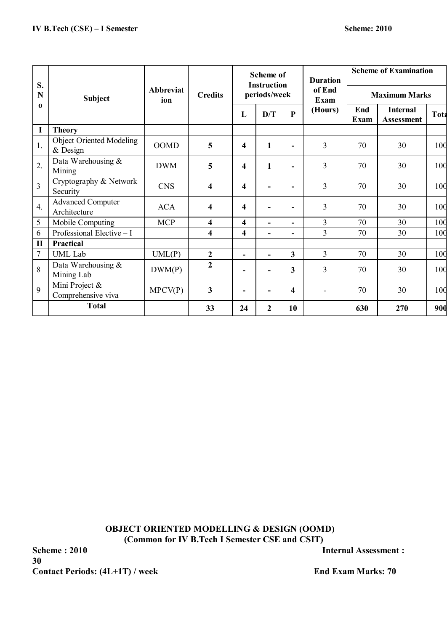| S.<br>N          | <b>Subject</b>                                |                         | <b>Credits</b>          |                                    | <b>Scheme of</b> |                         | <b>Duration</b>          | <b>Scheme of Examination</b> |                                      |             |
|------------------|-----------------------------------------------|-------------------------|-------------------------|------------------------------------|------------------|-------------------------|--------------------------|------------------------------|--------------------------------------|-------------|
|                  |                                               | <b>Abbreviat</b><br>ion |                         | <b>Instruction</b><br>periods/week |                  |                         | of End<br>Exam           | <b>Maximum Marks</b>         |                                      |             |
| $\mathbf o$      |                                               |                         |                         | L                                  | D/T              | $\mathbf{P}$            | (Hours)                  | End<br>Exam                  | <b>Internal</b><br><b>Assessment</b> | <b>Tota</b> |
| I                | <b>Theory</b>                                 |                         |                         |                                    |                  |                         |                          |                              |                                      |             |
| 1.               | <b>Object Oriented Modeling</b><br>$&$ Design | <b>OOMD</b>             | 5                       | $\overline{\mathbf{4}}$            | $\mathbf{1}$     | ۰                       | $\overline{3}$           | 70                           | 30                                   | 100         |
| $\overline{2}$ . | Data Warehousing &<br>Mining                  | <b>DWM</b>              | 5                       | 4                                  | 1                | ۰                       | $\overline{3}$           | 70                           | 30                                   | 100         |
| $\overline{3}$   | Cryptography & Network<br>Security            | <b>CNS</b>              | 4                       | 4                                  | ٠                | ٠                       | 3                        | 70                           | 30                                   | 100         |
| $\overline{4}$ . | <b>Advanced Computer</b><br>Architecture      | <b>ACA</b>              | 4                       | 4                                  | $\blacksquare$   |                         | 3                        | 70                           | 30                                   | 100         |
| 5                | Mobile Computing                              | <b>MCP</b>              | $\overline{\mathbf{4}}$ | 4                                  | $\blacksquare$   | ۰                       | $\overline{3}$           | 70                           | 30                                   | 100         |
| 6                | Professional Elective - I                     |                         | 4                       | 4                                  | $\blacksquare$   | $\blacksquare$          | 3                        | 70                           | 30                                   | 100         |
| $\mathbf{I}$     | Practical                                     |                         |                         |                                    |                  |                         |                          |                              |                                      |             |
| $\tau$           | <b>UML</b> Lab                                | UML(P)                  | $\boldsymbol{2}$        | $\blacksquare$                     | ÷.               | $\overline{\mathbf{3}}$ | $\overline{3}$           | 70                           | 30                                   | 100         |
| 8                | Data Warehousing &<br>Mining Lab              | DWM(P)                  | $\overline{2}$          |                                    | $\blacksquare$   | 3                       | $\overline{3}$           | 70                           | 30                                   | 100         |
| 9                | Mini Project &<br>Comprehensive viva          | MPCV(P)                 | $\overline{\mathbf{3}}$ |                                    | ٠                | 4                       | $\overline{\phantom{a}}$ | 70                           | 30                                   | 100         |
|                  | <b>Total</b>                                  |                         | 33                      | 24                                 | $\mathbf{2}$     | 10                      |                          | 630                          | 270                                  | 900         |

**OBJECT ORIENTED MODELLING & DESIGN (OOMD) (Common for IV B.Tech I Semester CSE and CSIT)**

**Scheme : 2010** Internal Assessment : **30** Contact Periods:  $(4L+1T)$  / week End Exam Marks: 70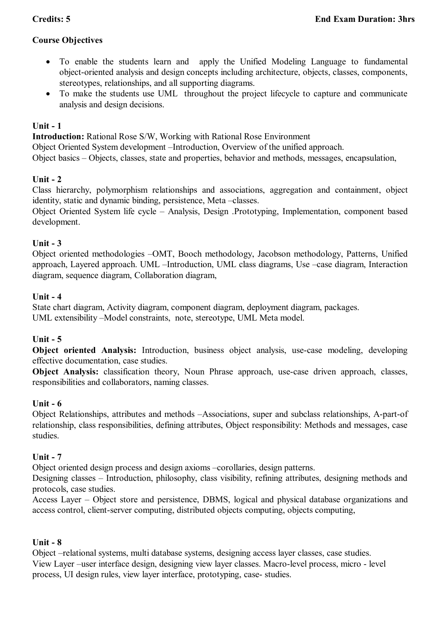# **Course Objectives**

- To enable the students learn and apply the Unified Modeling Language to fundamental object-oriented analysis and design concepts including architecture, objects, classes, components, stereotypes, relationships, and all supporting diagrams.
- To make the students use UML throughout the project lifecycle to capture and communicate analysis and design decisions.

## **Unit - 1**

**Introduction:** Rational Rose S/W, Working with Rational Rose Environment

Object Oriented System development –Introduction, Overview of the unified approach.

Object basics – Objects, classes, state and properties, behavior and methods, messages, encapsulation,

## **Unit - 2**

Class hierarchy, polymorphism relationships and associations, aggregation and containment, object identity, static and dynamic binding, persistence, Meta –classes.

Object Oriented System life cycle – Analysis, Design .Prototyping, Implementation, component based development.

## **Unit - 3**

Object oriented methodologies –OMT, Booch methodology, Jacobson methodology, Patterns, Unified approach, Layered approach. UML –Introduction, UML class diagrams, Use –case diagram, Interaction diagram, sequence diagram, Collaboration diagram,

#### **Unit - 4**

State chart diagram, Activity diagram, component diagram, deployment diagram, packages. UML extensibility –Model constraints, note, stereotype, UML Meta model.

## **Unit - 5**

**Object oriented Analysis:** Introduction, business object analysis, use-case modeling, developing effective documentation, case studies.

**Object Analysis:** classification theory, Noun Phrase approach, use-case driven approach, classes, responsibilities and collaborators, naming classes.

## **Unit - 6**

Object Relationships, attributes and methods –Associations, super and subclass relationships, A-part-of relationship, class responsibilities, defining attributes, Object responsibility: Methods and messages, case studies.

## **Unit - 7**

Object oriented design process and design axioms –corollaries, design patterns.

Designing classes – Introduction, philosophy, class visibility, refining attributes, designing methods and protocols, case studies.

Access Layer – Object store and persistence, DBMS, logical and physical database organizations and access control, client-server computing, distributed objects computing, objects computing,

## **Unit - 8**

Object –relational systems, multi database systems, designing access layer classes, case studies. View Layer –user interface design, designing view layer classes. Macro-level process, micro - level process, UI design rules, view layer interface, prototyping, case- studies.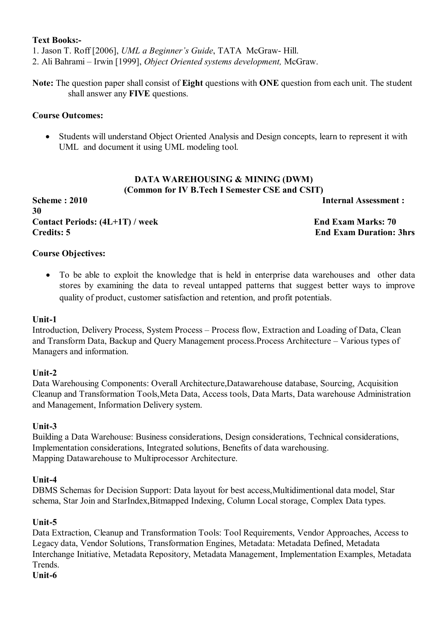#### **Text Books:-**

1. Jason T. Roff [2006], *UML a Beginner's Guide*, TATA McGraw- Hill.

2. Ali Bahrami – Irwin [1999], *Object Oriented systems development,* McGraw.

**Note:** The question paper shall consist of **Eight** questions with **ONE** question from each unit. The student shall answer any **FIVE** questions.

#### **Course Outcomes:**

 Students will understand Object Oriented Analysis and Design concepts, learn to represent it with UML and document it using UML modeling tool.

#### **DATA WAREHOUSING & MINING (DWM) (Common for IV B.Tech I Semester CSE and CSIT)**

**Scheme : 2010** Internal Assessment : **30** Contact Periods:  $(4L+1T)$  / week End Exam Marks: 70 **Credits: 5 End Exam Duration: 3hrs**

## **Course Objectives:**

 To be able to exploit the knowledge that is held in enterprise data warehouses and other data stores by examining the data to reveal untapped patterns that suggest better ways to improve quality of product, customer satisfaction and retention, and profit potentials.

#### **Unit-1**

Introduction, Delivery Process, System Process – Process flow, Extraction and Loading of Data, Clean and Transform Data, Backup and Query Management process.Process Architecture – Various types of Managers and information.

#### **Unit-2**

Data Warehousing Components: Overall Architecture,Datawarehouse database, Sourcing, Acquisition Cleanup and Transformation Tools,Meta Data, Access tools, Data Marts, Data warehouse Administration and Management, Information Delivery system.

## **Unit-3**

Building a Data Warehouse: Business considerations, Design considerations, Technical considerations, Implementation considerations, Integrated solutions, Benefits of data warehousing. Mapping Datawarehouse to Multiprocessor Architecture.

#### **Unit-4**

DBMS Schemas for Decision Support: Data layout for best access,Multidimentional data model, Star schema, Star Join and StarIndex,Bitmapped Indexing, Column Local storage, Complex Data types.

## **Unit-5**

Data Extraction, Cleanup and Transformation Tools: Tool Requirements, Vendor Approaches, Access to Legacy data, Vendor Solutions, Transformation Engines, Metadata: Metadata Defined, Metadata Interchange Initiative, Metadata Repository, Metadata Management, Implementation Examples, Metadata **Trends** 

#### **Unit-6**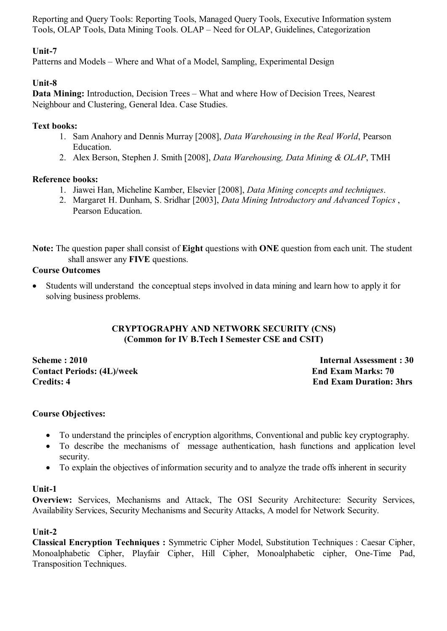Reporting and Query Tools: Reporting Tools, Managed Query Tools, Executive Information system Tools, OLAP Tools, Data Mining Tools. OLAP – Need for OLAP, Guidelines, Categorization

# **Unit-7**

Patterns and Models – Where and What of a Model, Sampling, Experimental Design

# **Unit-8**

**Data Mining:** Introduction, Decision Trees – What and where How of Decision Trees, Nearest Neighbour and Clustering, General Idea. Case Studies.

# **Text books:**

- 1. Sam Anahory and Dennis Murray [2008], *Data Warehousing in the Real World*, Pearson Education.
- 2. Alex Berson, Stephen J. Smith [2008], *Data Warehousing, Data Mining & OLAP*, TMH

# **Reference books:**

- 1. Jiawei Han, Micheline Kamber, Elsevier [2008], *Data Mining concepts and techniques*.
- 2. Margaret H. Dunham, S. Sridhar [2003], *Data Mining Introductory and Advanced Topics* , Pearson Education.

**Note:** The question paper shall consist of **Eight** questions with **ONE** question from each unit. The student shall answer any **FIVE** questions.

# **Course Outcomes**

 Students will understand the conceptual steps involved in data mining and learn how to apply it for solving business problems.

# **CRYPTOGRAPHY AND NETWORK SECURITY (CNS) (Common for IV B.Tech I Semester CSE and CSIT)**

**Scheme : 2010 Internal Assessment : 30 Contact Periods: (4L)/week End Exam Marks: 70 Credits: 4 End Exam Duration: 3hrs**

# **Course Objectives:**

- To understand the principles of encryption algorithms, Conventional and public key cryptography.
- To describe the mechanisms of message authentication, hash functions and application level security.
- To explain the objectives of information security and to analyze the trade offs inherent in security

# **Unit-1**

**Overview:** Services, Mechanisms and Attack, The OSI Security Architecture: Security Services, Availability Services, Security Mechanisms and Security Attacks, A model for Network Security.

# **Unit-2**

**Classical Encryption Techniques :** Symmetric Cipher Model, Substitution Techniques : Caesar Cipher, Monoalphabetic Cipher, Playfair Cipher, Hill Cipher, Monoalphabetic cipher, One-Time Pad, Transposition Techniques.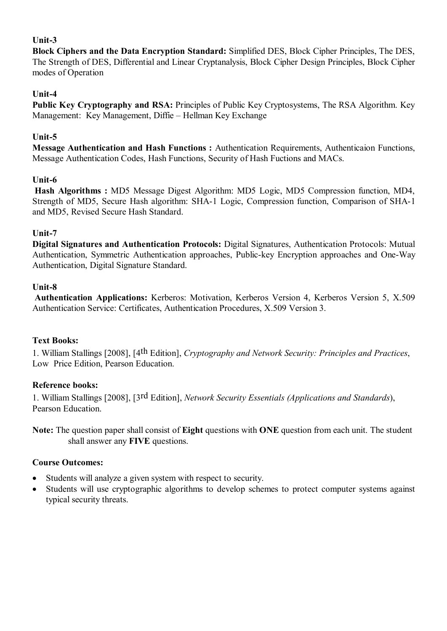# **Unit-3**

**Block Ciphers and the Data Encryption Standard:** Simplified DES, Block Cipher Principles, The DES, The Strength of DES, Differential and Linear Cryptanalysis, Block Cipher Design Principles, Block Cipher modes of Operation

# **Unit-4**

**Public Key Cryptography and RSA:** Principles of Public Key Cryptosystems, The RSA Algorithm. Key Management: Key Management, Diffie – Hellman Key Exchange

# **Unit-5**

**Message Authentication and Hash Functions :** Authentication Requirements, Authenticaion Functions, Message Authentication Codes, Hash Functions, Security of Hash Fuctions and MACs.

## **Unit-6**

**Hash Algorithms :** MD5 Message Digest Algorithm: MD5 Logic, MD5 Compression function, MD4, Strength of MD5, Secure Hash algorithm: SHA-1 Logic, Compression function, Comparison of SHA-1 and MD5, Revised Secure Hash Standard.

## **Unit-7**

**Digital Signatures and Authentication Protocols:** Digital Signatures, Authentication Protocols: Mutual Authentication, Symmetric Authentication approaches, Public-key Encryption approaches and One-Way Authentication, Digital Signature Standard.

## **Unit-8**

**Authentication Applications:** Kerberos: Motivation, Kerberos Version 4, Kerberos Version 5, X.509 Authentication Service: Certificates, Authentication Procedures, X.509 Version 3.

## **Text Books:**

1. William Stallings [2008], [4th Edition], *Cryptography and Network Security: Principles and Practices*, Low Price Edition, Pearson Education.

## **Reference books:**

1. William Stallings [2008], [3rd Edition], *Network Security Essentials (Applications and Standards*), Pearson Education.

**Note:** The question paper shall consist of **Eight** questions with **ONE** question from each unit. The student shall answer any **FIVE** questions.

## **Course Outcomes:**

- Students will analyze a given system with respect to security.
- Students will use cryptographic algorithms to develop schemes to protect computer systems against typical security threats.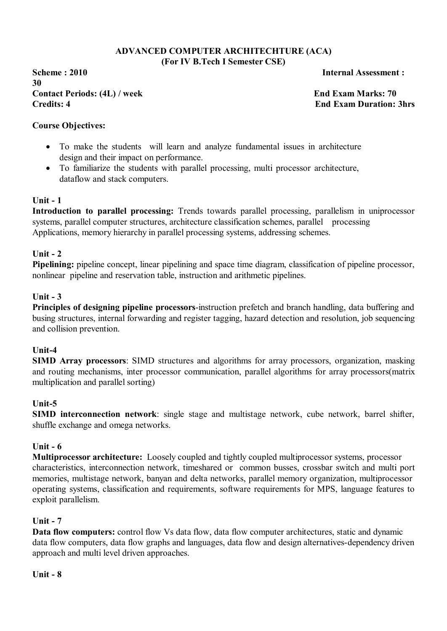#### **ADVANCED COMPUTER ARCHITECHTURE (ACA) (For IV B.Tech I Semester CSE)**

**Scheme : 2010 Internal Assessment : 30** Contact Periods: (4L) / week **End Exam Marks: 70 Credits: 4 End Exam Duration: 3hrs**

## **Course Objectives:**

- To make the students will learn and analyze fundamental issues in architecture design and their impact on performance.
- To familiarize the students with parallel processing, multi processor architecture, dataflow and stack computers.

## **Unit - 1**

**Introduction to parallel processing:** Trends towards parallel processing, parallelism in uniprocessor systems, parallel computer structures, architecture classification schemes, parallel processing Applications, memory hierarchy in parallel processing systems, addressing schemes.

#### **Unit - 2**

**Pipelining:** pipeline concept, linear pipelining and space time diagram, classification of pipeline processor, nonlinear pipeline and reservation table, instruction and arithmetic pipelines.

#### **Unit - 3**

**Principles of designing pipeline processors**-instruction prefetch and branch handling, data buffering and busing structures, internal forwarding and register tagging, hazard detection and resolution, job sequencing and collision prevention.

#### **Unit-4**

**SIMD Array processors**: SIMD structures and algorithms for array processors, organization, masking and routing mechanisms, inter processor communication, parallel algorithms for array processors(matrix multiplication and parallel sorting)

#### **Unit-5**

**SIMD interconnection network**: single stage and multistage network, cube network, barrel shifter, shuffle exchange and omega networks.

## **Unit - 6**

**Multiprocessor architecture:** Loosely coupled and tightly coupled multiprocessor systems, processor characteristics, interconnection network, timeshared or common busses, crossbar switch and multi port memories, multistage network, banyan and delta networks, parallel memory organization, multiprocessor operating systems, classification and requirements, software requirements for MPS, language features to exploit parallelism.

#### **Unit - 7**

**Data flow computers:** control flow Vs data flow, data flow computer architectures, static and dynamic data flow computers, data flow graphs and languages, data flow and design alternatives-dependency driven approach and multi level driven approaches.

**Unit - 8**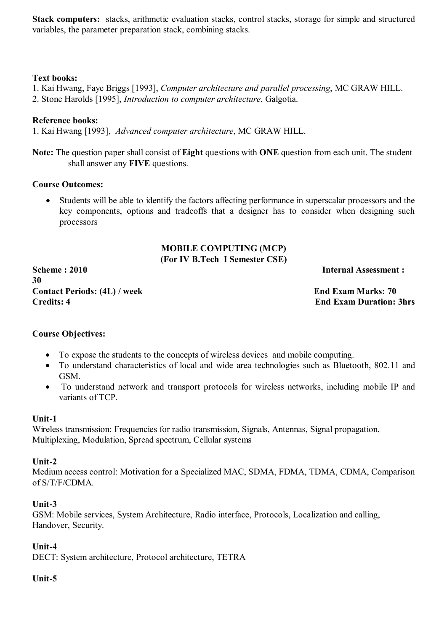**Stack computers:** stacks, arithmetic evaluation stacks, control stacks, storage for simple and structured variables, the parameter preparation stack, combining stacks.

## **Text books:**

- 1. Kai Hwang, Faye Briggs [1993], *Computer architecture and parallel processing*, MC GRAW HILL.
- 2. Stone Harolds [1995], *Introduction to computer architecture*, Galgotia.

# **Reference books:**

1. Kai Hwang [1993], *Advanced computer architecture*, MC GRAW HILL.

**Note:** The question paper shall consist of **Eight** questions with **ONE** question from each unit. The student shall answer any **FIVE** questions.

## **Course Outcomes:**

 Students will be able to identify the factors affecting performance in superscalar processors and the key components, options and tradeoffs that a designer has to consider when designing such processors

## **MOBILE COMPUTING (MCP) (For IV B.Tech I Semester CSE)**

**Scheme : 2010 Internal Assessment : 30 Contact Periods: (4L) / week End Exam Marks: 70 Credits: 4 End Exam Duration: 3hrs**

# **Course Objectives:**

- To expose the students to the concepts of wireless devices and mobile computing.
- To understand characteristics of local and wide area technologies such as Bluetooth, 802.11 and GSM.
- To understand network and transport protocols for wireless networks, including mobile IP and variants of TCP.

# **Unit-1**

Wireless transmission: Frequencies for radio transmission, Signals, Antennas, Signal propagation, Multiplexing, Modulation, Spread spectrum, Cellular systems

## **Unit-2**

Medium access control: Motivation for a Specialized MAC, SDMA, FDMA, TDMA, CDMA, Comparison of S/T/F/CDMA.

# **Unit-3**

GSM: Mobile services, System Architecture, Radio interface, Protocols, Localization and calling, Handover, Security.

# **Unit-4**

DECT: System architecture, Protocol architecture, TETRA

# **Unit-5**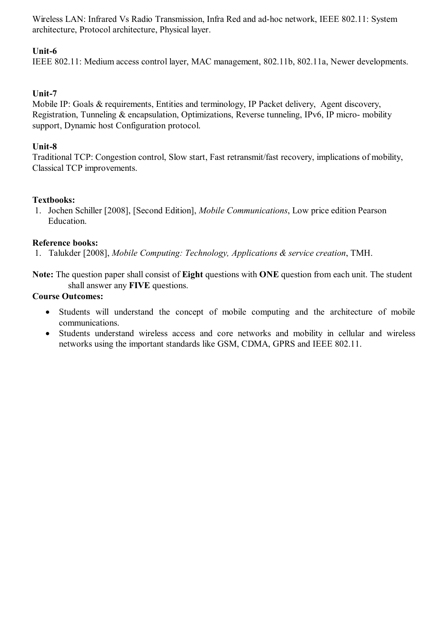Wireless LAN: Infrared Vs Radio Transmission, Infra Red and ad-hoc network, IEEE 802.11: System architecture, Protocol architecture, Physical layer.

# **Unit-6**

IEEE 802.11: Medium access control layer, MAC management, 802.11b, 802.11a, Newer developments.

# **Unit-7**

Mobile IP: Goals & requirements, Entities and terminology, IP Packet delivery. Agent discovery, Registration, Tunneling & encapsulation, Optimizations, Reverse tunneling, IPv6, IP micro- mobility support, Dynamic host Configuration protocol.

# **Unit-8**

Traditional TCP: Congestion control, Slow start, Fast retransmit/fast recovery, implications of mobility, Classical TCP improvements.

# **Textbooks:**

1. Jochen Schiller [2008], [Second Edition], *Mobile Communications*, Low price edition Pearson Education.

# **Reference books:**

1. Talukder [2008], *Mobile Computing: Technology, Applications & service creation*, TMH.

**Note:** The question paper shall consist of **Eight** questions with **ONE** question from each unit. The student shall answer any **FIVE** questions.

# **Course Outcomes:**

- Students will understand the concept of mobile computing and the architecture of mobile communications.
- Students understand wireless access and core networks and mobility in cellular and wireless networks using the important standards like GSM, CDMA, GPRS and IEEE 802.11.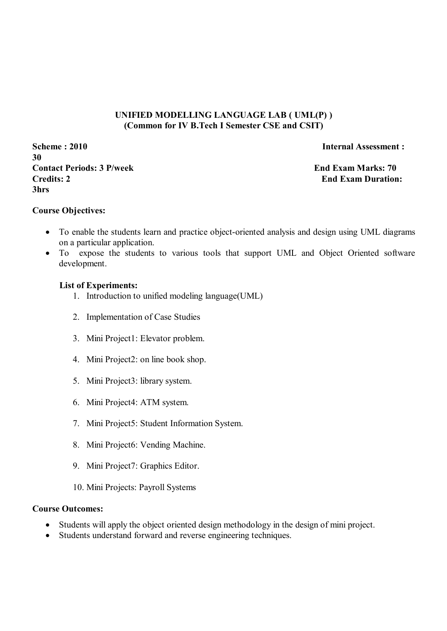## **UNIFIED MODELLING LANGUAGE LAB ( UML(P) ) (Common for IV B.Tech I Semester CSE and CSIT)**

**Scheme : 2010 Internal Assessment : 30 Contact Periods: 3 P/week End Exam Marks: 70 Credits: 2** End Exam Duration: **3hrs** 

#### **Course Objectives:**

- To enable the students learn and practice object-oriented analysis and design using UML diagrams on a particular application.
- To expose the students to various tools that support UML and Object Oriented software development.

#### **List of Experiments:**

- 1. Introduction to unified modeling language(UML)
- 2. Implementation of Case Studies
- 3. Mini Project1: Elevator problem.
- 4. Mini Project2: on line book shop.
- 5. Mini Project3: library system.
- 6. Mini Project4: ATM system.
- 7. Mini Project5: Student Information System.
- 8. Mini Project6: Vending Machine.
- 9. Mini Project7: Graphics Editor.
- 10. Mini Projects: Payroll Systems

#### **Course Outcomes:**

- Students will apply the object oriented design methodology in the design of mini project.
- Students understand forward and reverse engineering techniques.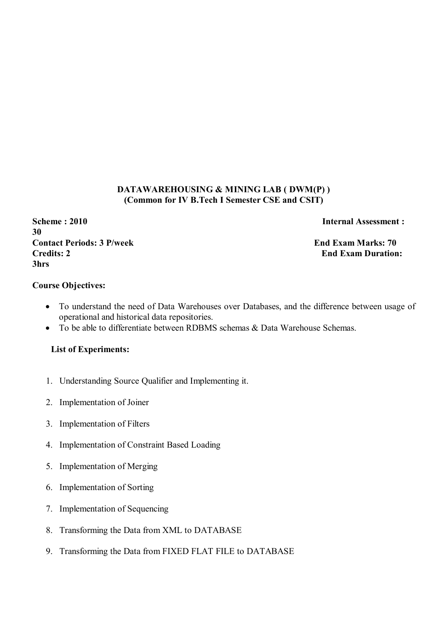## **DATAWAREHOUSING & MINING LAB ( DWM(P) ) (Common for IV B.Tech I Semester CSE and CSIT)**

## **Scheme : 2010 Internal Assessment : 30 Contact Periods: 3 P/week End Exam Marks: 70 Credits: 2** End Exam Duration: **3hrs**

#### **Course Objectives:**

- To understand the need of Data Warehouses over Databases, and the difference between usage of operational and historical data repositories.
- To be able to differentiate between RDBMS schemas & Data Warehouse Schemas.

## **List of Experiments:**

- 1. Understanding Source Qualifier and Implementing it.
- 2. Implementation of Joiner
- 3. Implementation of Filters
- 4. Implementation of Constraint Based Loading
- 5. Implementation of Merging
- 6. Implementation of Sorting
- 7. Implementation of Sequencing
- 8. Transforming the Data from XML to DATABASE
- 9. Transforming the Data from FIXED FLAT FILE to DATABASE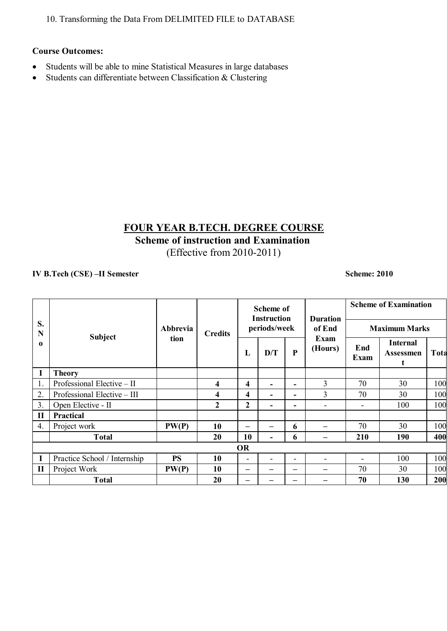10. Transforming the Data From DELIMITED FILE to DATABASE

## **Course Outcomes:**

- Students will be able to mine Statistical Measures in large databases
- $\bullet$  Students can differentiate between Classification & Clustering

# **FOUR YEAR B.TECH. DEGREE COURSE Scheme of instruction and Examination**

(Effective from 2010-2011)

## **IV B.Tech (CSE) –II Semester Scheme: 2010**

|                  | <b>Subject</b>               |           |                |                          | <b>Scheme of</b><br><b>Instruction</b> |                          | <b>Duration</b>          | <b>Scheme of Examination</b> |                                          |      |  |
|------------------|------------------------------|-----------|----------------|--------------------------|----------------------------------------|--------------------------|--------------------------|------------------------------|------------------------------------------|------|--|
| S.<br>N          |                              | Abbrevia  | <b>Credits</b> |                          | periods/week                           |                          | of End                   | <b>Maximum Marks</b>         |                                          |      |  |
| $\Omega$         |                              | tion      |                | L                        | D/T                                    | ${\bf P}$                | Exam<br>(Hours)          | End<br>Exam                  | <b>Internal</b><br><b>Assessmen</b><br>t | Tota |  |
| I                | <b>Theory</b>                |           |                |                          |                                        |                          |                          |                              |                                          |      |  |
| 1.               | Professional Elective - II   |           | 4              | $\overline{\mathbf{4}}$  |                                        | $\sim$                   | 3                        | 70                           | 30                                       | 100  |  |
| 2.               | Professional Elective - III  |           | 4              | $\overline{\mathbf{4}}$  |                                        | $\sim$                   | 3                        | 70                           | 30                                       | 100  |  |
| 3.               | Open Elective - II           |           | $\mathbf{2}$   | $\mathbf{2}$             | ۰                                      | $\sim$                   | $\overline{\phantom{a}}$ | ۰                            | 100                                      | 100  |  |
| $\mathbf{I}$     | Practical                    |           |                |                          |                                        |                          |                          |                              |                                          |      |  |
| $\overline{4}$ . | Project work                 | PW(P)     | 10             |                          |                                        | 6                        |                          | 70                           | 30                                       | 100  |  |
|                  | <b>Total</b>                 |           | 20             | 10                       |                                        | 6                        |                          | 210                          | 190                                      | 400  |  |
|                  | <b>OR</b>                    |           |                |                          |                                        |                          |                          |                              |                                          |      |  |
| $\mathbf I$      | Practice School / Internship | <b>PS</b> | 10             | $\overline{\phantom{a}}$ |                                        | $\overline{\phantom{0}}$ |                          |                              | 100                                      | 100  |  |
| $\mathbf{I}$     | Project Work                 | PW(P)     | 10             | $\overline{\phantom{0}}$ |                                        | –                        |                          | 70                           | 30                                       | 100  |  |
|                  | <b>Total</b>                 |           | 20             | $\overline{\phantom{0}}$ |                                        | --                       |                          | 70                           | 130                                      | 200  |  |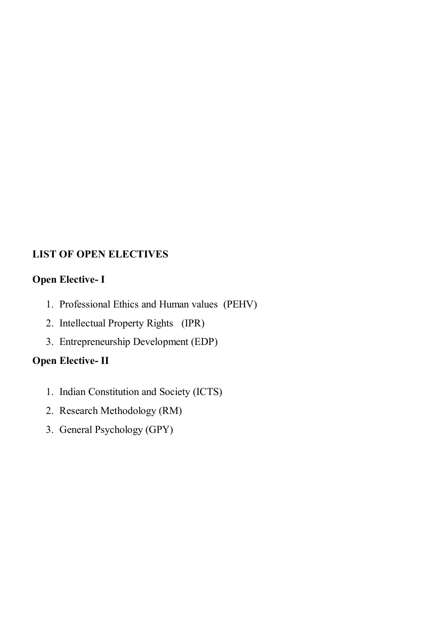# **LIST OF OPEN ELECTIVES**

# **Open Elective- I**

- 1. Professional Ethics and Human values (PEHV)
- 2. Intellectual Property Rights (IPR)
- 3. Entrepreneurship Development (EDP)

# **Open Elective- II**

- 1. Indian Constitution and Society (ICTS)
- 2. Research Methodology (RM)
- 3. General Psychology (GPY)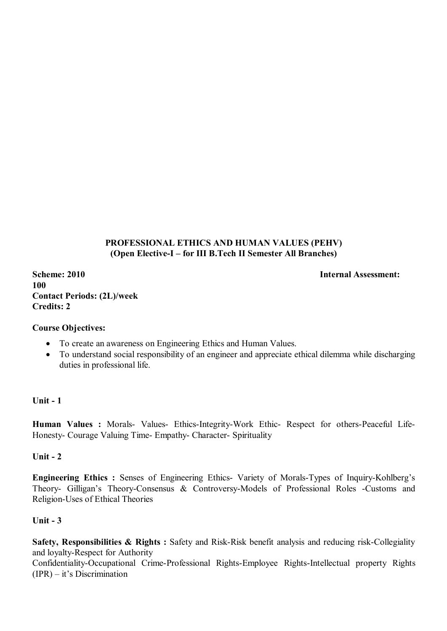## **PROFESSIONAL ETHICS AND HUMAN VALUES (PEHV) (Open Elective-I – for III B.Tech II Semester All Branches)**

**Scheme: 2010** Internal Assessment: **100 Contact Periods: (2L)/week Credits: 2** 

## **Course Objectives:**

- To create an awareness on Engineering Ethics and Human Values.
- To understand social responsibility of an engineer and appreciate ethical dilemma while discharging duties in professional life.

## **Unit - 1**

**Human Values :** Morals- Values- Ethics-Integrity-Work Ethic- Respect for others-Peaceful Life-Honesty- Courage Valuing Time- Empathy- Character- Spirituality

#### **Unit - 2**

**Engineering Ethics :** Senses of Engineering Ethics- Variety of Morals-Types of Inquiry-Kohlberg's Theory- Gilligan's Theory-Consensus & Controversy-Models of Professional Roles -Customs and Religion-Uses of Ethical Theories

## **Unit - 3**

**Safety, Responsibilities & Rights :** Safety and Risk-Risk benefit analysis and reducing risk-Collegiality and loyalty-Respect for Authority

Confidentiality-Occupational Crime-Professional Rights-Employee Rights-Intellectual property Rights (IPR) – it's Discrimination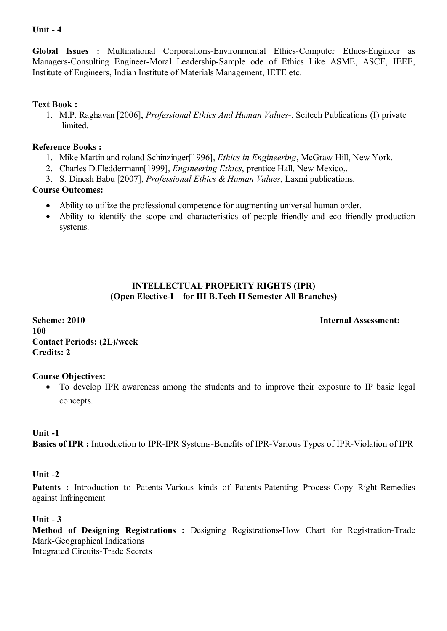## **Unit - 4**

**Global Issues :** Multinational Corporations-Environmental Ethics-Computer Ethics-Engineer as Managers-Consulting Engineer-Moral Leadership-Sample ode of Ethics Like ASME, ASCE, IEEE, Institute of Engineers, Indian Institute of Materials Management, IETE etc.

## **Text Book :**

1. M.P. Raghavan [2006], *Professional Ethics And Human Values*-, Scitech Publications (I) private limited.

## **Reference Books :**

- 1. Mike Martin and roland Schinzinger[1996], *Ethics in Engineering*, McGraw Hill, New York.
- 2. Charles D.Fleddermann[1999], *Engineering Ethics*, prentice Hall, New Mexico,.
- 3. S. Dinesh Babu [2007], *Professional Ethics & Human Values*, Laxmi publications.

# **Course Outcomes:**

- Ability to utilize the professional competence for augmenting universal human order.
- Ability to identify the scope and characteristics of people-friendly and eco-friendly production systems.

# **INTELLECTUAL PROPERTY RIGHTS (IPR) (Open Elective-I – for III B.Tech II Semester All Branches)**

**Scheme: 2010 Internal Assessment: 100 Contact Periods: (2L)/week Credits: 2** 

# **Course Objectives:**

 To develop IPR awareness among the students and to improve their exposure to IP basic legal concepts.

## **Unit -1**

**Basics of IPR :** Introduction to IPR-IPR Systems-Benefits of IPR-Various Types of IPR-Violation of IPR

## **Unit -2**

Patents : Introduction to Patents-Various kinds of Patents-Patenting Process-Copy Right-Remedies against Infringement

## **Unit - 3**

**Method of Designing Registrations :** Designing Registrations**-**How Chart for Registration-Trade Mark**-**Geographical Indications Integrated Circuits-Trade Secrets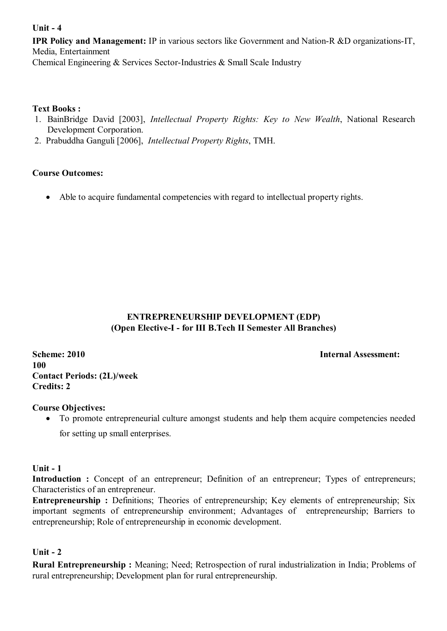## **Unit - 4**

**IPR Policy and Management:** IP in various sectors like Government and Nation-R &D organizations-IT, Media, Entertainment Chemical Engineering & Services Sector-Industries & Small Scale Industry

## **Text Books :**

- 1. BainBridge David [2003], *Intellectual Property Rights: Key to New Wealth*, National Research Development Corporation.
- 2. Prabuddha Ganguli [2006], *Intellectual Property Rights*, TMH.

## **Course Outcomes:**

Able to acquire fundamental competencies with regard to intellectual property rights.

# **ENTREPRENEURSHIP DEVELOPMENT (EDP) (Open Elective-I - for III B.Tech II Semester All Branches)**

**Scheme: 2010** Internal Assessment: **100 Contact Periods: (2L)/week Credits: 2** 

#### **Course Objectives:**

To promote entrepreneurial culture amongst students and help them acquire competencies needed

for setting up small enterprises.

#### **Unit - 1**

**Introduction :** Concept of an entrepreneur; Definition of an entrepreneur; Types of entrepreneurs; Characteristics of an entrepreneur.

**Entrepreneurship :** Definitions; Theories of entrepreneurship; Key elements of entrepreneurship; Six important segments of entrepreneurship environment; Advantages of entrepreneurship; Barriers to entrepreneurship; Role of entrepreneurship in economic development.

## **Unit - 2**

**Rural Entrepreneurship :** Meaning; Need; Retrospection of rural industrialization in India; Problems of rural entrepreneurship; Development plan for rural entrepreneurship.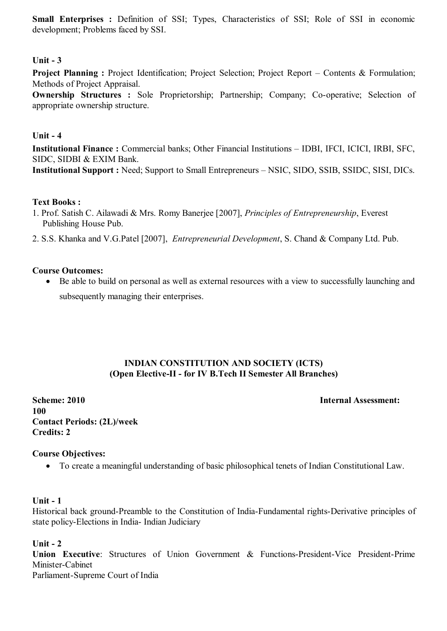**Small Enterprises :** Definition of SSI; Types, Characteristics of SSI; Role of SSI in economic development; Problems faced by SSI.

## **Unit - 3**

**Project Planning :** Project Identification: Project Selection: Project Report – Contents & Formulation: Methods of Project Appraisal.

**Ownership Structures :** Sole Proprietorship; Partnership; Company; Co-operative; Selection of appropriate ownership structure.

#### **Unit - 4**

**Institutional Finance :** Commercial banks; Other Financial Institutions – IDBI, IFCI, ICICI, IRBI, SFC, SIDC, SIDBI & EXIM Bank. **Institutional Support :** Need; Support to Small Entrepreneurs – NSIC, SIDO, SSIB, SSIDC, SISI, DICs.

## **Text Books :**

- 1. Prof. Satish C. Ailawadi & Mrs. Romy Banerjee [2007], *Principles of Entrepreneurship*, Everest Publishing House Pub.
- 2. S.S. Khanka and V.G.Patel [2007], *Entrepreneurial Development*, S. Chand & Company Ltd. Pub.

#### **Course Outcomes:**

 Be able to build on personal as well as external resources with a view to successfully launching and subsequently managing their enterprises.

## **INDIAN CONSTITUTION AND SOCIETY (ICTS) (Open Elective-II - for IV B.Tech II Semester All Branches)**

**Scheme: 2010 Internal Assessment: 100 Contact Periods: (2L)/week Credits: 2** 

#### **Course Objectives:**

To create a meaningful understanding of basic philosophical tenets of Indian Constitutional Law.

#### **Unit - 1**

Historical back ground-Preamble to the Constitution of India-Fundamental rights-Derivative principles of state policy-Elections in India- Indian Judiciary

#### **Unit - 2**

**Union Executive**: Structures of Union Government & Functions-President-Vice President-Prime Minister-Cabinet Parliament-Supreme Court of India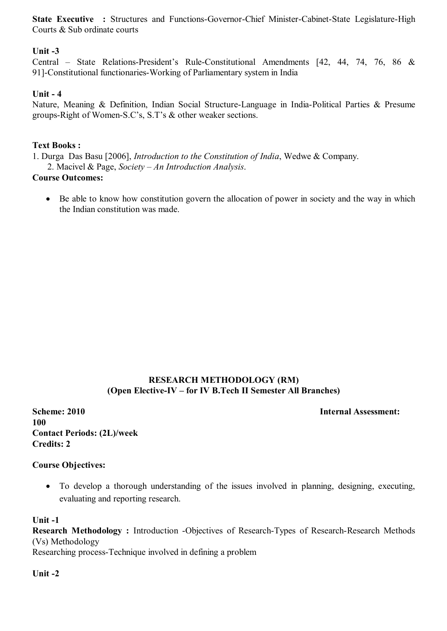**State Executive :** Structures and Functions-Governor-Chief Minister-Cabinet-State Legislature-High Courts & Sub ordinate courts

## **Unit -3**

Central – State Relations-President's Rule-Constitutional Amendments [42, 44, 74, 76, 86 & 91]-Constitutional functionaries-Working of Parliamentary system in India

## **Unit - 4**

Nature, Meaning & Definition, Indian Social Structure-Language in India-Political Parties & Presume groups-Right of Women-S.C's, S.T's & other weaker sections.

## **Text Books :**

1. Durga Das Basu [2006], *Introduction to the Constitution of India*, Wedwe & Company. 2. Macivel & Page, *Society – An Introduction Analysis*.

#### **Course Outcomes:**

• Be able to know how constitution govern the allocation of power in society and the way in which the Indian constitution was made.

## **RESEARCH METHODOLOGY (RM) (Open Elective-IV – for IV B.Tech II Semester All Branches)**

**Scheme: 2010** Internal Assessment: **100 Contact Periods: (2L)/week Credits: 2** 

**Course Objectives:**

 To develop a thorough understanding of the issues involved in planning, designing, executing, evaluating and reporting research.

#### **Unit -1**

**Research Methodology :** Introduction -Objectives of Research-Types of Research-Research Methods (Vs) Methodology Researching process-Technique involved in defining a problem

**Unit -2**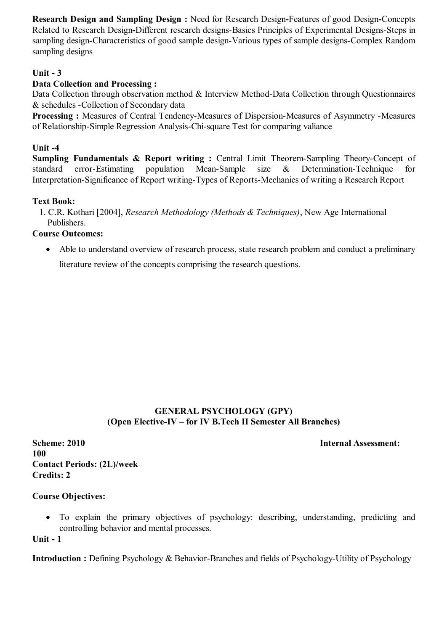**Research Design and Sampling Design :** Need for Research Design**-**Features of good Design**-**Concepts Related to Research Design**-**Different research designs-Basics Principles of Experimental Designs-Steps in sampling design**-**Characteristics of good sample design-Various types of sample designs-Complex Random sampling designs

## **Unit - 3**

## **Data Collection and Processing :**

Data Collection through observation method & Interview Method-Data Collection through Questionnaires & schedules -Collection of Secondary data

**Processing :** Measures of Central Tendency-Measures of Dispersion-Measures of Asymmetry -Measures of Relationship-Simple Regression Analysis-Chi-square Test for comparing valiance

#### **Unit -4**

**Sampling Fundamentals & Report writing :** Central Limit Theorem-Sampling Theory-Concept of standard error-Estimating population Mean-Sample size & Determination-Technique for Interpretation-Significance of Report writing-Types of Reports-Mechanics of writing a Research Report

## **Text Book:**

1. C.R. Kothari [2004], *Research Methodology (Methods & Techniques)*, New Age International Publishers.

#### **Course Outcomes:**

• Able to understand overview of research process, state research problem and conduct a preliminary literature review of the concepts comprising the research questions.

## **GENERAL PSYCHOLOGY (GPY) (Open Elective-IV – for IV B.Tech II Semester All Branches)**

**Scheme: 2010** Internal Assessment: **100 Contact Periods: (2L)/week Credits: 2** 

#### **Course Objectives:**

 To explain the primary objectives of psychology: describing, understanding, predicting and controlling behavior and mental processes.

**Unit - 1**

**Introduction :** Defining Psychology & Behavior-Branches and fields of Psychology-Utility of Psychology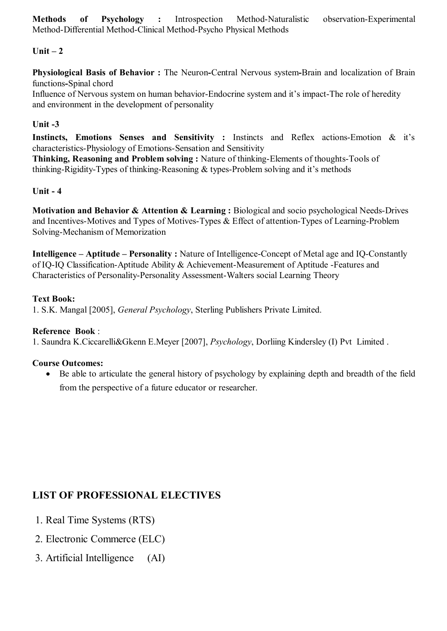# **Unit – 2**

**Physiological Basis of Behavior :** The Neuron**-**Central Nervous system**-**Brain and localization of Brain functions**-**Spinal chord

Influence of Nervous system on human behavior-Endocrine system and it's impact-The role of heredity and environment in the development of personality

## **Unit -3**

**Instincts, Emotions Senses and Sensitivity :** Instincts and Reflex actions-Emotion & it's characteristics-Physiology of Emotions-Sensation and Sensitivity

**Thinking, Reasoning and Problem solving :** Nature of thinking-Elements of thoughts-Tools of thinking-Rigidity-Types of thinking-Reasoning & types-Problem solving and it's methods

## **Unit - 4**

**Motivation and Behavior & Attention & Learning :** Biological and socio psychological Needs-Drives and Incentives-Motives and Types of Motives-Types & Effect of attention-Types of Learning-Problem Solving-Mechanism of Memorization

**Intelligence – Aptitude – Personality :** Nature of Intelligence-Concept of Metal age and IQ-Constantly of IQ-IQ Classification-Aptitude Ability & Achievement-Measurement of Aptitude -Features and Characteristics of Personality-Personality Assessment-Walters social Learning Theory

## **Text Book:**

1. S.K. Mangal [2005], *General Psychology*, Sterling Publishers Private Limited.

## **Reference Book** :

1. Saundra K.Ciccarelli&Gkenn E.Meyer [2007], *Psychology*, Dorliing Kindersley (I) Pvt Limited .

# **Course Outcomes:**

 Be able to articulate the general history of psychology by explaining depth and breadth of the field from the perspective of a future educator or researcher.

# **LIST OF PROFESSIONAL ELECTIVES**

- 1. Real Time Systems (RTS)
- 2. Electronic Commerce (ELC)
- 3. Artificial Intelligence (AI)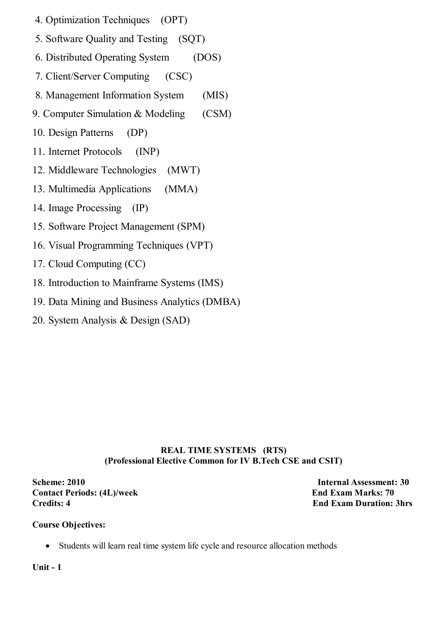- 4. Optimization Techniques (OPT)
- 5. Software Quality and Testing (SQT)
- 6. Distributed Operating System (DOS)
- 7. Client/Server Computing (CSC)
- 8. Management Information System (MIS)
- 9. Computer Simulation & Modeling (CSM)
- 10. Design Patterns (DP)
- 11. Internet Protocols (INP)
- 12. Middleware Technologies (MWT)
- 13. Multimedia Applications (MMA)
- 14. Image Processing (IP)
- 15. Software Project Management (SPM)
- 16. Visual Programming Techniques (VPT)
- 17. Cloud Computing (CC)
- 18. Introduction to Mainframe Systems (IMS)
- 19. Data Mining and Business Analytics (DMBA)
- 20. System Analysis & Design (SAD)

# **REAL TIME SYSTEMS (RTS) (Professional Elective Common for IV B.Tech CSE and CSIT)**

**Scheme: 2010 Internal Assessment: 30 Contact Periods: (4L)/week End Exam Marks: 70 Credits: 4 End Exam Duration: 3hrs**

# **Course Objectives:**

Students will learn real time system life cycle and resource allocation methods

**Unit - 1**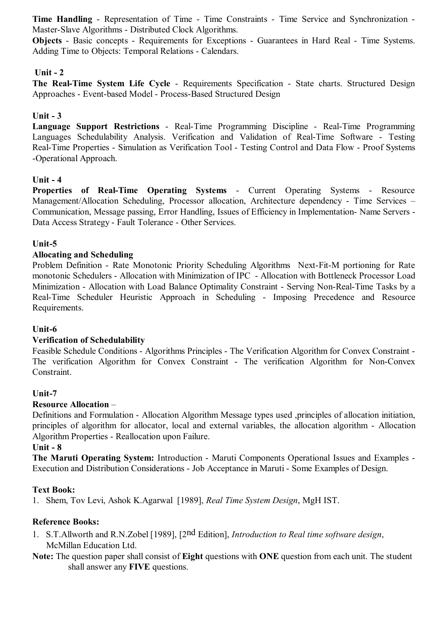**Time Handling** - Representation of Time - Time Constraints - Time Service and Synchronization - Master-Slave Algorithms - Distributed Clock Algorithms.

**Objects** - Basic concepts - Requirements for Exceptions - Guarantees in Hard Real - Time Systems. Adding Time to Objects: Temporal Relations - Calendars.

### **Unit - 2**

**The Real-Time System Life Cycle** - Requirements Specification - State charts. Structured Design Approaches - Event-based Model - Process-Based Structured Design

### **Unit - 3**

**Language Support Restrictions** - Real-Time Programming Discipline - Real-Time Programming Languages Schedulability Analysis. Verification and Validation of Real-Time Software - Testing Real-Time Properties - Simulation as Verification Tool - Testing Control and Data Flow - Proof Systems -Operational Approach.

### **Unit - 4**

**Properties of Real-Time Operating Systems** - Current Operating Systems - Resource Management/Allocation Scheduling, Processor allocation, Architecture dependency - Time Services – Communication, Message passing, Error Handling, Issues of Efficiency in Implementation- Name Servers - Data Access Strategy - Fault Tolerance - Other Services.

### **Unit-5**

### **Allocating and Scheduling**

Problem Definition - Rate Monotonic Priority Scheduling Algorithms Next-Fit-M portioning for Rate monotonic Schedulers - Allocation with Minimization of IPC - Allocation with Bottleneck Processor Load Minimization - Allocation with Load Balance Optimality Constraint - Serving Non-Real-Time Tasks by a Real-Time Scheduler Heuristic Approach in Scheduling - Imposing Precedence and Resource Requirements.

### **Unit-6**

### **Verification of Schedulability**

Feasible Schedule Conditions - Algorithms Principles - The Verification Algorithm for Convex Constraint - The verification Algorithm for Convex Constraint - The verification Algorithm for Non-Convex Constraint.

### **Unit-7**

### **Resource Allocation** –

Definitions and Formulation - Allocation Algorithm Message types used ,principles of allocation initiation, principles of algorithm for allocator, local and external variables, the allocation algorithm - Allocation Algorithm Properties - Reallocation upon Failure.

#### **Unit - 8**

**The Maruti Operating System:** Introduction - Maruti Components Operational Issues and Examples - Execution and Distribution Considerations - Job Acceptance in Maruti - Some Examples of Design.

#### **Text Book:**

1. Shem, Tov Levi, Ashok K.Agarwal [1989], *Real Time System Design*, MgH IST.

### **Reference Books:**

- 1. S.T.Allworth and R.N.Zobel [1989], [2nd Edition], *Introduction to Real time software design*, McMillan Education Ltd.
- **Note:** The question paper shall consist of **Eight** questions with **ONE** question from each unit. The student shall answer any **FIVE** questions.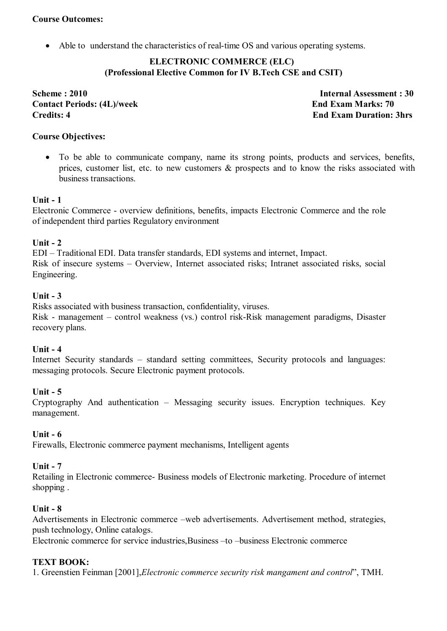### **Course Outcomes:**

Able to understand the characteristics of real-time OS and various operating systems.

### **ELECTRONIC COMMERCE (ELC) (Professional Elective Common for IV B.Tech CSE and CSIT)**

**Scheme : 2010 Internal Assessment : 30 Contact Periods: (4L)/week End Exam Marks: 70 Credits: 4 End Exam Duration: 3hrs**

### **Course Objectives:**

 To be able to communicate company, name its strong points, products and services, benefits, prices, customer list, etc. to new customers & prospects and to know the risks associated with business transactions.

### **Unit - 1**

Electronic Commerce - overview definitions, benefits, impacts Electronic Commerce and the role of independent third parties Regulatory environment

#### **Unit - 2**

EDI – Traditional EDI. Data transfer standards, EDI systems and internet, Impact. Risk of insecure systems – Overview, Internet associated risks; Intranet associated risks, social Engineering.

#### **Unit - 3**

Risks associated with business transaction, confidentiality, viruses.

Risk - management – control weakness (vs.) control risk-Risk management paradigms, Disaster recovery plans.

### **Unit - 4**

Internet Security standards – standard setting committees, Security protocols and languages: messaging protocols. Secure Electronic payment protocols.

### **Unit - 5**

Cryptography And authentication – Messaging security issues. Encryption techniques. Key management.

### **Unit - 6**

Firewalls, Electronic commerce payment mechanisms, Intelligent agents

### **Unit - 7**

Retailing in Electronic commerce- Business models of Electronic marketing. Procedure of internet shopping .

#### **Unit - 8**

Advertisements in Electronic commerce –web advertisements. Advertisement method, strategies, push technology, Online catalogs.

Electronic commerce for service industries,Business –to –business Electronic commerce

### **TEXT BOOK:**

1. Greenstien Feinman [2001],*Electronic commerce security risk mangament and control*", TMH.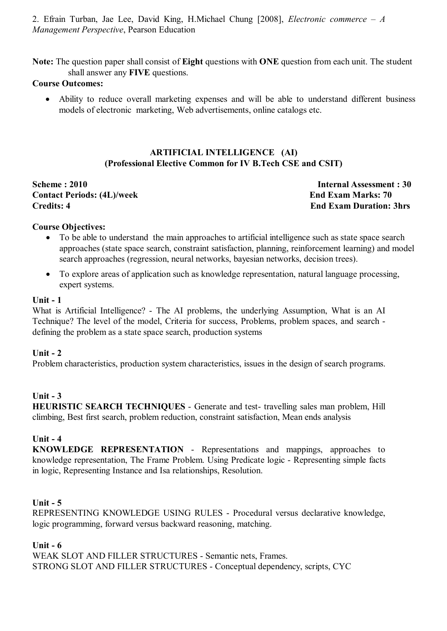2. Efrain Turban, Jae Lee, David King, H.Michael Chung [2008], *Electronic commerce – A Management Perspective*, Pearson Education

**Note:** The question paper shall consist of **Eight** questions with **ONE** question from each unit. The student shall answer any **FIVE** questions.

#### **Course Outcomes:**

 Ability to reduce overall marketing expenses and will be able to understand different business models of electronic marketing, Web advertisements, online catalogs etc.

### **ARTIFICIAL INTELLIGENCE (AI) (Professional Elective Common for IV B.Tech CSE and CSIT)**

**Scheme : 2010** Internal Assessment : 30 **Contact Periods: (4L)/week End Exam Marks: 70 Credits: 4 End Exam Duration: 3hrs**

#### **Course Objectives:**

- To be able to understand the main approaches to artificial intelligence such as state space search approaches (state space search, constraint satisfaction, planning, reinforcement learning) and model search approaches (regression, neural networks, bayesian networks, decision trees).
- To explore areas of application such as knowledge representation, natural language processing, expert systems.

#### **Unit - 1**

What is Artificial Intelligence? - The AI problems, the underlying Assumption, What is an AI Technique? The level of the model, Criteria for success, Problems, problem spaces, and search defining the problem as a state space search, production systems

#### **Unit - 2**

Problem characteristics, production system characteristics, issues in the design of search programs.

### **Unit - 3**

**HEURISTIC SEARCH TECHNIQUES** - Generate and test- travelling sales man problem, Hill climbing, Best first search, problem reduction, constraint satisfaction, Mean ends analysis

#### **Unit - 4**

**KNOWLEDGE REPRESENTATION** - Representations and mappings, approaches to knowledge representation, The Frame Problem. Using Predicate logic - Representing simple facts in logic, Representing Instance and Isa relationships, Resolution.

#### **Unit - 5**

REPRESENTING KNOWLEDGE USING RULES - Procedural versus declarative knowledge, logic programming, forward versus backward reasoning, matching.

#### **Unit - 6**

WEAK SLOT AND FILLER STRUCTURES - Semantic nets, Frames. STRONG SLOT AND FILLER STRUCTURES - Conceptual dependency, scripts, CYC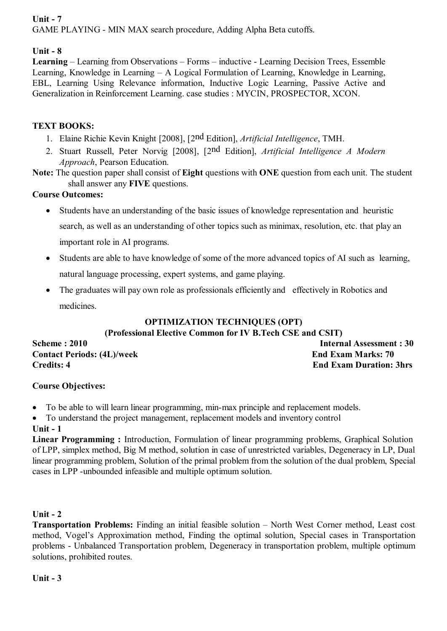# **Unit - 7**

GAME PLAYING - MIN MAX search procedure, Adding Alpha Beta cutoffs.

# **Unit - 8**

**Learning** – Learning from Observations – Forms – inductive - Learning Decision Trees, Essemble Learning, Knowledge in Learning – A Logical Formulation of Learning, Knowledge in Learning, EBL, Learning Using Relevance information, Inductive Logic Learning, Passive Active and Generalization in Reinforcement Learning. case studies : MYCIN, PROSPECTOR, XCON.

# **TEXT BOOKS:**

- 1. Elaine Richie Kevin Knight [2008], [2nd Edition], *Artificial Intelligence*, TMH.
- 2. Stuart Russell, Peter Norvig [2008], [2nd Edition], *Artificial Intelligence A Modern Approach*, Pearson Education.
- **Note:** The question paper shall consist of **Eight** questions with **ONE** question from each unit. The student shall answer any **FIVE** questions.

# **Course Outcomes:**

- Students have an understanding of the basic issues of knowledge representation and heuristic search, as well as an understanding of other topics such as minimax, resolution, etc. that play an important role in AI programs.
- Students are able to have knowledge of some of the more advanced topics of AI such as learning, natural language processing, expert systems, and game playing.
- The graduates will pay own role as professionals efficiently and effectively in Robotics and medicines.

# **OPTIMIZATION TECHNIQUES (OPT)**

**(Professional Elective Common for IV B.Tech CSE and CSIT)**

**Contact Periods: (4L)/week End Exam Marks: 70 Credits: 4 End Exam Duration: 3hrs**

**Scheme : 2010** Internal Assessment : 30

# **Course Objectives:**

To be able to will learn linear programming, min-max principle and replacement models.

To understand the project management, replacement models and inventory control

# **Unit - 1**

**Linear Programming :** Introduction, Formulation of linear programming problems, Graphical Solution of LPP, simplex method, Big M method, solution in case of unrestricted variables, Degeneracy in LP, Dual linear programming problem, Solution of the primal problem from the solution of the dual problem, Special cases in LPP -unbounded infeasible and multiple optimum solution.

# **Unit - 2**

**Transportation Problems:** Finding an initial feasible solution – North West Corner method, Least cost method, Vogel's Approximation method, Finding the optimal solution, Special cases in Transportation problems - Unbalanced Transportation problem, Degeneracy in transportation problem, multiple optimum solutions, prohibited routes.

# **Unit - 3**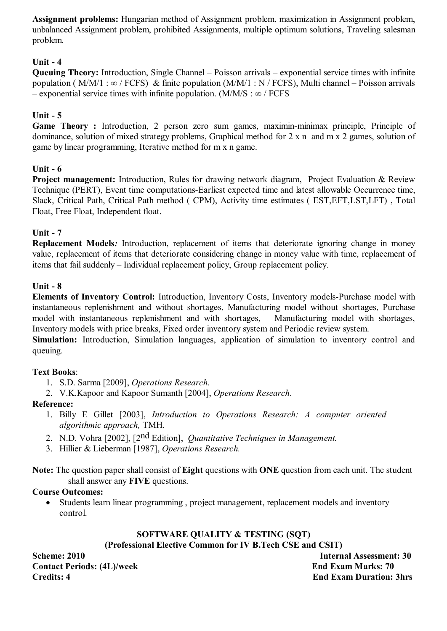**Assignment problems:** Hungarian method of Assignment problem, maximization in Assignment problem, unbalanced Assignment problem, prohibited Assignments, multiple optimum solutions, Traveling salesman problem.

# **Unit - 4**

**Queuing Theory:** Introduction, Single Channel – Poisson arrivals – exponential service times with infinite population ( M/M/1 : ∞ / FCFS) & finite population (M/M/1 : N / FCFS). Multi channel – Poisson arrivals – exponential service times with infinite population. (M/M/S :  $\infty$  / FCFS

# **Unit - 5**

**Game Theory :** Introduction, 2 person zero sum games, maximin-minimax principle, Principle of dominance, solution of mixed strategy problems, Graphical method for 2 x n and m x 2 games, solution of game by linear programming, Iterative method for m x n game.

# **Unit - 6**

**Project management:** Introduction, Rules for drawing network diagram, Project Evaluation & Review Technique (PERT), Event time computations-Earliest expected time and latest allowable Occurrence time, Slack, Critical Path, Critical Path method ( CPM), Activity time estimates ( EST,EFT,LST,LFT) , Total Float, Free Float, Independent float.

# **Unit - 7**

**Replacement Models***:* Introduction, replacement of items that deteriorate ignoring change in money value, replacement of items that deteriorate considering change in money value with time, replacement of items that fail suddenly – Individual replacement policy, Group replacement policy.

### **Unit - 8**

**Elements of Inventory Control:** Introduction, Inventory Costs, Inventory models-Purchase model with instantaneous replenishment and without shortages, Manufacturing model without shortages, Purchase model with instantaneous replenishment and with shortages, Manufacturing model with shortages, Inventory models with price breaks, Fixed order inventory system and Periodic review system.

**Simulation:** Introduction, Simulation languages, application of simulation to inventory control and queuing.

### **Text Books**:

- 1. S.D. Sarma [2009], *Operations Research.*
- 2. V.K.Kapoor and Kapoor Sumanth [2004], *Operations Research*.

### **Reference:**

- 1. Billy E Gillet [2003], *Introduction to Operations Research: A computer oriented algorithmic approach,* TMH.
- 2. N.D. Vohra [2002], [2nd Edition], *Quantitative Techniques in Management.*
- 3. Hillier & Lieberman [1987], *Operations Research.*

**Note:** The question paper shall consist of **Eight** questions with **ONE** question from each unit. The student shall answer any **FIVE** questions.

# **Course Outcomes:**

 Students learn linear programming , project management, replacement models and inventory control.

# **SOFTWARE QUALITY & TESTING (SQT)**

**(Professional Elective Common for IV B.Tech CSE and CSIT)**

**Scheme: 2010 Internal Assessment: 30 Contact Periods: (4L)/week End Exam Marks: 70 Credits: 4 End Exam Duration: 3hrs**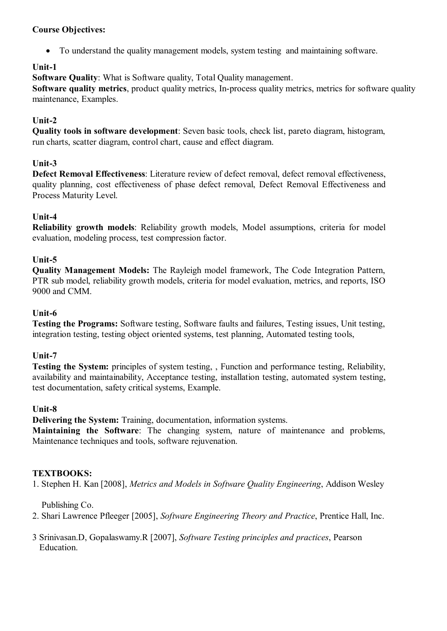### **Course Objectives:**

To understand the quality management models, system testing and maintaining software.

# **Unit-1**

**Software Quality**: What is Software quality, Total Quality management.

**Software quality metrics**, product quality metrics, In-process quality metrics, metrics for software quality maintenance, Examples.

# **Unit-2**

**Quality tools in software development**: Seven basic tools, check list, pareto diagram, histogram, run charts, scatter diagram, control chart, cause and effect diagram.

# **Unit-3**

**Defect Removal Effectiveness**: Literature review of defect removal, defect removal effectiveness, quality planning, cost effectiveness of phase defect removal, Defect Removal Effectiveness and Process Maturity Level.

# **Unit-4**

**Reliability growth models**: Reliability growth models, Model assumptions, criteria for model evaluation, modeling process, test compression factor.

# **Unit-5**

**Quality Management Models:** The Rayleigh model framework, The Code Integration Pattern, PTR sub model, reliability growth models, criteria for model evaluation, metrics, and reports, ISO 9000 and CMM.

# **Unit-6**

**Testing the Programs:** Software testing, Software faults and failures, Testing issues, Unit testing, integration testing, testing object oriented systems, test planning, Automated testing tools,

# **Unit-7**

**Testing the System:** principles of system testing, , Function and performance testing, Reliability, availability and maintainability, Acceptance testing, installation testing, automated system testing, test documentation, safety critical systems, Example.

# **Unit-8**

**Delivering the System:** Training, documentation, information systems.

**Maintaining the Software**: The changing system, nature of maintenance and problems, Maintenance techniques and tools, software rejuvenation.

# **TEXTBOOKS:**

1. Stephen H. Kan [2008], *Metrics and Models in Software Quality Engineering*, Addison Wesley

Publishing Co.

2. Shari Lawrence Pfleeger [2005], *Software Engineering Theory and Practice*, Prentice Hall, Inc.

3 Srinivasan.D, Gopalaswamy.R [2007], *Software Testing principles and practices*, Pearson Education.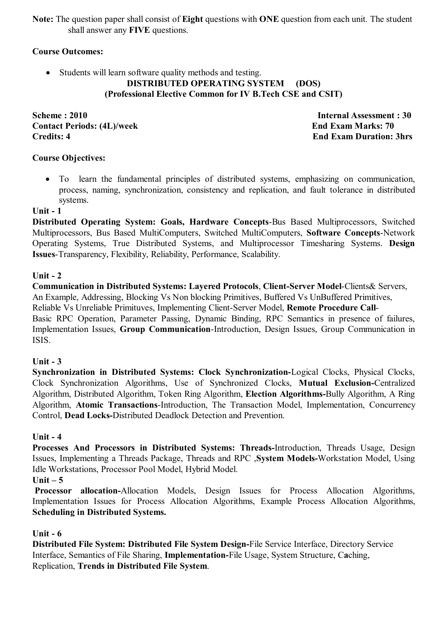**Note:** The question paper shall consist of **Eight** questions with **ONE** question from each unit. The student shall answer any **FIVE** questions.

### **Course Outcomes:**

• Students will learn software quality methods and testing.

### **DISTRIBUTED OPERATING SYSTEM (DOS) (Professional Elective Common for IV B.Tech CSE and CSIT)**

**Scheme : 2010** Internal Assessment : 30 **Contact Periods: (4L)/week End Exam Marks: 70 Credits: 4 End Exam Duration: 3hrs**

### **Course Objectives:**

 To learn the fundamental principles of distributed systems, emphasizing on communication, process, naming, synchronization, consistency and replication, and fault tolerance in distributed systems.

### **Unit - 1**

**Distributed Operating System: Goals, Hardware Concepts**-Bus Based Multiprocessors, Switched Multiprocessors, Bus Based MultiComputers, Switched MultiComputers, **Software Concepts**-Network Operating Systems, True Distributed Systems, and Multiprocessor Timesharing Systems. **Design Issues**-Transparency, Flexibility, Reliability, Performance, Scalability.

### **Unit - 2**

**Communication in Distributed Systems: Layered Protocols**, **Client-Server Model**-Clients& Servers, An Example, Addressing, Blocking Vs Non blocking Primitives, Buffered Vs UnBuffered Primitives, Reliable Vs Unreliable Primituves, Implementing Client-Server Model, **Remote Procedure Call**-Basic RPC Operation, Parameter Passing, Dynamic Binding, RPC Semantics in presence of failures, Implementation Issues, **Group Communication**-Introduction, Design Issues, Group Communication in ISIS.

### **Unit - 3**

**Synchronization in Distributed Systems: Clock Synchronization-**Logical Clocks, Physical Clocks, Clock Synchronization Algorithms, Use of Synchronized Clocks, **Mutual Exclusion-**Centralized Algorithm, Distributed Algorithm, Token Ring Algorithm, **Election Algorithms-**Bully Algorithm, A Ring Algorithm, **Atomic Transactions**-Introduction, The Transaction Model, Implementation, Concurrency Control, **Dead Locks-**Distributed Deadlock Detection and Prevention.

### **Unit - 4**

**Processes And Processors in Distributed Systems: Threads-**Introduction, Threads Usage, Design Issues, Implementing a Threads Package, Threads and RPC ,**System Models-**Workstation Model, Using Idle Workstations, Processor Pool Model, Hybrid Model.

### **Unit – 5**

 **Processor allocation-**Allocation Models, Design Issues for Process Allocation Algorithms, Implementation Issues for Process Allocation Algorithms, Example Process Allocation Algorithms, **Scheduling in Distributed Systems.**

### **Unit - 6**

**Distributed File System: Distributed File System Design-**File Service Interface, Directory Service Interface, Semantics of File Sharing, **Implementation-**File Usage, System Structure, C**a**ching, Replication, **Trends in Distributed File System**.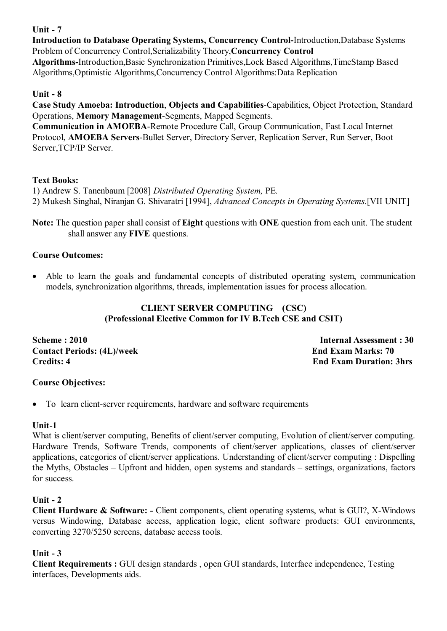# **Unit - 7**

**Introduction to Database Operating Systems, Concurrency Control-**Introduction,Database Systems Problem of Concurrency Control,Serializability Theory,**Concurrency Control**

**Algorithms-**Introduction,Basic Synchronization Primitives,Lock Based Algorithms,TimeStamp Based Algorithms,Optimistic Algorithms,Concurrency Control Algorithms:Data Replication

# **Unit - 8**

**Case Study Amoeba: Introduction**, **Objects and Capabilities**-Capabilities, Object Protection, Standard Operations, **Memory Management**-Segments, Mapped Segments.

**Communication in AMOEBA**-Remote Procedure Call, Group Communication, Fast Local Internet Protocol, **AMOEBA Servers**-Bullet Server, Directory Server, Replication Server, Run Server, Boot Server,TCP/IP Server.

# **Text Books:**

1) Andrew S. Tanenbaum [2008] *Distributed Operating System,* PE*.* 2) Mukesh Singhal, Niranjan G. Shivaratri [1994], *Advanced Concepts in Operating Systems*.[VII UNIT]

**Note:** The question paper shall consist of **Eight** questions with **ONE** question from each unit. The student shall answer any **FIVE** questions.

# **Course Outcomes:**

 Able to learn the goals and fundamental concepts of distributed operating system, communication models, synchronization algorithms, threads, implementation issues for process allocation.

# **CLIENT SERVER COMPUTING (CSC) (Professional Elective Common for IV B.Tech CSE and CSIT)**

**Scheme : 2010** Internal Assessment : 30 **Contact Periods: (4L)/week End Exam Marks: 70 Credits: 4 End Exam Duration: 3hrs**

# **Course Objectives:**

To learn client-server requirements, hardware and software requirements

# **Unit-1**

What is client/server computing, Benefits of client/server computing, Evolution of client/server computing. Hardware Trends, Software Trends, components of client/server applications, classes of client/server applications, categories of client/server applications. Understanding of client/server computing : Dispelling the Myths, Obstacles – Upfront and hidden, open systems and standards – settings, organizations, factors for success.

# **Unit - 2**

**Client Hardware & Software: -** Client components, client operating systems, what is GUI?, X-Windows versus Windowing, Database access, application logic, client software products: GUI environments, converting 3270/5250 screens, database access tools.

# **Unit - 3**

**Client Requirements :** GUI design standards , open GUI standards, Interface independence, Testing interfaces, Developments aids.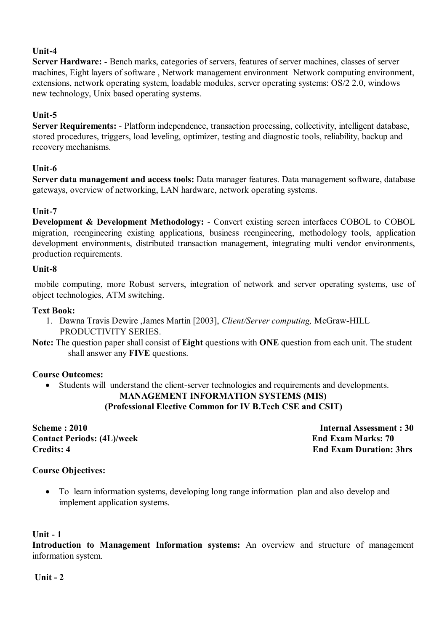# **Unit-4**

**Server Hardware:** - Bench marks, categories of servers, features of server machines, classes of server machines, Eight layers of software , Network management environment Network computing environment, extensions, network operating system, loadable modules, server operating systems: OS/2 2.0, windows new technology, Unix based operating systems.

### **Unit-5**

**Server Requirements:** - Platform independence, transaction processing, collectivity, intelligent database, stored procedures, triggers, load leveling, optimizer, testing and diagnostic tools, reliability, backup and recovery mechanisms.

### **Unit-6**

**Server data management and access tools:** Data manager features. Data management software, database gateways, overview of networking, LAN hardware, network operating systems.

### **Unit-7**

**Development & Development Methodology:** - Convert existing screen interfaces COBOL to COBOL migration, reengineering existing applications, business reengineering, methodology tools, application development environments, distributed transaction management, integrating multi vendor environments, production requirements.

### **Unit-8**

 mobile computing, more Robust servers, integration of network and server operating systems, use of object technologies, ATM switching.

### **Text Book:**

- 1. Dawna Travis Dewire ,James Martin [2003], *Client/Server computing,* McGraw-HILL PRODUCTIVITY SERIES.
- **Note:** The question paper shall consist of **Eight** questions with **ONE** question from each unit. The student shall answer any **FIVE** questions.

### **Course Outcomes:**

Students will understand the client-server technologies and requirements and developments.

# **MANAGEMENT INFORMATION SYSTEMS (MIS)**

**(Professional Elective Common for IV B.Tech CSE and CSIT)**

**Scheme : 2010 Internal Assessment : 30 Contact Periods: (4L)/week End Exam Marks: 70 Credits: 4 End Exam Duration: 3hrs**

### **Course Objectives:**

 To learn information systems, developing long range information plan and also develop and implement application systems.

#### **Unit - 1**

**Introduction to Management Information systems:** An overview and structure of management information system.

**Unit - 2**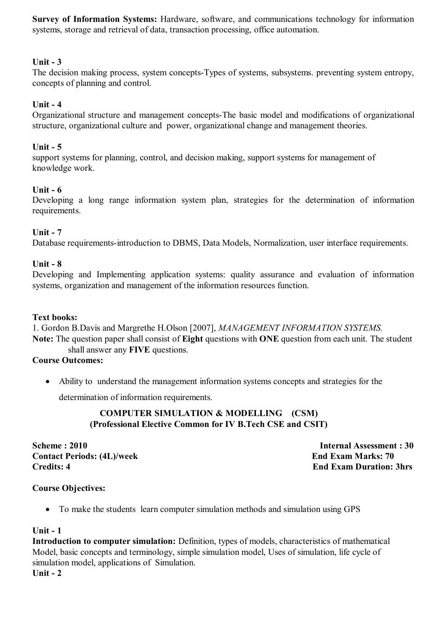**Survey of Information Systems:** Hardware, software, and communications technology for information systems, storage and retrieval of data, transaction processing, office automation.

### **Unit - 3**

The decision making process, system concepts-Types of systems, subsystems. preventing system entropy, concepts of planning and control.

### **Unit - 4**

Organizational structure and management concepts-The basic model and modifications of organizational structure, organizational culture and power, organizational change and management theories.

#### **Unit - 5**

support systems for planning, control, and decision making, support systems for management of knowledge work.

### **Unit - 6**

Developing a long range information system plan, strategies for the determination of information requirements.

#### **Unit - 7**

Database requirements-introduction to DBMS, Data Models, Normalization, user interface requirements.

#### **Unit - 8**

Developing and Implementing application systems: quality assurance and evaluation of information systems, organization and management of the information resources function.

#### **Text books:**

1. Gordon B.Davis and Margrethe H.Olson [2007], *MANAGEMENT INFORMATION SYSTEMS.*

**Note:** The question paper shall consist of **Eight** questions with **ONE** question from each unit. The student shall answer any **FIVE** questions.

#### **Course Outcomes:**

 Ability to understand the management information systems concepts and strategies for the determination of information requirements.

> **COMPUTER SIMULATION & MODELLING (CSM) (Professional Elective Common for IV B.Tech CSE and CSIT)**

**Contact Periods: (4L)/week End Exam Marks: 70 Credits: 4 End Exam Duration: 3hrs**

**Scheme : 2010** Internal Assessment : 30

### **Course Objectives:**

To make the students learn computer simulation methods and simulation using GPS

#### **Unit - 1**

**Introduction to computer simulation:** Definition, types of models, characteristics of mathematical Model, basic concepts and terminology, simple simulation model, Uses of simulation, life cycle of simulation model, applications of Simulation. **Unit - 2**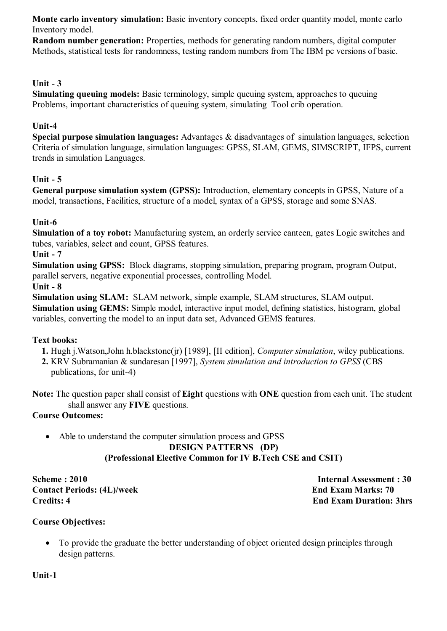**Monte carlo inventory simulation:** Basic inventory concepts, fixed order quantity model, monte carlo Inventory model.

**Random number generation:** Properties, methods for generating random numbers, digital computer Methods, statistical tests for randomness, testing random numbers from The IBM pc versions of basic.

### **Unit - 3**

**Simulating queuing models:** Basic terminology, simple queuing system, approaches to queuing Problems, important characteristics of queuing system, simulating Tool crib operation.

### **Unit-4**

**Special purpose simulation languages:** Advantages & disadvantages of simulation languages, selection Criteria of simulation language, simulation languages: GPSS, SLAM, GEMS, SIMSCRIPT, IFPS, current trends in simulation Languages.

### **Unit - 5**

**General purpose simulation system (GPSS):** Introduction, elementary concepts in GPSS, Nature of a model, transactions, Facilities, structure of a model, syntax of a GPSS, storage and some SNAS.

### **Unit-6**

**Simulation of a toy robot:** Manufacturing system, an orderly service canteen, gates Logic switches and tubes, variables, select and count, GPSS features.

**Unit - 7**

**Simulation using GPSS:** Block diagrams, stopping simulation, preparing program, program Output, parallel servers, negative exponential processes, controlling Model.

#### **Unit - 8**

**Simulation using SLAM:** SLAM network, simple example, SLAM structures, SLAM output. **Simulation using GEMS:** Simple model, interactive input model, defining statistics, histogram, global variables, converting the model to an input data set, Advanced GEMS features.

### **Text books:**

- **1.** Hugh j.Watson,John h.blackstone(jr) [1989], [II edition], *Computer simulation*, wiley publications.
- **2.** KRV Subramanian & sundaresan [1997], *System simulation and introduction to GPSS* (CBS
	- publications, for unit-4)

**Note:** The question paper shall consist of **Eight** questions with **ONE** question from each unit. The student shall answer any **FIVE** questions.

### **Course Outcomes:**

 Able to understand the computer simulation process and GPSS **DESIGN PATTERNS (DP) (Professional Elective Common for IV B.Tech CSE and CSIT)**

**Scheme : 2010** Internal Assessment : 30 **Contact Periods: (4L)/week End Exam Marks: 70 Credits: 4 End Exam Duration: 3hrs**

### **Course Objectives:**

• To provide the graduate the better understanding of object oriented design principles through design patterns.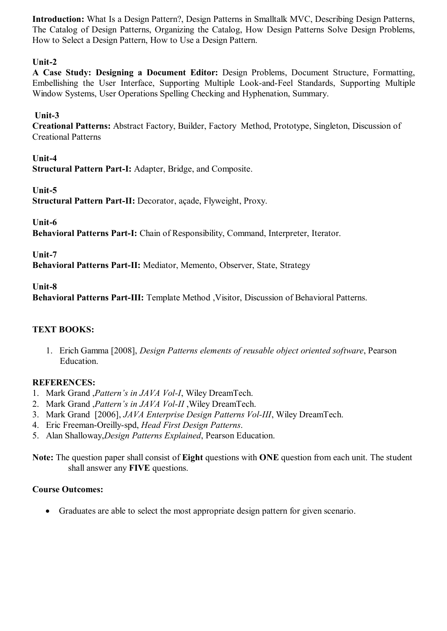**Introduction:** What Is a Design Pattern?, Design Patterns in Smalltalk MVC, Describing Design Patterns, The Catalog of Design Patterns, Organizing the Catalog, How Design Patterns Solve Design Problems, How to Select a Design Pattern, How to Use a Design Pattern.

# **Unit-2**

**A Case Study: Designing a Document Editor:** Design Problems, Document Structure, Formatting, Embellishing the User Interface, Supporting Multiple Look-and-Feel Standards, Supporting Multiple Window Systems, User Operations Spelling Checking and Hyphenation, Summary.

### **Unit-3**

**Creational Patterns:** Abstract Factory, Builder, Factory Method, Prototype, Singleton, Discussion of Creational Patterns

**Unit-4**

**Structural Pattern Part-I:** Adapter, Bridge, and Composite.

#### **Unit-5**

**Structural Pattern Part-II:** Decorator, açade, Flyweight, Proxy.

**Unit-6**

**Behavioral Patterns Part-I:** Chain of Responsibility, Command, Interpreter, Iterator.

**Unit-7**

**Behavioral Patterns Part-II:** Mediator, Memento, Observer, State, Strategy

**Unit-8**

**Behavioral Patterns Part-III:** Template Method ,Visitor, Discussion of Behavioral Patterns.

### **TEXT BOOKS:**

1. Erich Gamma [2008], *Design Patterns elements of reusable object oriented software*, Pearson Education.

### **REFERENCES:**

- 1. Mark Grand ,*Pattern's in JAVA Vol-I*, Wiley DreamTech.
- 2. Mark Grand ,*Pattern's in JAVA Vol-II* ,Wiley DreamTech.
- 3. Mark Grand [2006], *JAVA Enterprise Design Patterns Vol-III*, Wiley DreamTech.
- 4. Eric Freeman-Oreilly-spd, *Head First Design Patterns*.
- 5. Alan Shalloway,*Design Patterns Explained*, Pearson Education.

**Note:** The question paper shall consist of **Eight** questions with **ONE** question from each unit. The student shall answer any **FIVE** questions.

### **Course Outcomes:**

Graduates are able to select the most appropriate design pattern for given scenario.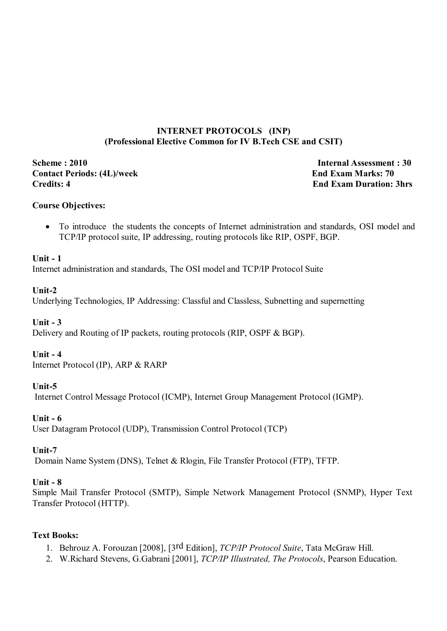### **INTERNET PROTOCOLS (INP) (Professional Elective Common for IV B.Tech CSE and CSIT)**

**Scheme : 2010 Internal Assessment : 30 Contact Periods: (4L)/week End Exam Marks: 70 Credits: 4 End Exam Duration: 3hrs**

### **Course Objectives:**

 To introduce the students the concepts of Internet administration and standards, OSI model and TCP/IP protocol suite, IP addressing, routing protocols like RIP, OSPF, BGP.

#### **Unit - 1**

Internet administration and standards, The OSI model and TCP/IP Protocol Suite

#### **Unit-2**

Underlying Technologies, IP Addressing: Classful and Classless, Subnetting and supernetting

### **Unit - 3**

Delivery and Routing of IP packets, routing protocols (RIP, OSPF & BGP).

#### **Unit - 4**

Internet Protocol (IP), ARP & RARP

### **Unit-5**

Internet Control Message Protocol (ICMP), Internet Group Management Protocol (IGMP).

### **Unit - 6**

User Datagram Protocol (UDP), Transmission Control Protocol (TCP)

#### **Unit-7**

Domain Name System (DNS), Telnet & Rlogin, File Transfer Protocol (FTP), TFTP.

#### **Unit - 8**

Simple Mail Transfer Protocol (SMTP), Simple Network Management Protocol (SNMP), Hyper Text Transfer Protocol (HTTP).

#### **Text Books:**

- 1. Behrouz A. Forouzan [2008], [3rd Edition], *TCP/IP Protocol Suite*, Tata McGraw Hill.
- 2. W.Richard Stevens, G.Gabrani [2001], *TCP/IP Illustrated, The Protocols*, Pearson Education.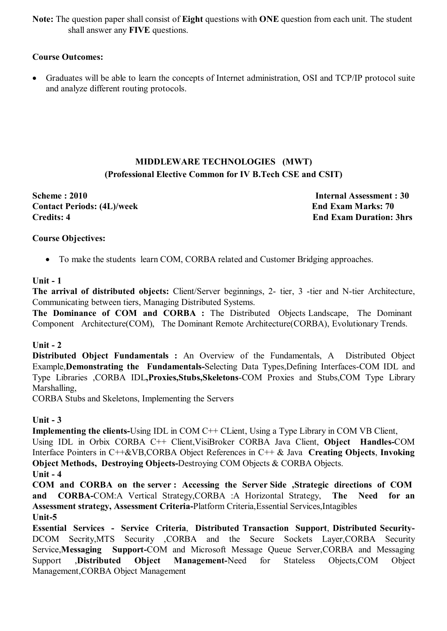**Note:** The question paper shall consist of **Eight** questions with **ONE** question from each unit. The student shall answer any **FIVE** questions.

### **Course Outcomes:**

 Graduates will be able to learn the concepts of Internet administration, OSI and TCP/IP protocol suite and analyze different routing protocols.

# **MIDDLEWARE TECHNOLOGIES (MWT) (Professional Elective Common for IV B.Tech CSE and CSIT)**

**Scheme : 2010 Internal Assessment : 30 Contact Periods: (4L)/week End Exam Marks: 70 Credits: 4 End Exam Duration: 3hrs**

### **Course Objectives:**

• To make the students learn COM, CORBA related and Customer Bridging approaches.

### **Unit - 1**

**The arrival of distributed objects:** Client/Server beginnings, 2- tier, 3 -tier and N-tier Architecture, Communicating between tiers, Managing Distributed Systems.

**The Dominance of COM and CORBA :** The Distributed Objects Landscape, The Dominant Component Architecture(COM), The Dominant Remote Architecture(CORBA), Evolutionary Trends.

### **Unit - 2**

**Distributed Object Fundamentals :** An Overview of the Fundamentals, A Distributed Object Example,**Demonstrating the Fundamentals-**Selecting Data Types,Defining Interfaces-COM IDL and Type Libraries ,CORBA IDL**,Proxies,Stubs,Skeletons**-COM Proxies and Stubs,COM Type Library Marshalling,

CORBA Stubs and Skeletons, Implementing the Servers

### **Unit - 3**

**Implementing the clients-Using IDL in COM C<sup>++</sup> CLient, Using a Type Library in COM VB Client,** 

Using IDL in Orbix CORBA C++ Client,VisiBroker CORBA Java Client, **Object Handles-**COM Interface Pointers in C++&VB,CORBA Object References in C++ & Java **Creating Objects**, **Invoking Object Methods, Destroying Objects-**Destroying COM Objects & CORBA Objects.

**Unit - 4**

**COM and CORBA on the server : Accessing the Server Side ,Strategic directions of COM and CORBA-**COM:A Vertical Strategy,CORBA :A Horizontal Strategy, **The Need for an Assessment strategy, Assessment Criteria-**Platform Criteria,Essential Services,Intagibles **Unit-5**

**Essential Services - Service Criteria**, **Distributed Transaction Support**, **Distributed Security-**DCOM Secrity,MTS Security ,CORBA and the Secure Sockets Layer,CORBA Security Service,**Messaging Support-**COM and Microsoft Message Queue Server,CORBA and Messaging Support ,**Distributed Object Management-**Need for Stateless Objects,COM Object Management,CORBA Object Management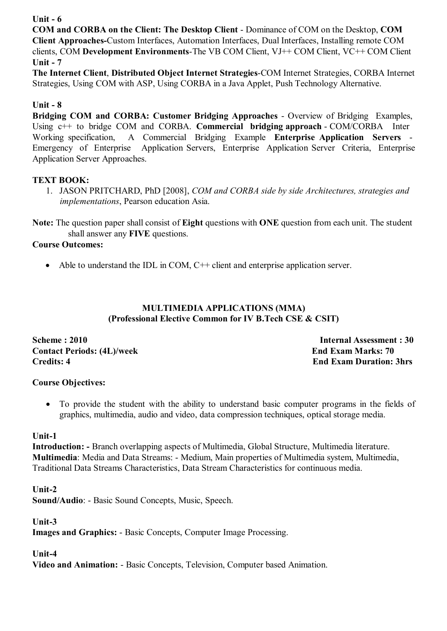### **Unit - 6**

**COM and CORBA on the Client: The Desktop Client** - Dominance of COM on the Desktop, **COM Client Approaches-**Custom Interfaces, Automation Interfaces, Dual Interfaces, Installing remote COM clients, COM **Development Environments**-The VB COM Client, VJ++ COM Client, VC++ COM Client **Unit - 7**

**The Internet Client**, **Distributed Object Internet Strategies**-COM Internet Strategies, CORBA Internet Strategies, Using COM with ASP, Using CORBA in a Java Applet, Push Technology Alternative.

# **Unit - 8**

**Bridging COM and CORBA: Customer Bridging Approaches** - Overview of Bridging Examples, Using c++ to bridge COM and CORBA. **Commercial bridging approach** - COM/CORBA Inter Working specification, A Commercial Bridging Example **Enterprise Application Servers** - Emergency of Enterprise Application Servers, Enterprise Application Server Criteria, Enterprise Application Server Approaches.

# **TEXT BOOK:**

1. JASON PRITCHARD, PhD [2008], *COM and CORBA side by side Architectures, strategies and implementations*, Pearson education Asia.

**Note:** The question paper shall consist of **Eight** questions with **ONE** question from each unit. The student shall answer any **FIVE** questions.

# **Course Outcomes:**

• Able to understand the IDL in COM, C++ client and enterprise application server.

### **MULTIMEDIA APPLICATIONS (MMA) (Professional Elective Common for IV B.Tech CSE & CSIT)**

**Contact Periods: (4L)/week End Exam Marks: 70 Credits: 4 End Exam Duration: 3hrs**

**Scheme : 2010** Internal Assessment : 30

# **Course Objectives:**

 To provide the student with the ability to understand basic computer programs in the fields of graphics, multimedia, audio and video, data compression techniques, optical storage media.

### **Unit-1**

**Introduction: -** Branch overlapping aspects of Multimedia, Global Structure, Multimedia literature. **Multimedia**: Media and Data Streams: - Medium, Main properties of Multimedia system, Multimedia, Traditional Data Streams Characteristics, Data Stream Characteristics for continuous media.

**Unit-2**

**Sound/Audio**: - Basic Sound Concepts, Music, Speech.

**Unit-3**

**Images and Graphics:** - Basic Concepts, Computer Image Processing.

# **Unit-4**

**Video and Animation:** - Basic Concepts, Television, Computer based Animation.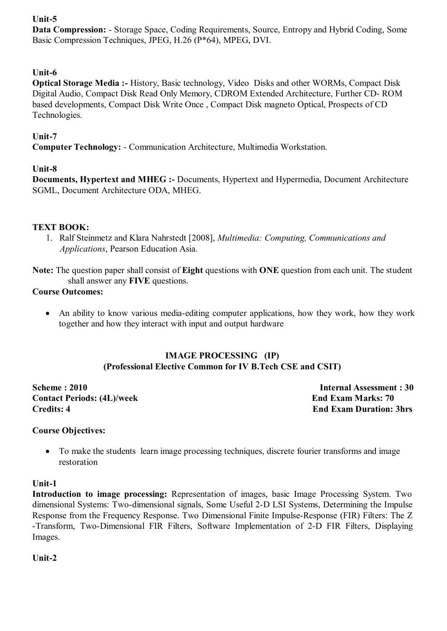# **Unit-5**

**Data Compression:** - Storage Space, Coding Requirements, Source, Entropy and Hybrid Coding, Some Basic Compression Techniques, JPEG, H.26 (P\*64), MPEG, DVI.

# **Unit-6**

**Optical Storage Media :-** History, Basic technology, Video Disks and other WORMs, Compact Disk Digital Audio, Compact Disk Read Only Memory, CDROM Extended Architecture, Further CD- ROM based developments, Compact Disk Write Once , Compact Disk magneto Optical, Prospects of CD Technologies.

### **Unit-7**

**Computer Technology:** - Communication Architecture, Multimedia Workstation.

### **Unit-8**

**Documents, Hypertext and MHEG :-** Documents, Hypertext and Hypermedia, Document Architecture SGML, Document Architecture ODA, MHEG.

### **TEXT BOOK:**

1. Ralf Steinmetz and Klara Nahrstedt [2008], *Multimedia: Computing, Communications and Applications*, Pearson Education Asia.

**Note:** The question paper shall consist of **Eight** questions with **ONE** question from each unit. The student shall answer any **FIVE** questions.

### **Course Outcomes:**

 An ability to know various media-editing computer applications, how they work, how they work together and how they interact with input and output hardware

### **IMAGE PROCESSING (IP) (Professional Elective Common for IV B.Tech CSE and CSIT)**

**Scheme : 2010 Internal Assessment : 30 Contact Periods: (4L)/week End Exam Marks: 70 Credits: 4 End Exam Duration: 3hrs**

### **Course Objectives:**

 To make the students learn image processing techniques, discrete fourier transforms and image restoration

### **Unit-1**

**Introduction to image processing:** Representation of images, basic Image Processing System. Two dimensional Systems: Two-dimensional signals, Some Useful 2-D LSI Systems, Determining the Impulse Response from the Frequency Response. Two Dimensional Finite Impulse-Response (FIR) Filters: The Z -Transform, Two-Dimensional FIR Filters, Software Implementation of 2-D FIR Filters, Displaying Images.

**Unit-2**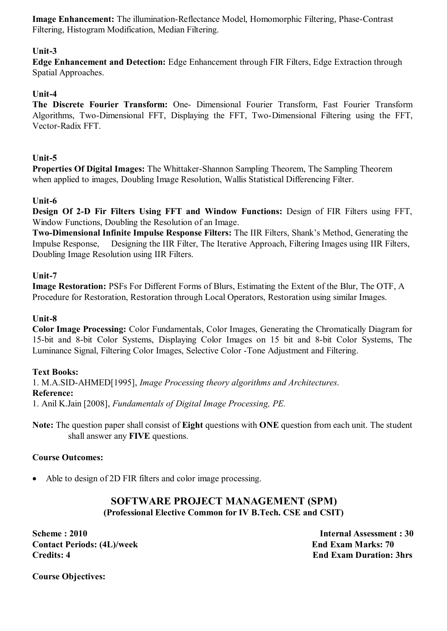**Image Enhancement:** The illumination-Reflectance Model, Homomorphic Filtering, Phase-Contrast Filtering, Histogram Modification, Median Filtering.

### **Unit-3**

**Edge Enhancement and Detection:** Edge Enhancement through FIR Filters, Edge Extraction through Spatial Approaches.

### **Unit-4**

**The Discrete Fourier Transform:** One- Dimensional Fourier Transform, Fast Fourier Transform Algorithms, Two-Dimensional FFT, Displaying the FFT, Two-Dimensional Filtering using the FFT, Vector-Radix FFT.

### **Unit-5**

**Properties Of Digital Images:** The Whittaker-Shannon Sampling Theorem, The Sampling Theorem when applied to images, Doubling Image Resolution, Wallis Statistical Differencing Filter.

### **Unit-6**

**Design Of 2-D Fir Filters Using FFT and Window Functions:** Design of FIR Filters using FFT, Window Functions, Doubling the Resolution of an Image.

**Two-Dimensional Infinite Impulse Response Filters:** The IIR Filters, Shank's Method, Generating the Impulse Response, Designing the IIR Filter, The Iterative Approach, Filtering Images using IIR Filters, Doubling Image Resolution using IIR Filters.

#### **Unit-7**

**Image Restoration:** PSFs For Different Forms of Blurs, Estimating the Extent of the Blur, The OTF, A Procedure for Restoration, Restoration through Local Operators, Restoration using similar Images.

#### **Unit-8**

**Color Image Processing:** Color Fundamentals, Color Images, Generating the Chromatically Diagram for 15-bit and 8-bit Color Systems, Displaying Color Images on 15 bit and 8-bit Color Systems, The Luminance Signal, Filtering Color Images, Selective Color -Tone Adjustment and Filtering.

### **Text Books:**

1. M.A.SID-AHMED[1995], *Image Processing theory algorithms and Architectures*. **Reference:** 1. Anil K.Jain [2008], *Fundamentals of Digital Image Processing, PE.*

**Note:** The question paper shall consist of **Eight** questions with **ONE** question from each unit. The student shall answer any **FIVE** questions.

### **Course Outcomes:**

• Able to design of 2D FIR filters and color image processing.

# **SOFTWARE PROJECT MANAGEMENT (SPM) (Professional Elective Common for IV B.Tech. CSE and CSIT)**

**Scheme : 2010 Internal Assessment : 30 Contact Periods: (4L)/week End Exam Marks: 70 Credits: 4 End Exam Duration: 3hrs**

**Course Objectives:**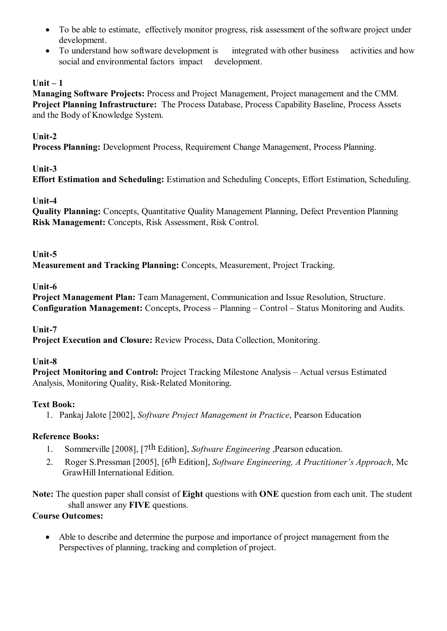- To be able to estimate, effectively monitor progress, risk assessment of the software project under development.
- To understand how software development is integrated with other business activities and how social and environmental factors impact development.

# **Unit – 1**

**Managing Software Projects:** Process and Project Management, Project management and the CMM. **Project Planning Infrastructure:** The Process Database, Process Capability Baseline, Process Assets and the Body of Knowledge System.

# **Unit-2**

**Process Planning:** Development Process, Requirement Change Management, Process Planning.

### **Unit-3**

**Effort Estimation and Scheduling:** Estimation and Scheduling Concepts, Effort Estimation, Scheduling.

### **Unit-4**

**Quality Planning:** Concepts, Quantitative Quality Management Planning, Defect Prevention Planning **Risk Management:** Concepts, Risk Assessment, Risk Control.

### **Unit-5**

**Measurement and Tracking Planning:** Concepts, Measurement, Project Tracking.

### **Unit-6**

**Project Management Plan:** Team Management, Communication and Issue Resolution, Structure. **Configuration Management:** Concepts, Process – Planning – Control – Status Monitoring and Audits.

# **Unit-7**

**Project Execution and Closure:** Review Process, Data Collection, Monitoring.

# **Unit-8**

**Project Monitoring and Control:** Project Tracking Milestone Analysis – Actual versus Estimated Analysis, Monitoring Quality, Risk-Related Monitoring.

# **Text Book:**

1. Pankaj Jalote [2002], *Software Project Management in Practice*, Pearson Education

# **Reference Books:**

- 1. Sommerville [2008], [7th Edition], *Software Engineering* ,Pearson education.
- 2. Roger S.Pressman [2005], [6th Edition], *Software Engineering, A Practitioner's Approach*, Mc GrawHill International Edition.

**Note:** The question paper shall consist of **Eight** questions with **ONE** question from each unit. The student shall answer any **FIVE** questions.

### **Course Outcomes:**

 Able to describe and determine the purpose and importance of project management from the Perspectives of planning, tracking and completion of project.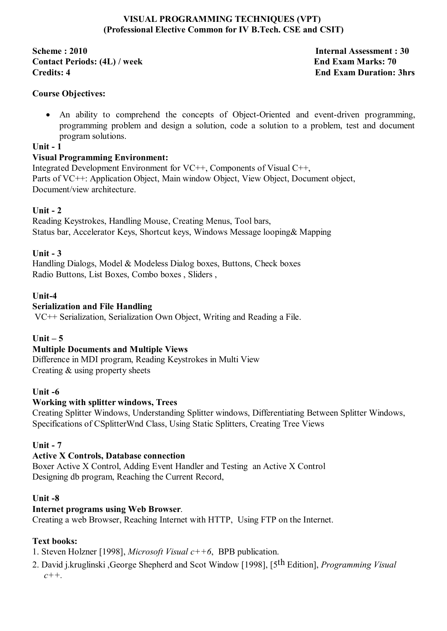### **VISUAL PROGRAMMING TECHNIQUES (VPT) (Professional Elective Common for IV B.Tech. CSE and CSIT)**

**Scheme : 2010 Internal Assessment : 30 Contact Periods: (4L) / week End Exam Marks: 70 Credits: 4** End Exam Duration: 3hrs

### **Course Objectives:**

 An ability to comprehend the concepts of Object-Oriented and event-driven programming, programming problem and design a solution, code a solution to a problem, test and document program solutions.

### **Unit - 1**

### **Visual Programming Environment:**

Integrated Development Environment for VC++, Components of Visual C++, Parts of VC++: Application Object, Main window Object, View Object, Document object, Document/view architecture.

### **Unit - 2**

Reading Keystrokes, Handling Mouse, Creating Menus, Tool bars, Status bar, Accelerator Keys, Shortcut keys, Windows Message looping& Mapping

### **Unit - 3**

Handling Dialogs, Model & Modeless Dialog boxes, Buttons, Check boxes Radio Buttons, List Boxes, Combo boxes , Sliders ,

### **Unit-4**

### **Serialization and File Handling**

VC++ Serialization, Serialization Own Object, Writing and Reading a File.

# **Unit – 5**

### **Multiple Documents and Multiple Views**

Difference in MDI program, Reading Keystrokes in Multi View Creating & using property sheets

### **Unit -6**

### **Working with splitter windows, Trees**

Creating Splitter Windows, Understanding Splitter windows, Differentiating Between Splitter Windows, Specifications of CSplitterWnd Class, Using Static Splitters, Creating Tree Views

### **Unit - 7**

### **Active X Controls, Database connection**

Boxer Active X Control, Adding Event Handler and Testing an Active X Control Designing db program, Reaching the Current Record,

#### **Unit -8**

### **Internet programs using Web Browser**.

Creating a web Browser, Reaching Internet with HTTP, Using FTP on the Internet.

### **Text books:**

1. Steven Holzner [1998], *Microsoft Visual c++6*, BPB publication.

2. David j.kruglinski ,George Shepherd and Scot Window [1998], [5th Edition], *Programming Visual c++.*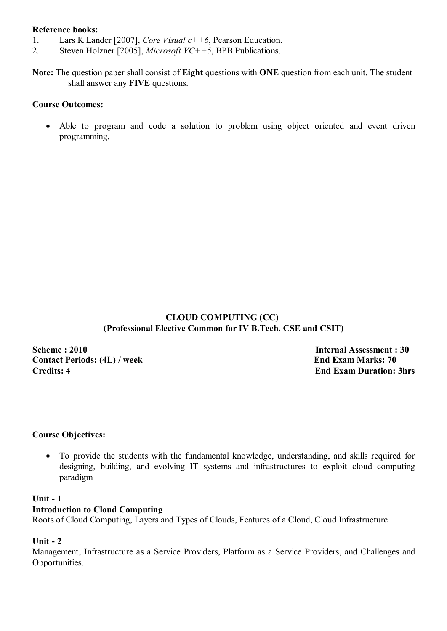#### **Reference books:**

- 1. Lars K Lander [2007], *Core Visual c++6*, Pearson Education.
- 2. Steven Holzner [2005], *Microsoft VC++5*, BPB Publications.

**Note:** The question paper shall consist of **Eight** questions with **ONE** question from each unit. The student shall answer any **FIVE** questions.

### **Course Outcomes:**

 Able to program and code a solution to problem using object oriented and event driven programming.

### **CLOUD COMPUTING (CC) (Professional Elective Common for IV B.Tech. CSE and CSIT)**

**Scheme : 2010 Internal Assessment : 30 Contact Periods: (4L) / week End Exam Marks: 70 Credits: 4** End Exam Duration: 3hrs

### **Course Objectives:**

 To provide the students with the fundamental knowledge, understanding, and skills required for designing, building, and evolving IT systems and infrastructures to exploit cloud computing paradigm

#### **Unit - 1**

#### **Introduction to Cloud Computing**

Roots of Cloud Computing, Layers and Types of Clouds, Features of a Cloud, Cloud Infrastructure

#### **Unit - 2**

Management, Infrastructure as a Service Providers, Platform as a Service Providers, and Challenges and Opportunities.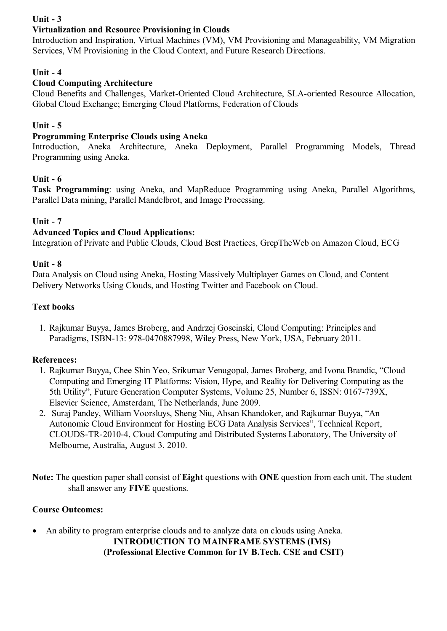# **Unit - 3**

# **Virtualization and Resource Provisioning in Clouds**

Introduction and Inspiration, Virtual Machines (VM), VM Provisioning and Manageability, VM Migration Services, VM Provisioning in the Cloud Context, and Future Research Directions.

### **Unit - 4**

### **Cloud Computing Architecture**

Cloud Benefits and Challenges, Market-Oriented Cloud Architecture, SLA-oriented Resource Allocation, Global Cloud Exchange; Emerging Cloud Platforms, Federation of Clouds

### **Unit - 5**

### **Programming Enterprise Clouds using Aneka**

Introduction, Aneka Architecture, Aneka Deployment, Parallel Programming Models, Thread Programming using Aneka.

### **Unit - 6**

**Task Programming**: using Aneka, and MapReduce Programming using Aneka, Parallel Algorithms, Parallel Data mining, Parallel Mandelbrot, and Image Processing.

### **Unit - 7**

### **Advanced Topics and Cloud Applications:**

Integration of Private and Public Clouds, Cloud Best Practices, GrepTheWeb on Amazon Cloud, ECG

#### **Unit - 8**

Data Analysis on Cloud using Aneka, Hosting Massively Multiplayer Games on Cloud, and Content Delivery Networks Using Clouds, and Hosting Twitter and Facebook on Cloud.

#### **Text books**

1. Rajkumar Buyya, James Broberg, and Andrzej Goscinski, Cloud Computing: Principles and Paradigms, ISBN-13: 978-0470887998, Wiley Press, New York, USA, February 2011.

### **References:**

- 1. Rajkumar Buyya, Chee Shin Yeo, Srikumar Venugopal, James Broberg, and Ivona Brandic, "Cloud Computing and Emerging IT Platforms: Vision, Hype, and Reality for Delivering Computing as the 5th Utility", Future Generation Computer Systems, Volume 25, Number 6, ISSN: 0167-739X, Elsevier Science, Amsterdam, The Netherlands, June 2009.
- 2. Suraj Pandey, William Voorsluys, Sheng Niu, Ahsan Khandoker, and Rajkumar Buyya, "An Autonomic Cloud Environment for Hosting ECG Data Analysis Services", Technical Report, CLOUDS-TR-2010-4, Cloud Computing and Distributed Systems Laboratory, The University of Melbourne, Australia, August 3, 2010.

**Note:** The question paper shall consist of **Eight** questions with **ONE** question from each unit. The student shall answer any **FIVE** questions.

### **Course Outcomes:**

 An ability to program enterprise clouds and to analyze data on clouds using Aneka. **INTRODUCTION TO MAINFRAME SYSTEMS (IMS) (Professional Elective Common for IV B.Tech. CSE and CSIT)**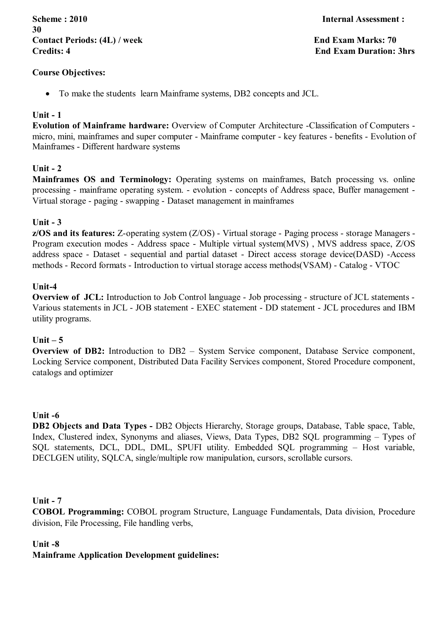**Scheme : 2010 Internal Assessment : 30** Contact Periods: (4L) / week **End Exam Marks: 70 Credits: 4 End Exam Duration: 3hrs**

#### **Course Objectives:**

To make the students learn Mainframe systems, DB2 concepts and JCL.

#### **Unit - 1**

**Evolution of Mainframe hardware:** Overview of Computer Architecture -Classification of Computers micro, mini, mainframes and super computer - Mainframe computer - key features - benefits - Evolution of Mainframes - Different hardware systems

#### **Unit - 2**

**Mainframes OS and Terminology:** Operating systems on mainframes, Batch processing vs. online processing - mainframe operating system. - evolution - concepts of Address space, Buffer management - Virtual storage - paging - swapping - Dataset management in mainframes

#### **Unit - 3**

**z/OS and its features:** Z-operating system (Z/OS) - Virtual storage - Paging process - storage Managers - Program execution modes - Address space - Multiple virtual system(MVS) , MVS address space, Z/OS address space - Dataset - sequential and partial dataset - Direct access storage device(DASD) -Access methods - Record formats - Introduction to virtual storage access methods(VSAM) - Catalog - VTOC

#### **Unit-4**

**Overview of JCL:** Introduction to Job Control language - Job processing - structure of JCL statements - Various statements in JCL - JOB statement - EXEC statement - DD statement - JCL procedures and IBM utility programs.

#### **Unit – 5**

**Overview of DB2:** Introduction to DB2 – System Service component, Database Service component, Locking Service component, Distributed Data Facility Services component, Stored Procedure component, catalogs and optimizer

#### **Unit -6**

**DB2 Objects and Data Types -** DB2 Objects Hierarchy, Storage groups, Database, Table space, Table, Index, Clustered index, Synonyms and aliases, Views, Data Types, DB2 SQL programming – Types of SQL statements, DCL, DDL, DML, SPUFI utility. Embedded SQL programming – Host variable, DECLGEN utility, SQLCA, single/multiple row manipulation, cursors, scrollable cursors.

#### **Unit - 7**

**COBOL Programming:** COBOL program Structure, Language Fundamentals, Data division, Procedure division, File Processing, File handling verbs,

#### **Unit -8**

# **Mainframe Application Development guidelines:**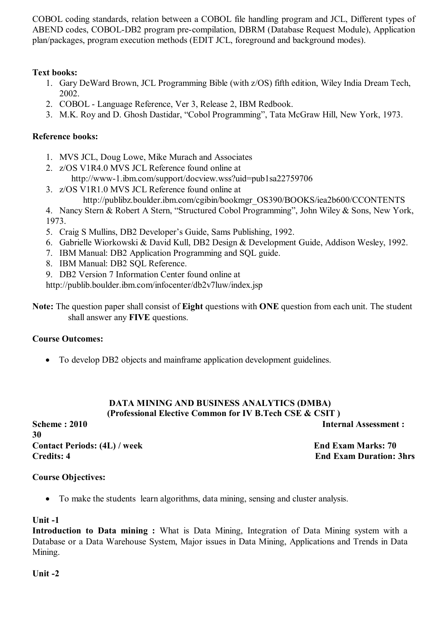COBOL coding standards, relation between a COBOL file handling program and JCL, Different types of ABEND codes, COBOL-DB2 program pre-compilation, DBRM (Database Request Module), Application plan/packages, program execution methods (EDIT JCL, foreground and background modes).

# **Text books:**

- 1. Gary DeWard Brown, JCL Programming Bible (with z/OS) fifth edition, Wiley India Dream Tech, 2002.
- 2. COBOL Language Reference, Ver 3, Release 2, IBM Redbook.
- 3. M.K. Roy and D. Ghosh Dastidar, "Cobol Programming", Tata McGraw Hill, New York, 1973.

# **Reference books:**

- 1. MVS JCL, Doug Lowe, Mike Murach and Associates
- 2. z/OS V1R4.0 MVS JCL Reference found online at
- http://www-1.ibm.com/support/docview.wss?uid=pub1sa22759706 3. z/OS V1R1.0 MVS JCL Reference found online at
	- http://publibz.boulder.ibm.com/cgibin/bookmgr\_OS390/BOOKS/iea2b600/CCONTENTS
- 4. Nancy Stern & Robert A Stern, "Structured Cobol Programming", John Wiley & Sons, New York, 1973.
- 5. Craig S Mullins, DB2 Developer's Guide, Sams Publishing, 1992.
- 6. Gabrielle Wiorkowski & David Kull, DB2 Design & Development Guide, Addison Wesley, 1992.
- 7. IBM Manual: DB2 Application Programming and SQL guide.
- 8. IBM Manual: DB2 SQL Reference.
- 9. DB2 Version 7 Information Center found online at
- http://publib.boulder.ibm.com/infocenter/db2v7luw/index.jsp
- **Note:** The question paper shall consist of **Eight** questions with **ONE** question from each unit. The student shall answer any **FIVE** questions.

# **Course Outcomes:**

To develop DB2 objects and mainframe application development guidelines.

### **DATA MINING AND BUSINESS ANALYTICS (DMBA) (Professional Elective Common for IV B.Tech CSE & CSIT )**

**Scheme : 2010 Internal Assessment : 30 Contact Periods: (4L) / week End Exam Marks: 70 Credits: 4 End Exam Duration: 3hrs**

# **Course Objectives:**

To make the students learn algorithms, data mining, sensing and cluster analysis.

# **Unit -1**

**Introduction to Data mining :** What is Data Mining, Integration of Data Mining system with a Database or a Data Warehouse System, Major issues in Data Mining, Applications and Trends in Data Mining.

**Unit -2**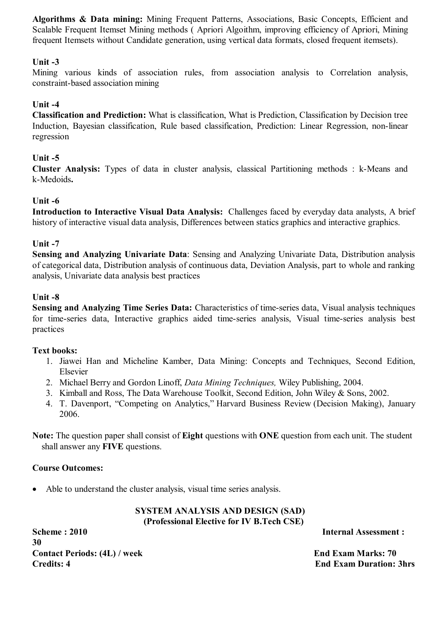**Algorithms & Data mining:** Mining Frequent Patterns, Associations, Basic Concepts, Efficient and Scalable Frequent Itemset Mining methods (Apriori Algoithm, improving efficiency of Apriori, Mining frequent Itemsets without Candidate generation, using vertical data formats, closed frequent itemsets).

### **Unit -3**

Mining various kinds of association rules, from association analysis to Correlation analysis, constraint-based association mining

### **Unit -4**

**Classification and Prediction:** What is classification, What is Prediction, Classification by Decision tree Induction, Bayesian classification, Rule based classification, Prediction: Linear Regression, non-linear regression

### **Unit -5**

**Cluster Analysis:** Types of data in cluster analysis, classical Partitioning methods : k-Means and k-Medoids**.**

### **Unit -6**

**Introduction to Interactive Visual Data Analysis:** Challenges faced by everyday data analysts, A brief history of interactive visual data analysis, Differences between statics graphics and interactive graphics.

#### **Unit -7**

**Sensing and Analyzing Univariate Data**: Sensing and Analyzing Univariate Data, Distribution analysis of categorical data, Distribution analysis of continuous data, Deviation Analysis, part to whole and ranking analysis, Univariate data analysis best practices

#### **Unit -8**

**Sensing and Analyzing Time Series Data:** Characteristics of time-series data, Visual analysis techniques for time-series data, Interactive graphics aided time-series analysis, Visual time-series analysis best practices

#### **Text books:**

- 1. Jiawei Han and Micheline Kamber, Data Mining: Concepts and Techniques, Second Edition, Elsevier
- 2. Michael Berry and Gordon Linoff, *Data Mining Techniques,* Wiley Publishing, 2004.
- 3. Kimball and Ross, The Data Warehouse Toolkit, Second Edition, John Wiley & Sons, 2002.
- 4. T. Davenport, "Competing on Analytics," Harvard Business Review (Decision Making), January 2006.

**Note:** The question paper shall consist of **Eight** questions with **ONE** question from each unit. The student shall answer any **FIVE** questions.

### **Course Outcomes:**

Able to understand the cluster analysis, visual time series analysis.

### **SYSTEM ANALYSIS AND DESIGN (SAD) (Professional Elective for IV B.Tech CSE)**

**Scheme : 2010 Internal Assessment : 30 Contact Periods: (4L) / week End Exam Marks: 70 Credits: 4 End Exam Duration: 3hrs**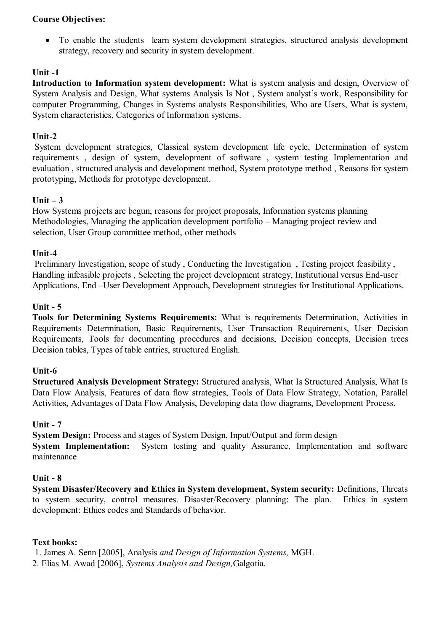### **Course Objectives:**

 To enable the students learn system development strategies, structured analysis development strategy, recovery and security in system development.

# **Unit -1**

**Introduction to Information system development:** What is system analysis and design, Overview of System Analysis and Design, What systems Analysis Is Not , System analyst's work, Responsibility for computer Programming, Changes in Systems analysts Responsibilities, Who are Users, What is system, System characteristics, Categories of Information systems.

### **Unit-2**

 System development strategies, Classical system development life cycle, Determination of system requirements , design of system, development of software , system testing Implementation and evaluation , structured analysis and development method, System prototype method , Reasons for system prototyping, Methods for prototype development.

### **Unit – 3**

How Systems projects are begun, reasons for project proposals, Information systems planning Methodologies, Managing the application development portfolio – Managing project review and selection, User Group committee method, other methods

### **Unit-4**

 Preliminary Investigation, scope of study , Conducting the Investigation , Testing project feasibility , Handling infeasible projects , Selecting the project development strategy, Institutional versus End-user Applications, End –User Development Approach, Development strategies for Institutional Applications.

### **Unit - 5**

**Tools for Determining Systems Requirements:** What is requirements Determination, Activities in Requirements Determination, Basic Requirements, User Transaction Requirements, User Decision Requirements, Tools for documenting procedures and decisions, Decision concepts, Decision trees Decision tables, Types of table entries, structured English.

### **Unit-6**

**Structured Analysis Development Strategy:** Structured analysis, What Is Structured Analysis, What Is Data Flow Analysis, Features of data flow strategies, Tools of Data Flow Strategy, Notation, Parallel Activities, Advantages of Data Flow Analysis, Developing data flow diagrams, Development Process.

### **Unit - 7**

**System Design:** Process and stages of System Design, Input/Output and form design

**System Implementation:** System testing and quality Assurance, Implementation and software maintenance

#### **Unit - 8**

**System Disaster/Recovery and Ethics in System development, System security:** Definitions, Threats to system security, control measures. Disaster/Recovery planning: The plan. Ethics in system development: Ethics codes and Standards of behavior.

#### **Text books:**

1. James A. Senn [2005], Analysis *and Design of Information Systems,* MGH.

2. Elias M. Awad [2006], *Systems Analysis and Design,*Galgotia.